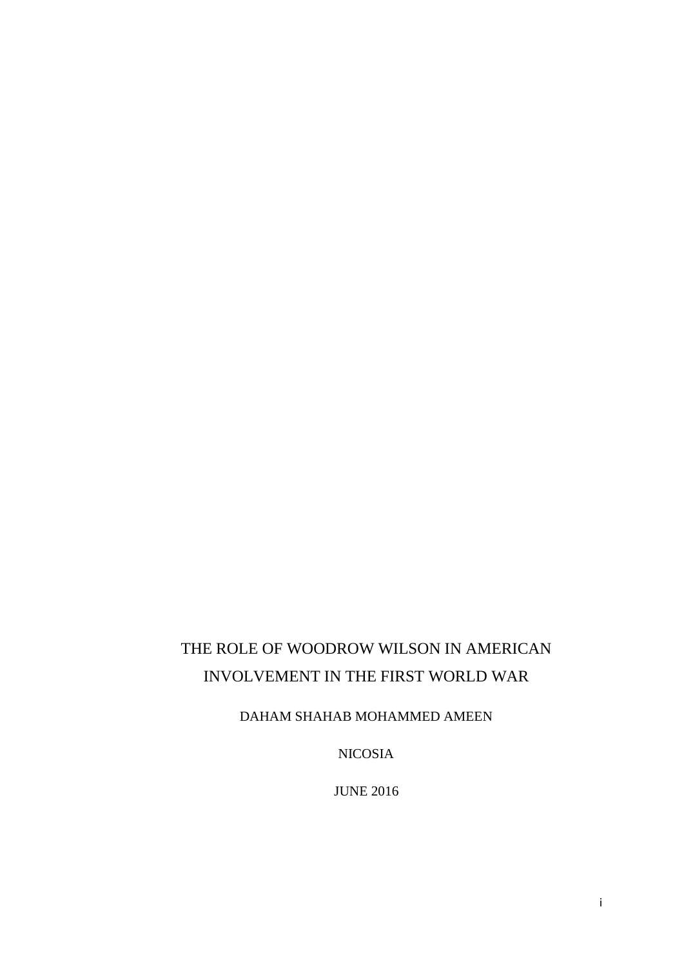# THE ROLE OF WOODROW WILSON IN AMERICAN INVOLVEMENT IN THE FIRST WORLD WAR

DAHAM SHAHAB MOHAMMED AMEEN

NICOSIA

JUNE 2016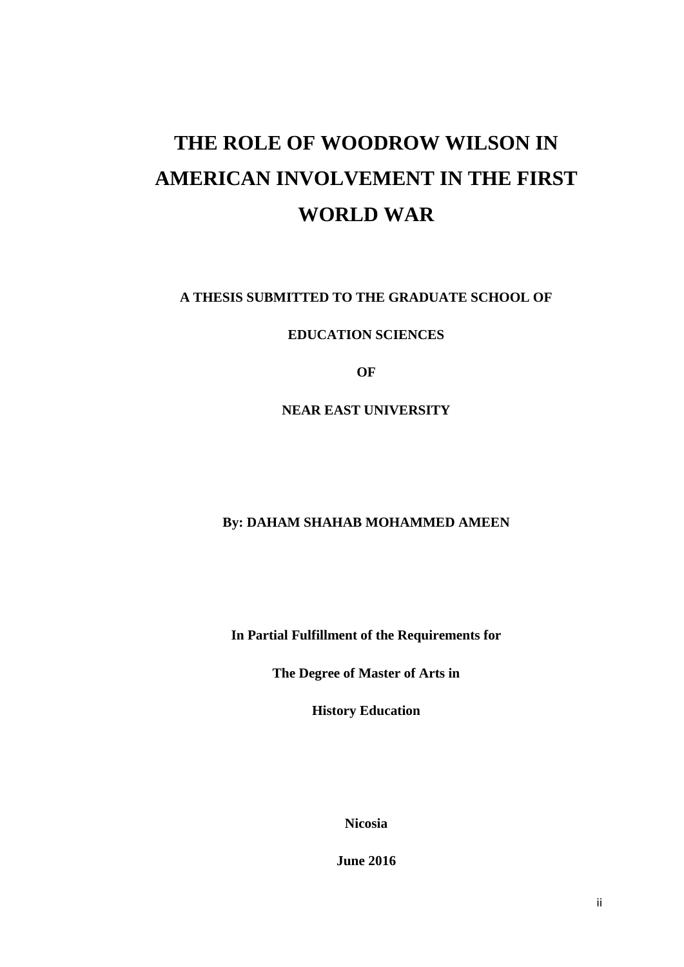# **THE ROLE OF WOODROW WILSON IN AMERICAN INVOLVEMENT IN THE FIRST WORLD WAR**

**A THESIS SUBMITTED TO THE GRADUATE SCHOOL OF**

**EDUCATION SCIENCES**

**OF**

**NEAR EAST UNIVERSITY**

### **By: DAHAM SHAHAB MOHAMMED AMEEN**

**In Partial Fulfillment of the Requirements for**

**The Degree of Master of Arts in**

**History Education**

**Nicosia**

**June 2016**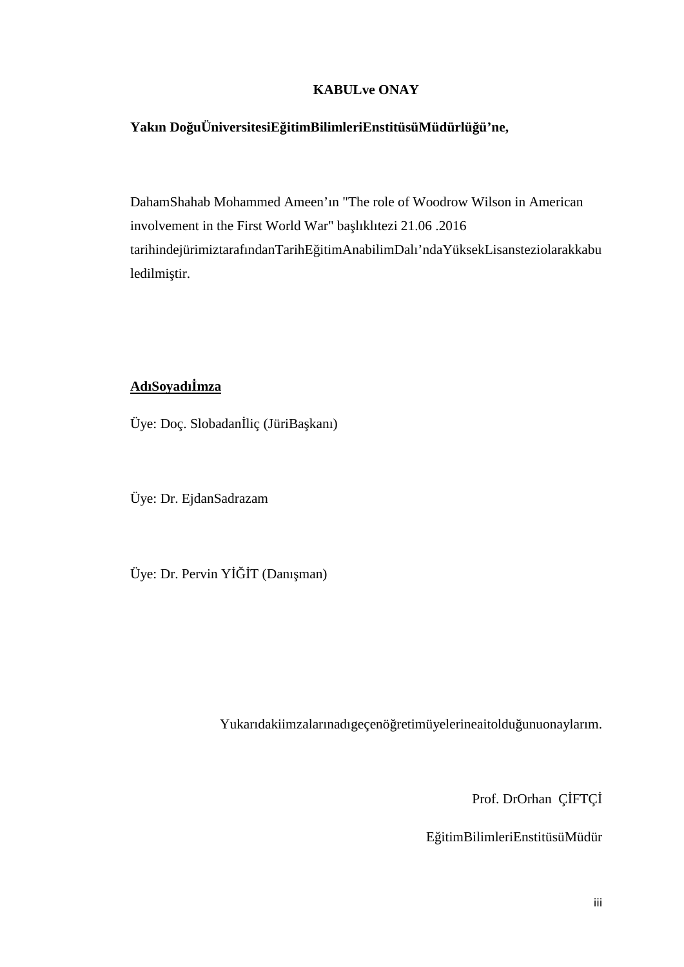### **KABULve ONAY**

# **Yakın DoğuÜniversitesiEğitimBilimleriEnstitüsüMüdürlüğü'ne,**

DahamShahab Mohammed Ameen'ın "The role of Woodrow Wilson in American involvement in the First World War" ba lıklıtezi 21.06 .2016 tarihindejürimiztarafındanTarihE itimAnabilimDalı'ndaYüksekLisansteziolarakkabu ledilmi tir.

### AdıSoyadı mza

Üye: Doç. Slobadan liç (JüriBa kanı)

Üye: Dr. EjdanSadrazam

Üye: Dr. Pervin Y T (Danı man)

Yukarıdakiimzalarınadıgeçenö retimüyelerineaitoldu unuonaylarım.

Prof. DrOrhan C FTC

EğitimBilimleriEnstitüsüMüdür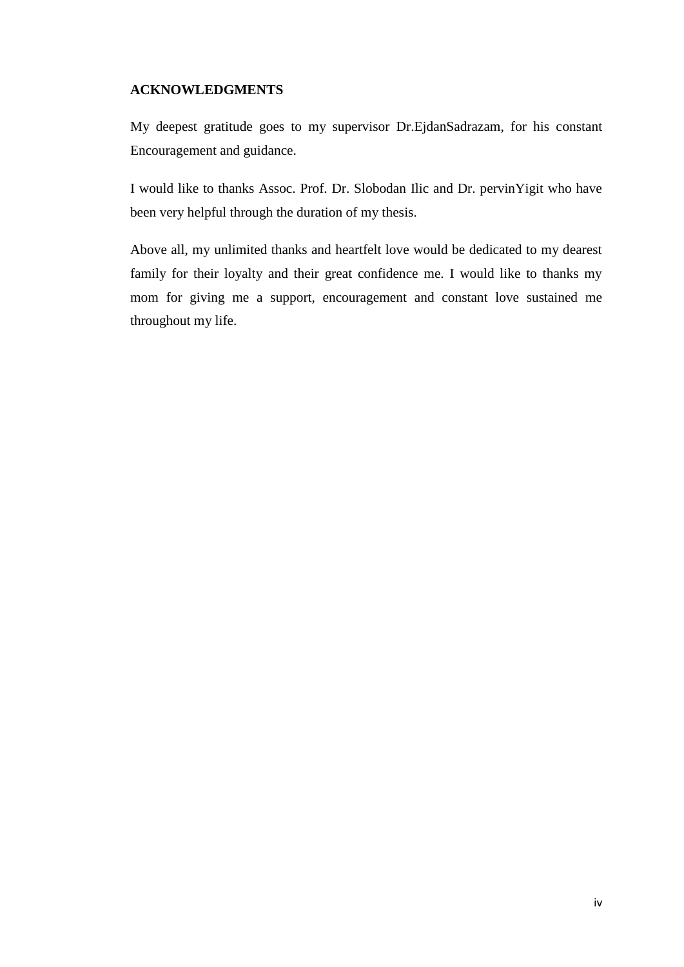### **ACKNOWLEDGMENTS**

My deepest gratitude goes to my supervisor Dr.EjdanSadrazam, for his constant Encouragement and guidance.

I would like to thanks Assoc. Prof. Dr. Slobodan Ilic and Dr. pervinYigit who have been very helpful through the duration of my thesis.

Above all, my unlimited thanks and heartfelt love would be dedicated to my dearest family for their loyalty and their great confidence me. I would like to thanks my mom for giving me a support, encouragement and constant love sustained me throughout my life.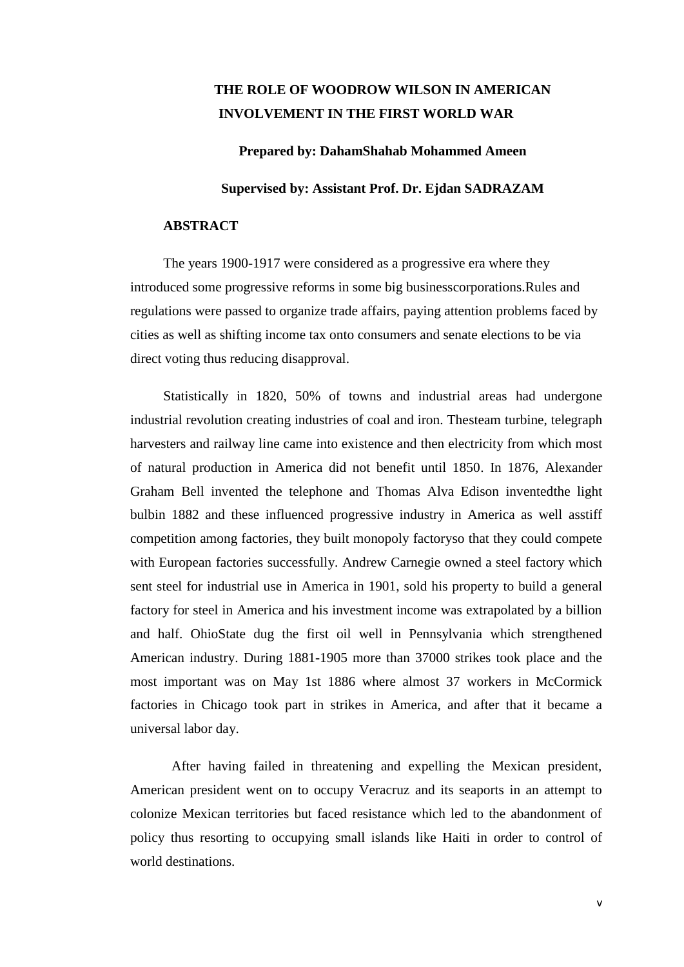### **THE ROLE OF WOODROW WILSON IN AMERICAN INVOLVEMENT IN THE FIRST WORLD WAR**

**Prepared by: DahamShahab Mohammed Ameen**

#### **Supervised by:Assistant Prof. Dr. Ejdan SADRAZAM**

#### **ABSTRACT**

The years 1900-1917 were considered as a progressive era where they introduced some progressive reforms in some big businesscorporations.Rules and regulations were passed to organize trade affairs, paying attention problems faced by cities as well as shifting income tax onto consumers and senate elections to be via direct voting thus reducing disapproval.

Statistically in 1820, 50% of towns and industrial areas had undergone industrial revolution creating industries of coal and iron. Thesteam turbine, telegraph harvesters and railway line came into existence and then electricity from which most of natural production in America did not benefit until 1850. In 1876, Alexander Graham Bell invented the telephone and Thomas Alva Edison inventedthe light bulbin 1882 and these influenced progressive industry in America as well asstiff competition among factories, they built monopoly factoryso that they could compete with European factories successfully. Andrew Carnegie owned a steel factory which sent steel for industrial use in America in 1901, sold his property to build a general factory for steel in America and his investment income was extrapolated by a billion and half. OhioState dug the first oil well in Pennsylvania which strengthened American industry. During 1881-1905 more than 37000 strikes took place and the most important was on May 1st 1886 where almost 37 workers in McCormick factories in Chicago took part in strikes in America, and after that it became a universal labor day.

After having failed in threatening and expelling the Mexican president, American president went on to occupy Veracruz and its seaports in an attempt to colonize Mexican territories but faced resistance which led to the abandonment of policy thus resorting to occupying small islands like Haiti in order to control of world destinations.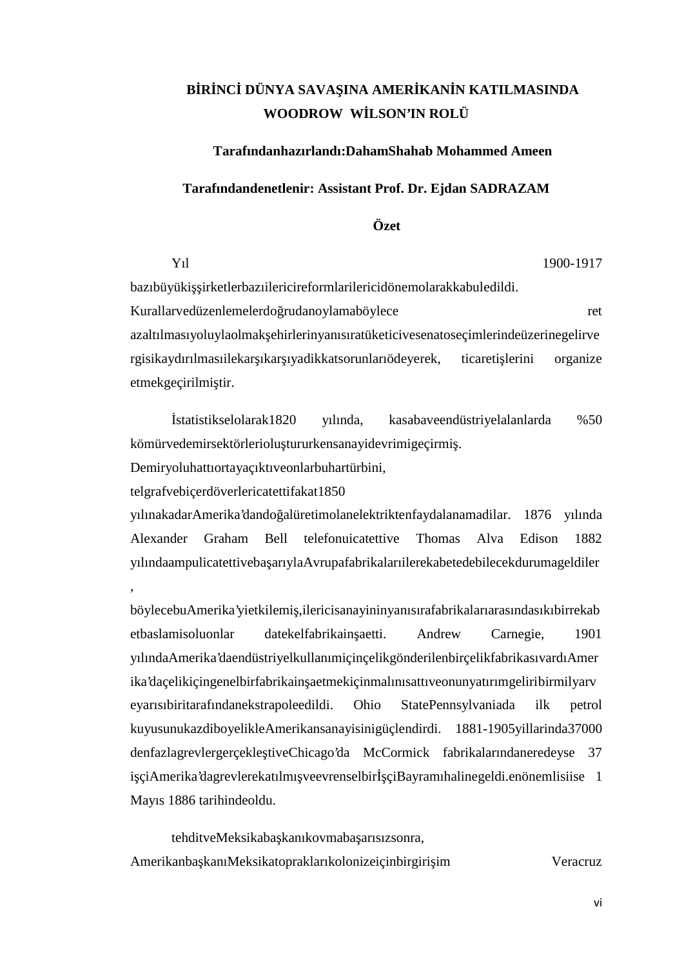# B**R** NC DÜNYA SAVA INA AMER KAN N KATILMASINDA **WOODROW WİLSON'IN ROLÜ**

#### **Tarafındanhazırlandı:DahamShahab Mohammed Ameen**

#### **Tarafındandenetlenir: Assistant Prof. Dr. Ejdan SADRAZAM**

### **Özet**

Yıl 1900-1917 bazıbüyüki irketlerbazıilericireformlarilericidönemolarakkabuledildi. Kurallarvedüzenlemelerdo rudanoylamaböylece ret azaltılmasıyoluylaolmak ehirlerinyanısıratüketicivesenatoseçimlerindeüzerinegelirve rgisikaydırılmasıilekar ıkar ıyadikkatsorunlarıödeyerek, ticareti lerini organize

etmekgeçirilmi tir.

İstatistikselolarak1820 yılında, kasabaveendüstriyelalanlarda %50 kömürvedemirsektörleriolu tururkensanayidevrimigeçirmi.

Demiryoluhattıortayaçıktıveonlarbuhartürbini,

telgrafvebiçerdöverlericatettifakat1850

yılınakadarAmerika'dando alüretimolanelektriktenfaydalanamadilar. 1876 yılında Alexander Graham Bell telefonuicatettive Thomas Alva Edison 1882 yılındaampulicatettiveba arıylaAvrupafabrikalarıilerekabetedebilecekdurumageldiler

böylecebuAmerika'yietkilemi,ilericisanayininyanısırafabrikalarıarasındasıkıbirrekab etbaslamisoluonlar datekelfabrikain aetti. Andrew Carnegie, 1901 yılındaAmerika'daendüstriyelkullanımiçinçelikgönderilenbirçelikfabrikasıvardıAmer ika'daçelikiçingenelbirfabrikain aetmekiçinmalınısattıveonunyatırımgeliribirmilyarv eyarısıbiritarafındanekstrapoleedildi. Ohio StatePennsylvaniada ilk petrol kuyusunukazdiboyelikleAmerikansanayisinigüçlendirdi. 1881-1905yillarinda37000 denfazlagrevlergerçekle tiveChicago'da McCormick fabrikalarındaneredeyse 37 i çiAmerika'dagrevlerekatılmı veevrenselbir çiBayramıhalinegeldi.enönemlisiise 1 Mayıs 1886 tarihindeoldu.

tehditveMeksikaba kanıkovmaba arısızsonra, Amerikanba kanıMeksikatopraklarıkolonizeiçinbirgiri im Veracruz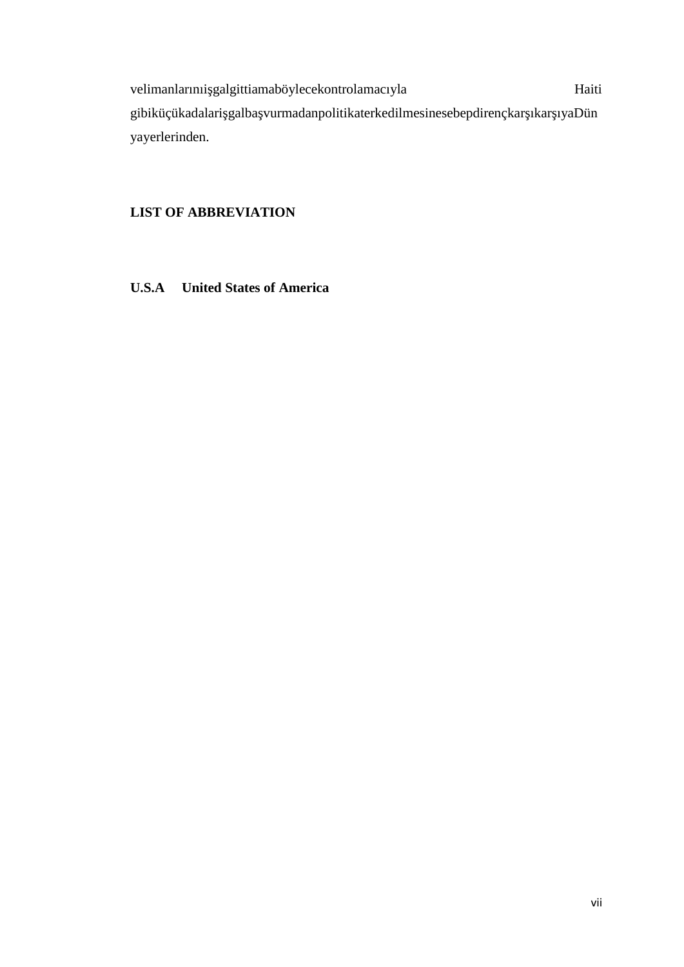velimanlarınıi galgittiamaböylecekontrolamacıyla haiti Haiti gibiküçükadalari galba vurmadanpolitikaterkedilmesinesebepdirençkar ıkar ıyaDün yayerlerinden.

### **LIST OF ABBREVIATION**

**U.S.A United States of America**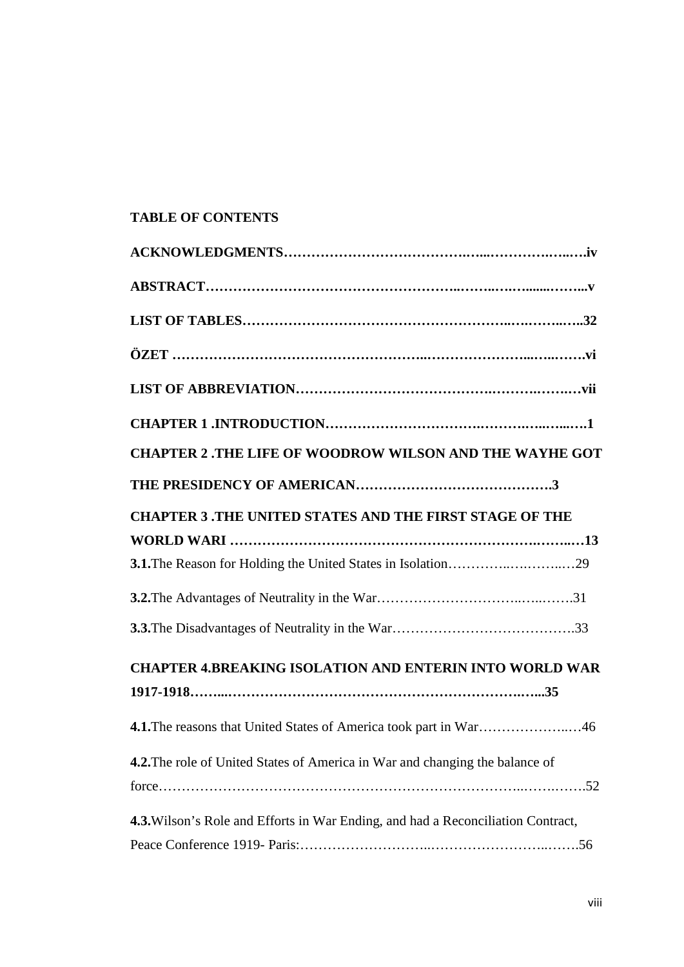### **TABLE OF CONTENTS**

| <b>CHAPTER 2 .THE LIFE OF WOODROW WILSON AND THE WAYHE GOT</b>                          |  |
|-----------------------------------------------------------------------------------------|--|
|                                                                                         |  |
| <b>CHAPTER 3 .THE UNITED STATES AND THE FIRST STAGE OF THE</b>                          |  |
|                                                                                         |  |
|                                                                                         |  |
|                                                                                         |  |
|                                                                                         |  |
| <b>CHAPTER 4.BREAKING ISOLATION AND ENTERIN INTO WORLD WAR</b>                          |  |
|                                                                                         |  |
| 4.1. The reasons that United States of America took part in War46                       |  |
| 4.2. The role of United States of America in War and changing the balance of            |  |
|                                                                                         |  |
| <b>4.3.</b> Wilson's Role and Efforts in War Ending, and had a Reconciliation Contract, |  |
|                                                                                         |  |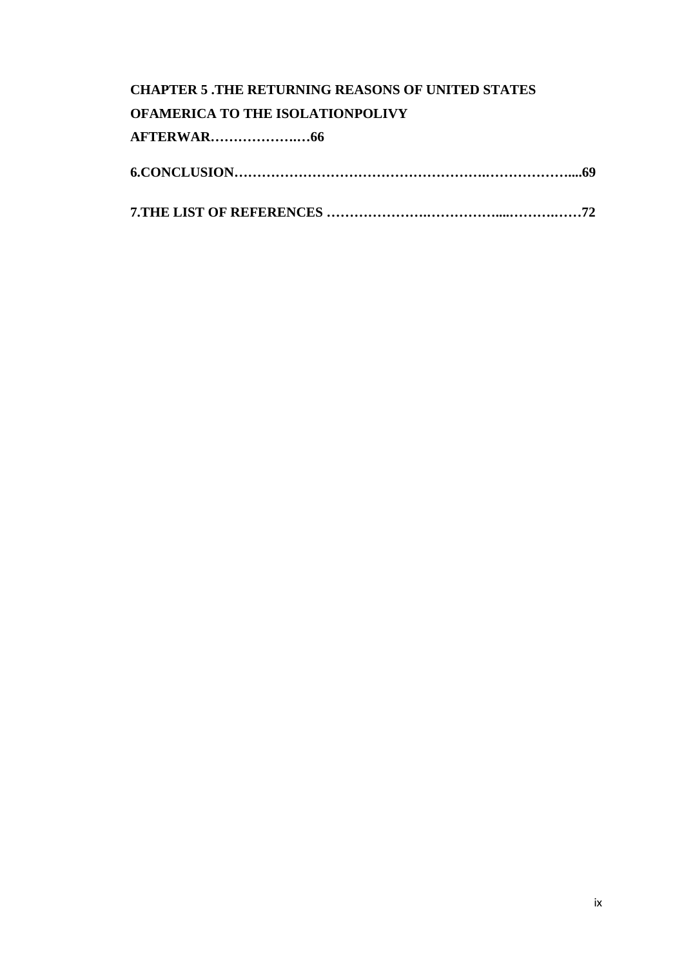# **CHAPTER 5 .THE RETURNING REASONS OF UNITED STATES OFAMERICA TO THE ISOLATIONPOLIVY AFTERWAR……………….…66 6.CONCLUSION……………………………………………….………………....69**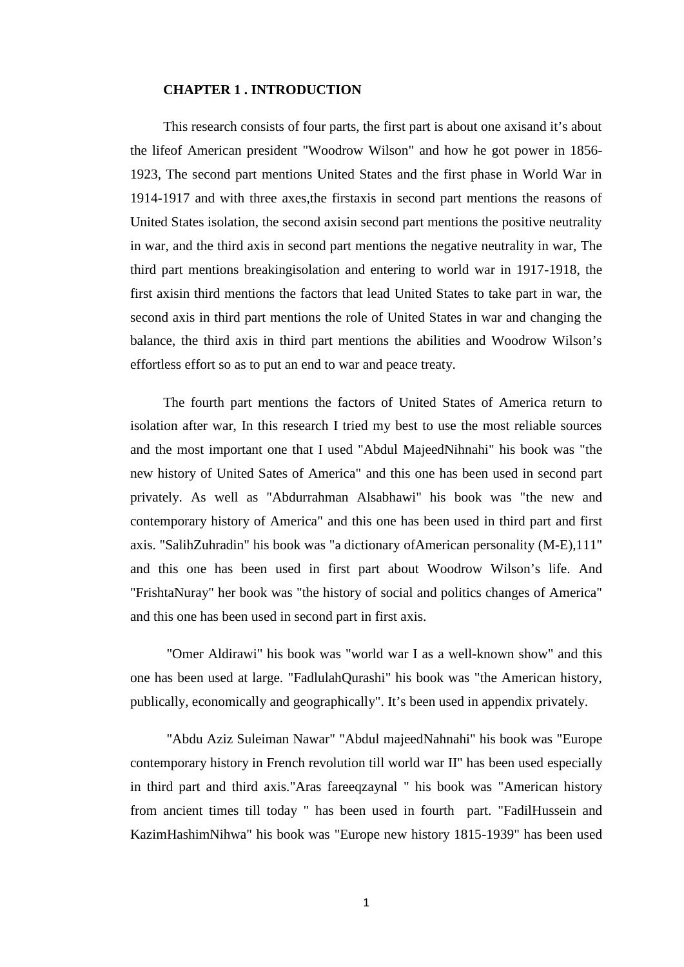#### **CHAPTER 1 . INTRODUCTION**

This research consists of four parts, the first part is about one axisand it's about the lifeof American president "Woodrow Wilson" and how he got power in 1856- 1923, The second part mentions United States and the first phase in World War in 1914-1917 and with three axes,the firstaxis in second part mentions the reasons of United States isolation, the second axisin second part mentions the positive neutrality in war, and the third axis in second part mentions the negative neutrality in war, The third part mentions breakingisolation and entering to world war in 1917-1918, the first axisin third mentions the factors that lead United States to take part in war, the second axis in third part mentions the role of United States in war and changing the balance, the third axis in third part mentions the abilities and Woodrow Wilson's effortless effort so as to put an end to war and peace treaty.

The fourth part mentions the factors of United States of America return to isolation after war, In this research I tried my best to use the most reliable sources and the most important one that I used "Abdul MajeedNihnahi" his book was "the new history of United Sates of America" and this one has been used in second part privately. As well as "Abdurrahman Alsabhawi" his book was "the new and contemporary history of America" and this one has been used in third part and first axis. "SalihZuhradin" his book was "a dictionary ofAmerican personality (M-E),111" and this one has been used in first part about Woodrow Wilson's life. And "FrishtaNuray" her book was "the history of social and politics changes of America" and this one has been used in second part in first axis.

"Omer Aldirawi" his book was "world war I as a well-known show" and this one has been used at large. "FadlulahQurashi" his book was "the American history, publically, economically and geographically". It's been used in appendix privately.

"Abdu Aziz Suleiman Nawar" "Abdul majeedNahnahi" his book was "Europe contemporary history in French revolution till world war II" has been used especially in third part and third axis."Aras fareeqzaynal " his book was "American history from ancient times till today " has been used in fourth part. "FadilHussein and KazimHashimNihwa" his book was "Europe new history 1815-1939" has been used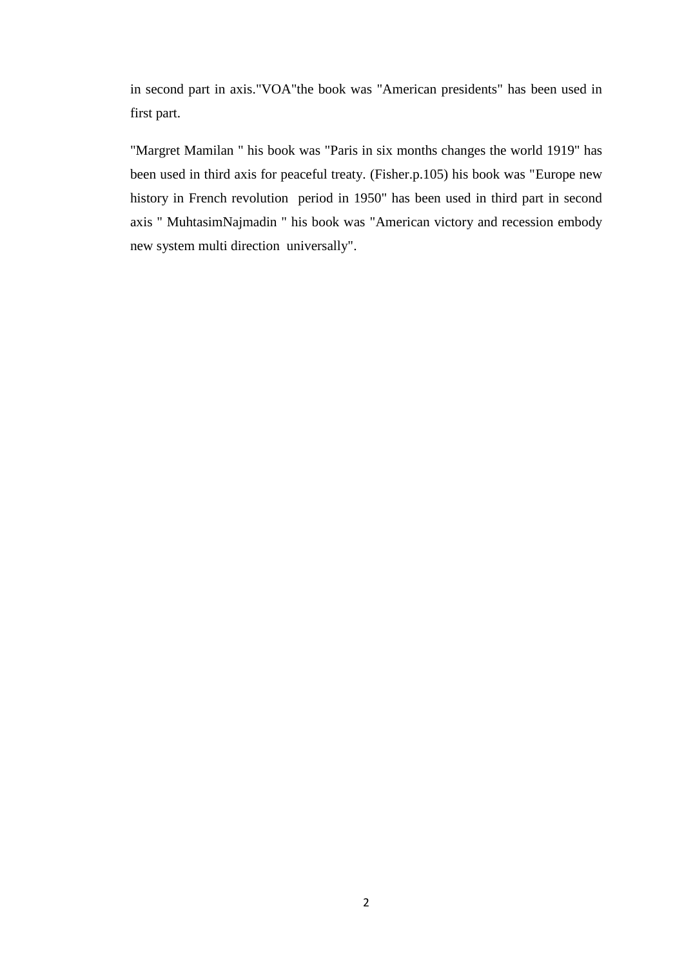in second part in axis."VOA"the book was "American presidents" has been used in first part.

"Margret Mamilan " his book was "Paris in six months changes the world 1919" has been used in third axis for peaceful treaty. (Fisher.p.105) his book was "Europe new history in French revolution period in 1950" has been used in third part in second axis " MuhtasimNajmadin " his book was "American victory and recession embody new system multi direction universally".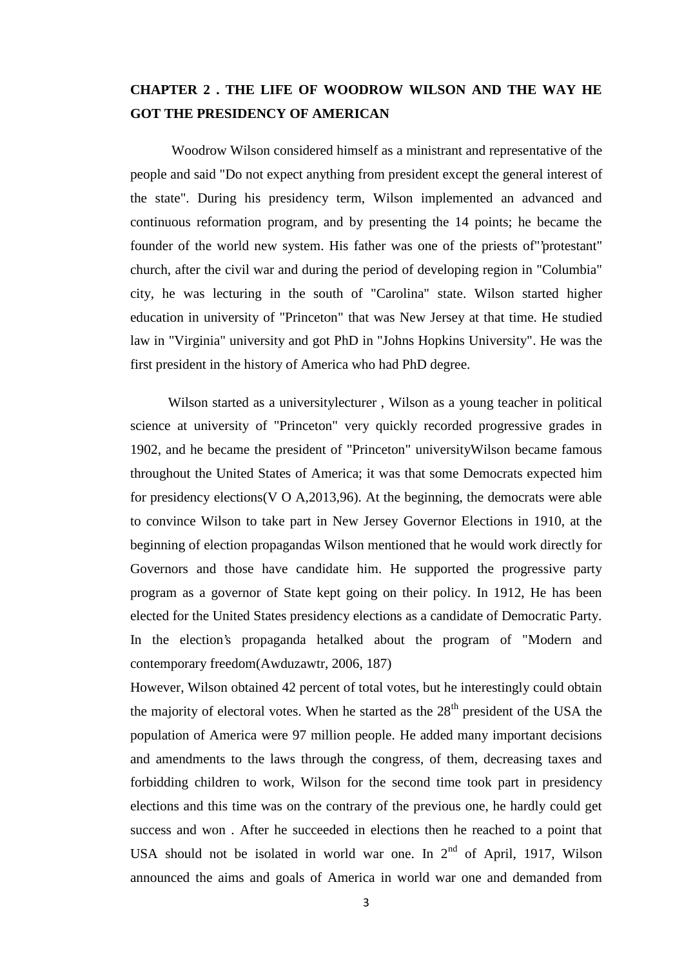## **CHAPTER 2 . THE LIFE OF WOODROW WILSON AND THE WAY HE GOT THE PRESIDENCY OF AMERICAN**

Woodrow Wilson considered himself as a ministrant and representative of the people and said "Do not expect anything from president except the general interest of the state". During his presidency term, Wilson implemented an advanced and continuous reformation program, and by presenting the 14 points; he became the founder of the world new system. His father was one of the priests of"'protestant" church, after the civil war and during the period of developing region in "Columbia" city, he was lecturing in the south of "Carolina" state. Wilson started higher education in university of "Princeton" that was New Jersey at that time. He studied law in "Virginia" university and got PhD in "Johns Hopkins University". He was the first president in the history of America who had PhD degree.

Wilson started as a universitylecturer , Wilson as a young teacher in political science at university of "Princeton" very quickly recorded progressive grades in 1902, and he became the president of "Princeton" universityWilson became famous throughout the United States of America; it was that some Democrats expected him for presidency elections(V O A,2013,96). At the beginning, the democrats were able to convince Wilson to take part in New Jersey Governor Elections in 1910, at the beginning of election propagandas Wilson mentioned that he would work directly for Governors and those have candidate him. He supported the progressive party program as a governor of State kept going on their policy. In 1912, He has been elected for the United States presidency elections as a candidate of Democratic Party. In the election's propaganda hetalked about the program of "Modern and contemporary freedom(Awduzawtr, 2006, 187)

However, Wilson obtained 42 percent of total votes, but he interestingly could obtain the majority of electoral votes. When he started as the  $28<sup>th</sup>$  president of the USA the population of America were 97 million people. He added many important decisions and amendments to the laws through the congress, of them, decreasing taxes and forbidding children to work, Wilson for the second time took part in presidency elections and this time was on the contrary of the previous one, he hardly could get success and won . After he succeeded in elections then he reached to a point that USA should not be isolated in world war one. In  $2<sup>nd</sup>$  of April, 1917, Wilson announced the aims and goals of America in world war one and demanded from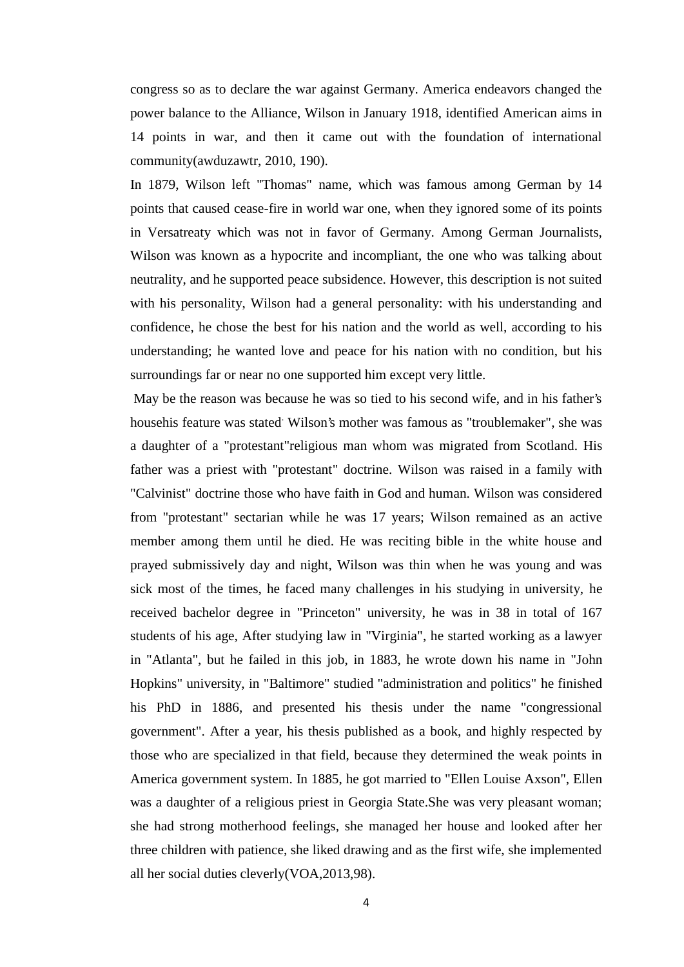congress so as to declare the war against Germany. America endeavors changed the power balance to the Alliance, Wilson in January 1918, identified American aims in 14 points in war, and then it came out with the foundation of international community(awduzawtr, 2010, 190).

In 1879, Wilson left "Thomas" name, which was famous among German by 14 points that caused cease-fire in world war one, when they ignored some of its points in Versatreaty which was not in favor of Germany. Among German Journalists, Wilson was known as a hypocrite and incompliant, the one who was talking about neutrality, and he supported peace subsidence. However, this description is not suited with his personality, Wilson had a general personality: with his understanding and confidence, he chose the best for his nation and the world as well, according to his understanding; he wanted love and peace for his nation with no condition, but his surroundings far or near no one supported him except very little.

May be the reason was because he was so tied to his second wife, and in his father's househis feature was stated. Wilson's mother was famous as "troublemaker", she was a daughter of a "protestant"religious man whom was migrated from Scotland. His father was a priest with "protestant" doctrine. Wilson was raised in a family with "Calvinist" doctrine those who have faith in God and human. Wilson was considered from "protestant" sectarian while he was 17 years; Wilson remained as an active member among them until he died. He was reciting bible in the white house and prayed submissively day and night, Wilson was thin when he was young and was sick most of the times, he faced many challenges in his studying in university, he received bachelor degree in "Princeton" university, he was in 38 in total of 167 students of his age, After studying law in "Virginia", he started working as a lawyer in "Atlanta", but he failed in this job, in 1883, he wrote down his name in "John Hopkins" university, in "Baltimore" studied "administration and politics" he finished his PhD in 1886, and presented his thesis under the name "congressional government". After a year, his thesis published as a book, and highly respected by those who are specialized in that field, because they determined the weak points in America government system. In 1885, he got married to "Ellen Louise Axson", Ellen was a daughter of a religious priest in Georgia State.She was very pleasant woman; she had strong motherhood feelings, she managed her house and looked after her three children with patience, she liked drawing and as the first wife, she implemented all her social duties cleverly(VOA,2013,98).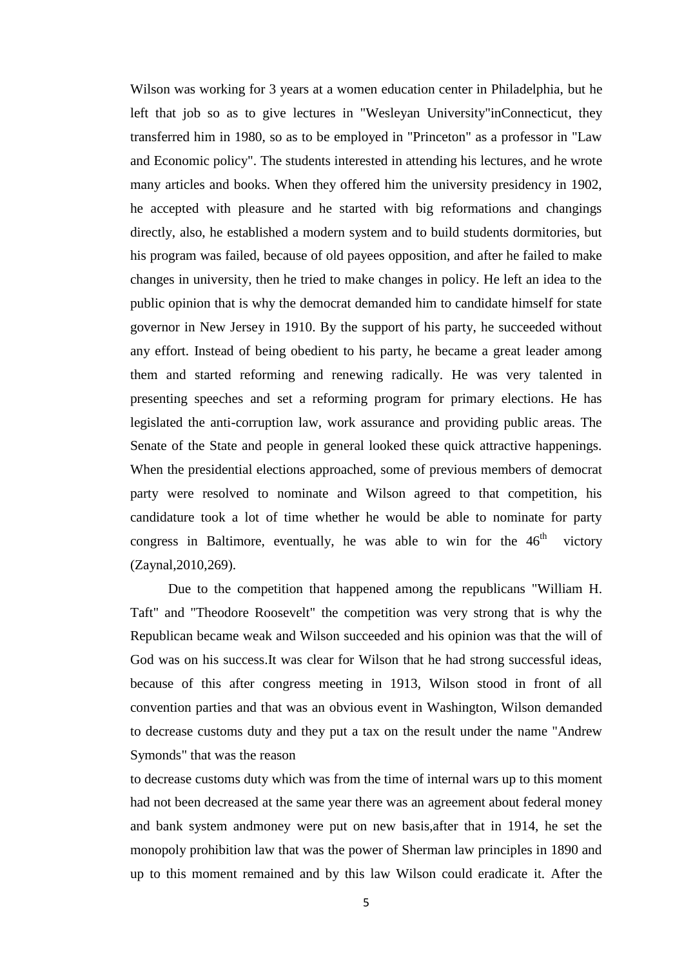Wilson was working for 3 years at a women education center in Philadelphia, but he left that job so as to give lectures in "Wesleyan University"inConnecticut, they transferred him in 1980, so as to be employed in "Princeton" as a professor in "Law and Economic policy". The students interested in attending his lectures, and he wrote many articles and books. When they offered him the university presidency in 1902, he accepted with pleasure and he started with big reformations and changings directly, also, he established a modern system and to build students dormitories, but his program was failed, because of old payees opposition, and after he failed to make changes in university, then he tried to make changes in policy. He left an idea to the public opinion that is why the democrat demanded him to candidate himself for state governor in New Jersey in 1910. By the support of his party, he succeeded without any effort. Instead of being obedient to his party, he became a great leader among them and started reforming and renewing radically. He was very talented in presenting speeches and set a reforming program for primary elections. He has legislated the anti-corruption law, work assurance and providing public areas. The Senate of the State and people in general looked these quick attractive happenings. When the presidential elections approached, some of previous members of democrat party were resolved to nominate and Wilson agreed to that competition, his candidature took a lot of time whether he would be able to nominate for party congress in Baltimore, eventually, he was able to win for the  $46<sup>th</sup>$  victory (Zaynal,2010,269).

Due to the competition that happened among the republicans "William H. Taft" and "Theodore Roosevelt" the competition was very strong that is why the Republican became weak and Wilson succeeded and his opinion was that the will of God was on his success.It was clear for Wilson that he had strong successful ideas, because of this after congress meeting in 1913, Wilson stood in front of all convention parties and that was an obvious event in Washington, Wilson demanded to decrease customs duty and they put a tax on the result under the name "Andrew Symonds" that was the reason

to decrease customs duty which was from the time of internal wars up to this moment had not been decreased at the same year there was an agreement about federal money and bank system andmoney were put on new basis,after that in 1914, he set the monopoly prohibition law that was the power of Sherman law principles in 1890 and up to this moment remained and by this law Wilson could eradicate it. After the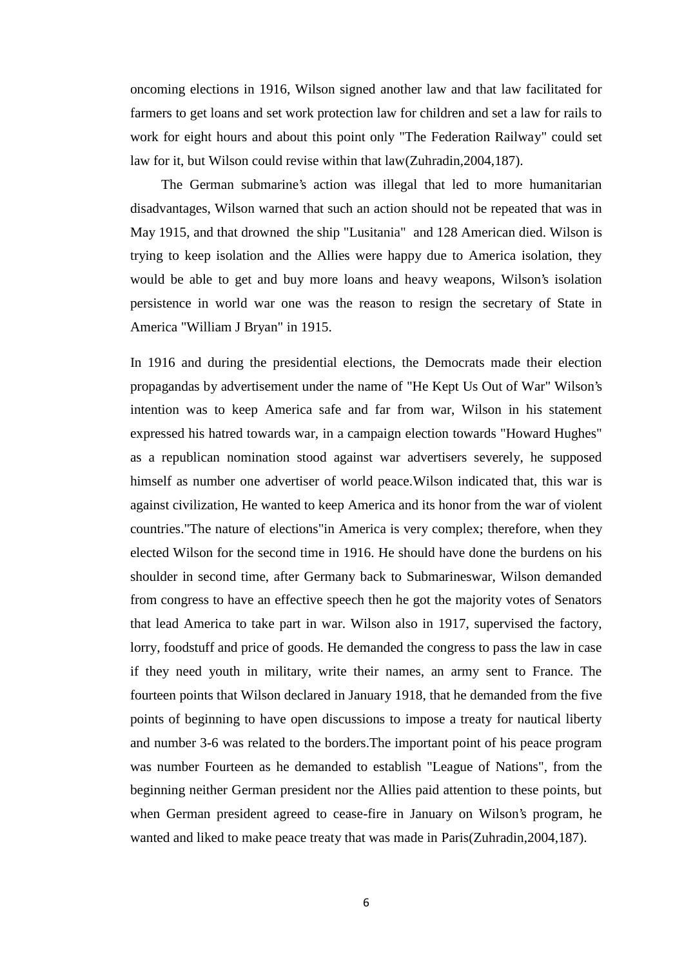oncoming elections in 1916, Wilson signed another law and that law facilitated for farmers to get loans and set work protection law for children and set a law for rails to work for eight hours and about this point only "The Federation Railway" could set law for it, but Wilson could revise within that law(Zuhradin,2004,187).

The German submarine's action was illegal that led to more humanitarian disadvantages, Wilson warned that such an action should not be repeated that was in May 1915, and that drowned the ship "Lusitania" and 128 American died. Wilson is trying to keep isolation and the Allies were happy due to America isolation, they would be able to get and buy more loans and heavy weapons, Wilson's isolation persistence in world war one was the reason to resign the secretary of State in America "William J Bryan" in 1915.

In 1916 and during the presidential elections, the Democrats made their election propagandas by advertisement under the name of "He Kept Us Out of War" Wilson's intention was to keep America safe and far from war, Wilson in his statement expressed his hatred towards war, in a campaign election towards "Howard Hughes" as a republican nomination stood against war advertisers severely, he supposed himself as number one advertiser of world peace.Wilson indicated that, this war is against civilization, He wanted to keep America and its honor from the war of violent countries."The nature of elections"in America is very complex; therefore, when they elected Wilson for the second time in 1916. He should have done the burdens on his shoulder in second time, after Germany back to Submarineswar, Wilson demanded from congress to have an effective speech then he got the majority votes of Senators that lead America to take part in war. Wilson also in 1917, supervised the factory, lorry, foodstuff and price of goods. He demanded the congress to pass the law in case if they need youth in military, write their names, an army sent to France. The fourteen points that Wilson declared in January 1918, that he demanded from the five points of beginning to have open discussions to impose a treaty for nautical liberty and number 3-6 was related to the borders.The important point of his peace program was number Fourteen as he demanded to establish "League of Nations", from the beginning neither German president nor the Allies paid attention to these points, but when German president agreed to cease-fire in January on Wilson's program, he wanted and liked to make peace treaty that was made in Paris(Zuhradin,2004,187).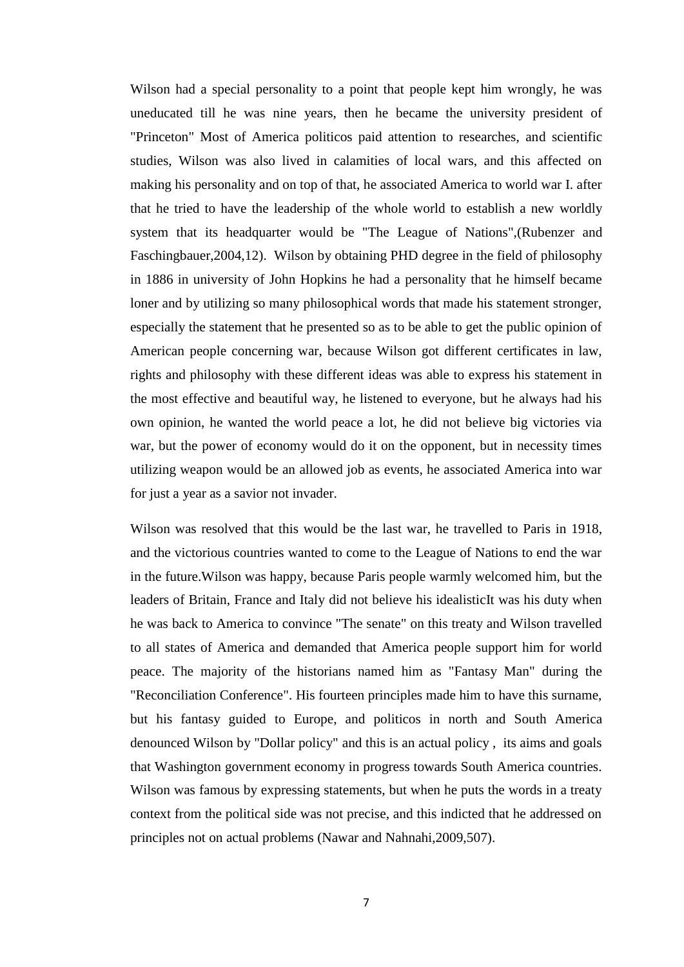Wilson had a special personality to a point that people kept him wrongly, he was uneducated till he was nine years, then he became the university president of "Princeton" Most of America politicos paid attention to researches, and scientific studies, Wilson was also lived in calamities of local wars, and this affected on making his personality and on top of that, he associated America to world war I. after that he tried to have the leadership of the whole world to establish a new worldly system that its headquarter would be "The League of Nations",(Rubenzer and Faschingbauer,2004,12). Wilson by obtaining PHD degree in the field of philosophy in 1886 in university of John Hopkins he had a personality that he himself became loner and by utilizing so many philosophical words that made his statement stronger, especially the statement that he presented so as to be able to get the public opinion of American people concerning war, because Wilson got different certificates in law, rights and philosophy with these different ideas was able to express his statement in the most effective and beautiful way, he listened to everyone, but he always had his own opinion, he wanted the world peace a lot, he did not believe big victories via war, but the power of economy would do it on the opponent, but in necessity times utilizing weapon would be an allowed job as events, he associated America into war for just a year as a savior not invader.

Wilson was resolved that this would be the last war, he travelled to Paris in 1918, and the victorious countries wanted to come to the League of Nations to end the war in the future.Wilson was happy, because Paris people warmly welcomed him, but the leaders of Britain, France and Italy did not believe his idealisticIt was his duty when he was back to America to convince "The senate" on this treaty and Wilson travelled to all states of America and demanded that America people support him for world peace. The majority of the historians named him as "Fantasy Man" during the "Reconciliation Conference". His fourteen principles made him to have this surname, but his fantasy guided to Europe, and politicos in north and South America denounced Wilson by "Dollar policy" and this is an actual policy , its aims and goals that Washington government economy in progress towards South America countries. Wilson was famous by expressing statements, but when he puts the words in a treaty context from the political side was not precise, and this indicted that he addressed on principles not on actual problems (Nawar and Nahnahi,2009,507).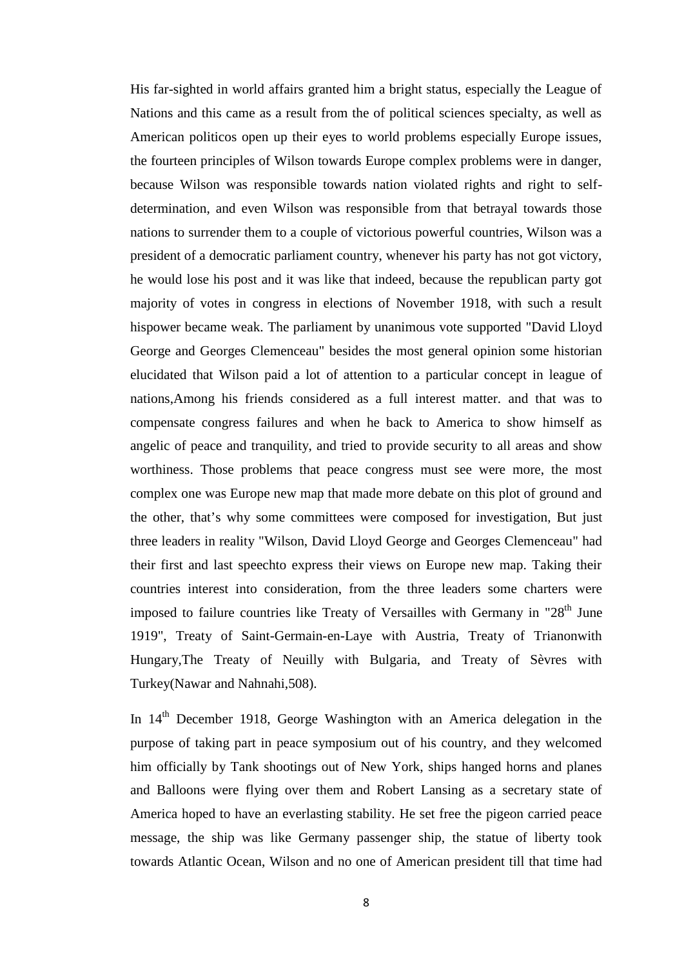His far-sighted in world affairs granted him a bright status, especially the League of Nations and this came as a result from the of political sciences specialty, as well as American politicos open up their eyes to world problems especially Europe issues, the fourteen principles of Wilson towards Europe complex problems were in danger, because Wilson was responsible towards nation violated rights and right to self determination, and even Wilson was responsible from that betrayal towards those nations to surrender them to a couple of victorious powerful countries, Wilson was a president of a democratic parliament country, whenever his party has not got victory, he would lose his post and it was like that indeed, because the republican party got majority of votes in congress in elections of November 1918, with such a result hispower became weak. The parliament by unanimous vote supported "David Lloyd George and Georges Clemenceau" besides the most general opinion some historian elucidated that Wilson paid a lot of attention to a particular concept in league of nations,Among his friends considered as a full interest matter. and that was to compensate congress failures and when he back to America to show himself as angelic of peace and tranquility, and tried to provide security to all areas and show worthiness. Those problems that peace congress must see were more, the most complex one was Europe new map that made more debate on this plot of ground and the other, that's why some committees were composed for investigation, But just three leaders in reality "Wilson, David Lloyd George and Georges Clemenceau" had their first and last speechto express their views on Europe new map. Taking their countries interest into consideration, from the three leaders some charters were imposed to failure countries like Treaty of Versailles with Germany in " $28<sup>th</sup>$  June 1919", Treaty of Saint-Germain-en-Laye with Austria, Treaty of Trianonwith Hungary,The Treaty of Neuilly with Bulgaria, and Treaty of Sèvres with Turkey(Nawar and Nahnahi,508).

In 14<sup>th</sup> December 1918, George Washington with an America delegation in the purpose of taking part in peace symposium out of his country, and they welcomed him officially by Tank shootings out of New York, ships hanged horns and planes and Balloons were flying over them and Robert Lansing as a secretary state of America hoped to have an everlasting stability. He set free the pigeon carried peace message, the ship was like Germany passenger ship, the statue of liberty took towards Atlantic Ocean, Wilson and no one of American president till that time had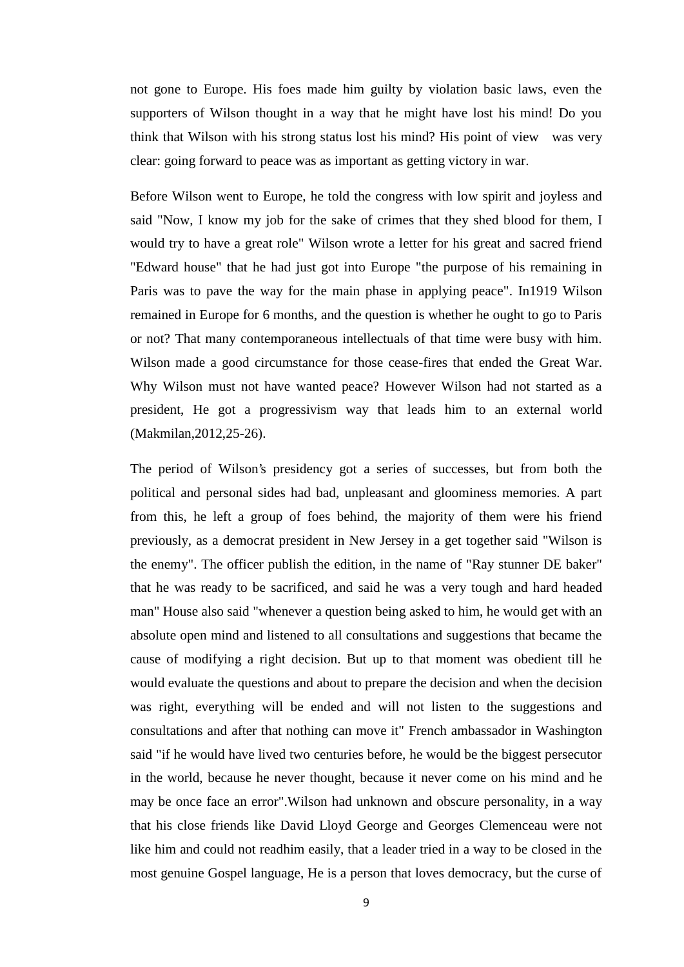not gone to Europe. His foes made him guilty by violation basic laws, even the supporters of Wilson thought in a way that he might have lost his mind! Do you think that Wilson with his strong status lost his mind? His point of view was very clear: going forward to peace was as important as getting victory in war.

Before Wilson went to Europe, he told the congress with low spirit and joyless and said "Now, I know my job for the sake of crimes that they shed blood for them, I would try to have a great role" Wilson wrote a letter for his great and sacred friend "Edward house" that he had just got into Europe "the purpose of his remaining in Paris was to pave the way for the main phase in applying peace". In1919 Wilson remained in Europe for 6 months, and the question is whether he ought to go to Paris or not? That many contemporaneous intellectuals of that time were busy with him. Wilson made a good circumstance for those cease-fires that ended the Great War. Why Wilson must not have wanted peace? However Wilson had not started as a president, He got a progressivism way that leads him to an external world (Makmilan,2012,25-26).

The period of Wilson's presidency got a series of successes, but from both the political and personal sides had bad, unpleasant and gloominess memories. A part from this, he left a group of foes behind, the majority of them were his friend previously, as a democrat president in New Jersey in a get together said "Wilson is the enemy". The officer publish the edition, in the name of "Ray stunner DE baker" that he was ready to be sacrificed, and said he was a very tough and hard headed man" House also said "whenever a question being asked to him, he would get with an absolute open mind and listened to all consultations and suggestions that became the cause of modifying a right decision. But up to that moment was obedient till he would evaluate the questions and about to prepare the decision and when the decision was right, everything will be ended and will not listen to the suggestions and consultations and after that nothing can move it" French ambassador in Washington said "if he would have lived two centuries before, he would be the biggest persecutor in the world, because he never thought, because it never come on his mind and he may be once face an error".Wilson had unknown and obscure personality, in a way that his close friends like David Lloyd George and Georges Clemenceau were not like him and could not readhim easily, that a leader tried in a way to be closed in the most genuine Gospel language, He is a person that loves democracy, but the curse of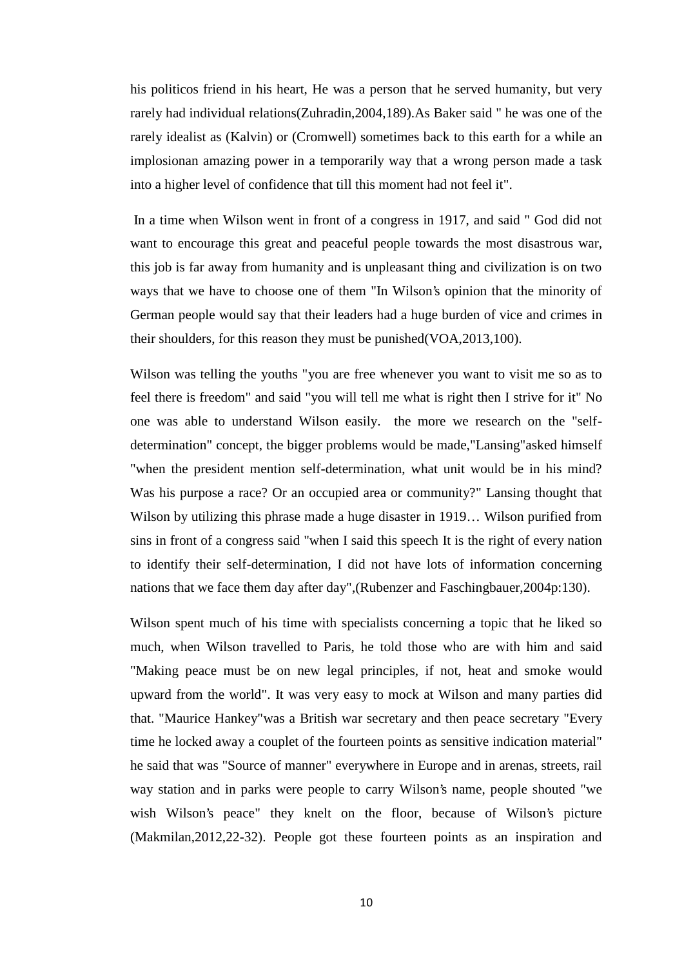his politicos friend in his heart, He was a person that he served humanity, but very rarely had individual relations(Zuhradin,2004,189).As Baker said " he was one of the rarely idealist as (Kalvin) or (Cromwell) sometimes back to this earth for a while an implosionan amazing power in a temporarily way that a wrong person made a task into a higher level of confidence that till this moment had not feel it".

In a time when Wilson went in front of a congress in 1917, and said " God did not want to encourage this great and peaceful people towards the most disastrous war, this job is far away from humanity and is unpleasant thing and civilization is on two ways that we have to choose one of them "In Wilson's opinion that the minority of German people would say that their leaders had a huge burden of vice and crimes in their shoulders, for this reason they must be punished(VOA,2013,100).

Wilson was telling the youths "you are free whenever you want to visit me so as to feel there is freedom" and said "you will tell me what is right then I strive for it" No one was able to understand Wilson easily. the more we research on the "self determination" concept, the bigger problems would be made,"Lansing"asked himself "when the president mention self-determination, what unit would be in his mind? Was his purpose a race? Or an occupied area or community?" Lansing thought that Wilson by utilizing this phrase made a huge disaster in 1919… Wilson purified from sins in front of a congress said "when I said this speech It is the right of every nation to identify their self-determination, I did not have lots of information concerning nations that we face them day after day",(Rubenzer and Faschingbauer,2004p:130).

Wilson spent much of his time with specialists concerning a topic that he liked so much, when Wilson travelled to Paris, he told those who are with him and said "Making peace must be on new legal principles, if not, heat and smoke would upward from the world". It was very easy to mock at Wilson and many parties did that. "Maurice Hankey"was a British war secretary and then peace secretary "Every time he locked away a couplet of the fourteen points as sensitive indication material" he said that was "Source of manner" everywhere in Europe and in arenas, streets, rail way station and in parks were people to carry Wilson's name, people shouted "we wish Wilson's peace" they knelt on the floor, because of Wilson's picture (Makmilan,2012,22-32). People got these fourteen points as an inspiration and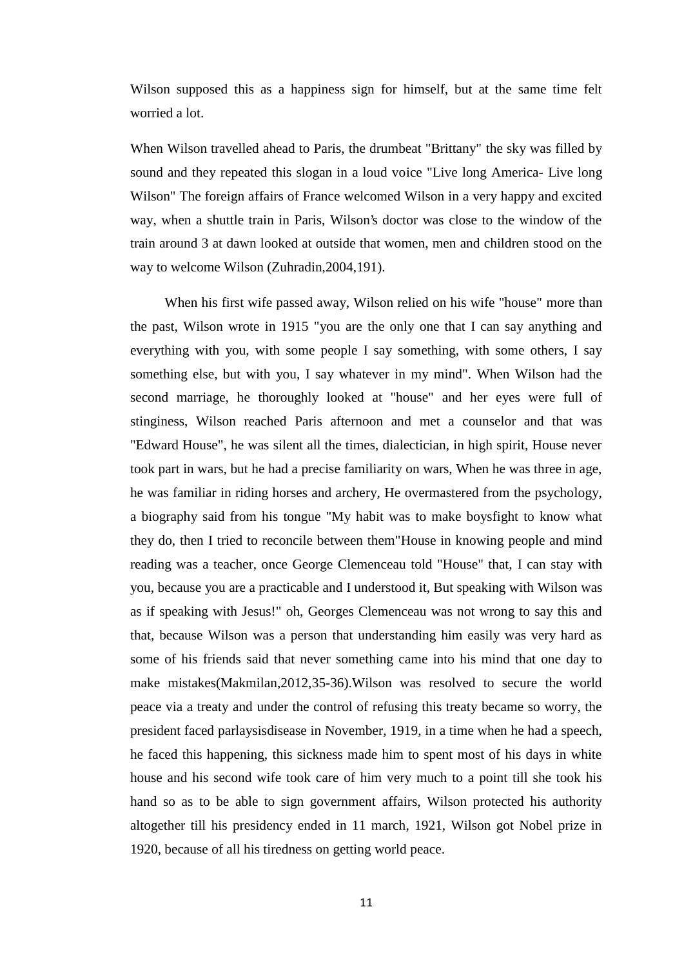Wilson supposed this as a happiness sign for himself, but at the same time felt worried a lot.

When Wilson travelled ahead to Paris, the drumbeat "Brittany" the sky was filled by sound and they repeated this slogan in a loud voice "Live long America- Live long Wilson" The foreign affairs of France welcomed Wilson in a very happy and excited way, when a shuttle train in Paris, Wilson's doctor was close to the window of the train around 3 at dawn looked at outside that women, men and children stood on the way to welcome Wilson (Zuhradin,2004,191).

When his first wife passed away, Wilson relied on his wife "house" more than the past, Wilson wrote in 1915 "you are the only one that I can say anything and everything with you, with some people I say something, with some others, I say something else, but with you, I say whatever in my mind". When Wilson had the second marriage, he thoroughly looked at "house" and her eyes were full of stinginess, Wilson reached Paris afternoon and met a counselor and that was "Edward House", he was silent all the times, dialectician, in high spirit, House never took part in wars, but he had a precise familiarity on wars, When he was three in age, he was familiar in riding horses and archery, He overmastered from the psychology, a biography said from his tongue "My habit was to make boysfight to know what they do, then I tried to reconcile between them"House in knowing people and mind reading was a teacher, once George Clemenceau told "House" that, I can stay with you, because you are a practicable and I understood it, But speaking with Wilson was as if speaking with Jesus!" oh, Georges Clemenceau was not wrong to say this and that, because Wilson was a person that understanding him easily was very hard as some of his friends said that never something came into his mind that one day to make mistakes(Makmilan,2012,35-36).Wilson was resolved to secure the world peace via a treaty and under the control of refusing this treaty became so worry, the president faced parlaysisdisease in November, 1919, in a time when he had a speech, he faced this happening, this sickness made him to spent most of his days in white house and his second wife took care of him very much to a point till she took his hand so as to be able to sign government affairs, Wilson protected his authority altogether till his presidency ended in 11 march, 1921, Wilson got Nobel prize in 1920, because of all his tiredness on getting world peace.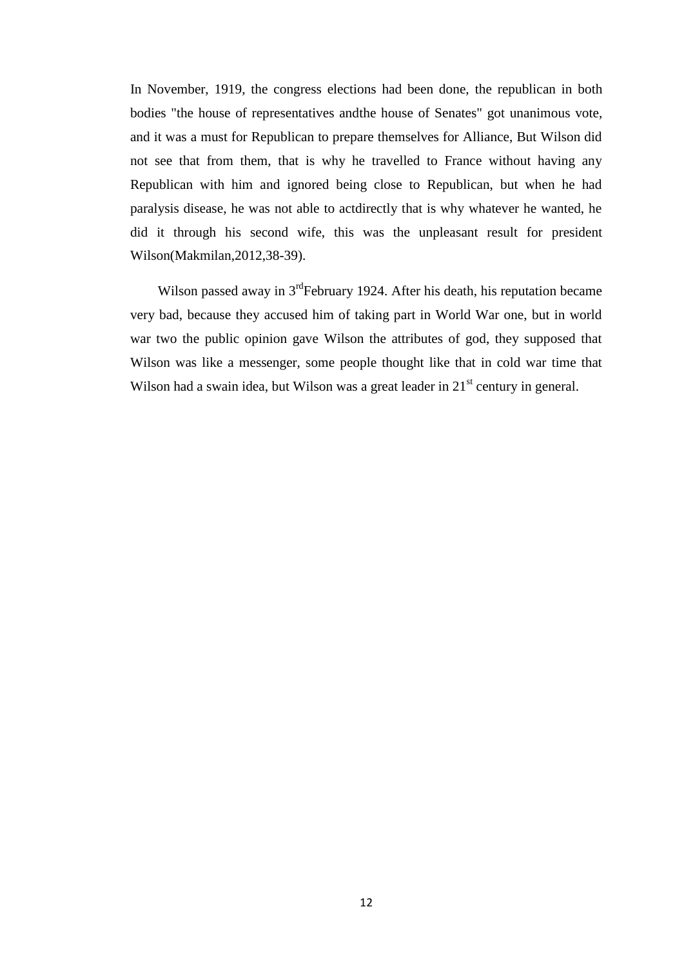In November, 1919, the congress elections had been done, the republican in both bodies "the house of representatives andthe house of Senates" got unanimous vote, and it was a must for Republican to prepare themselves for Alliance, But Wilson did not see that from them, that is why he travelled to France without having any Republican with him and ignored being close to Republican, but when he had paralysis disease, he was not able to actdirectly that is why whatever he wanted, he did it through his second wife, this was the unpleasant result for president Wilson(Makmilan,2012,38-39).

Wilson passed away in  $3<sup>rd</sup>$ February 1924. After his death, his reputation became very bad, because they accused him of taking part in World War one, but in world war two the public opinion gave Wilson the attributes of god, they supposed that Wilson was like a messenger, some people thought like that in cold war time that Wilson had a swain idea, but Wilson was a great leader in  $21<sup>st</sup>$  century in general.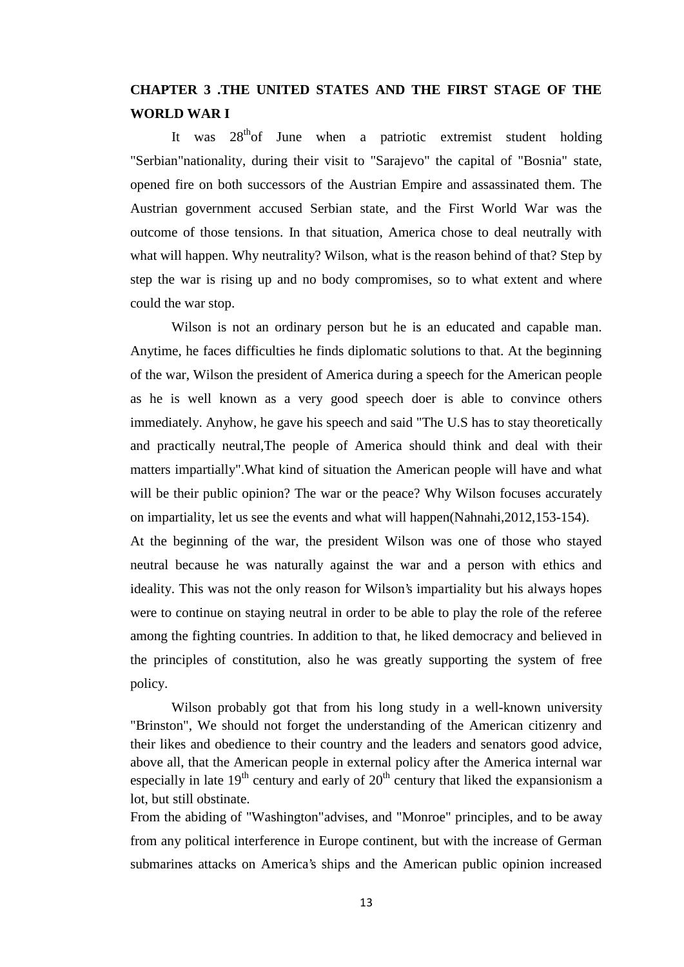## **CHAPTER 3 .THE UNITED STATES AND THE FIRST STAGE OF THE WORLD WAR I**

It was  $28<sup>th</sup>$  of June when a patriotic extremist student holding "Serbian"nationality, during their visit to "Sarajevo" the capital of "Bosnia" state, opened fire on both successors of the Austrian Empire and assassinated them. The Austrian government accused Serbian state, and the First World War was the outcome of those tensions. In that situation, America chose to deal neutrally with what will happen. Why neutrality? Wilson, what is the reason behind of that? Step by step the war is rising up and no body compromises, so to what extent and where could the war stop.

Wilson is not an ordinary person but he is an educated and capable man. Anytime, he faces difficulties he finds diplomatic solutions to that. At the beginning of the war, Wilson the president of America during a speech for the American people as he is well known as a very good speech doer is able to convince others immediately. Anyhow, he gave his speech and said "The U.S has to stay theoretically and practically neutral,The people of America should think and deal with their matters impartially".What kind of situation the American people will have and what will be their public opinion? The war or the peace? Why Wilson focuses accurately on impartiality, let us see the events and what will happen(Nahnahi,2012,153-154).

At the beginning of the war, the president Wilson was one of those who stayed neutral because he was naturally against the war and a person with ethics and ideality. This was not the only reason for Wilson's impartiality but his always hopes were to continue on staying neutral in order to be able to play the role of the referee among the fighting countries. In addition to that, he liked democracy and believed in the principles of constitution, also he was greatly supporting the system of free policy.

Wilson probably got that from his long study in a well-known university "Brinston", We should not forget the understanding of the American citizenry and their likes and obedience to their country and the leaders and senators good advice, above all, that the American people in external policy after the America internal war especially in late  $19<sup>th</sup>$  century and early of  $20<sup>th</sup>$  century that liked the expansionism a lot, but still obstinate.

From the abiding of "Washington"advises, and "Monroe" principles, and to be away from any political interference in Europe continent, but with the increase of German submarines attacks on America's ships and the American public opinion increased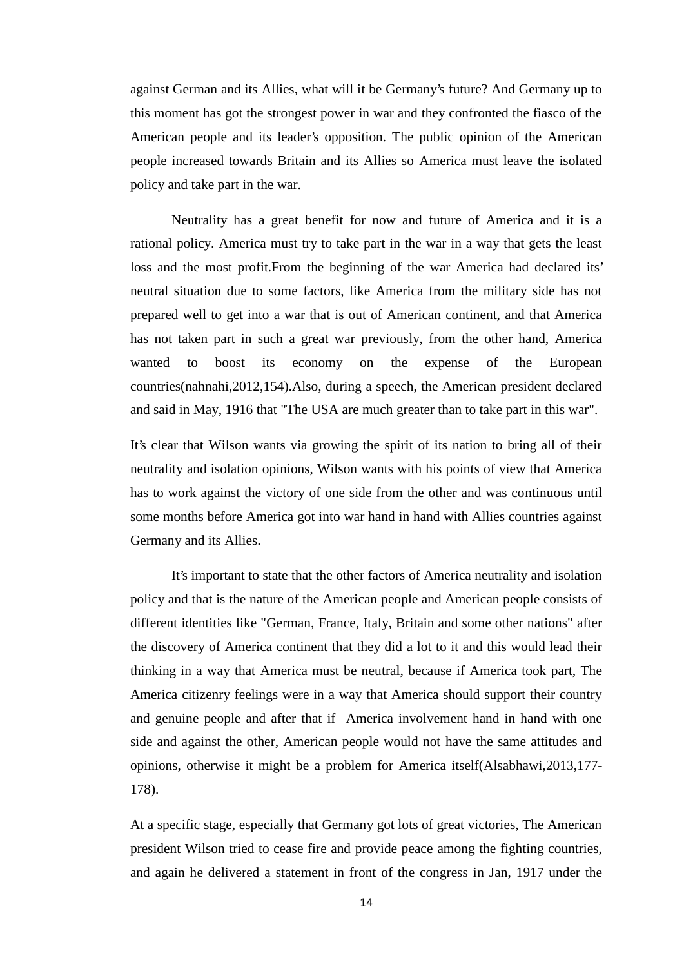against German and its Allies, what will it be Germany's future? And Germany up to this moment has got the strongest power in war and they confronted the fiasco of the American people and its leader's opposition. The public opinion of the American people increased towards Britain and its Allies so America must leave the isolated policy and take part in the war.

Neutrality has a great benefit for now and future of America and it is a rational policy. America must try to take part in the war in a way that gets the least loss and the most profit.From the beginning of the war America had declared its' neutral situation due to some factors, like America from the military side has not prepared well to get into a war that is out of American continent, and that America has not taken part in such a great war previously, from the other hand, America wanted to boost its economy on the expense of the European countries(nahnahi,2012,154).Also, during a speech, the American president declared and said in May, 1916 that "The USA are much greater than to take part in this war".

It's clear that Wilson wants via growing the spirit of its nation to bring all of their neutrality and isolation opinions, Wilson wants with his points of view that America has to work against the victory of one side from the other and was continuous until some months before America got into war hand in hand with Allies countries against Germany and its Allies.

It's important to state that the other factors of America neutrality and isolation policy and that is the nature of the American people and American people consists of different identities like "German, France, Italy, Britain and some other nations" after the discovery of America continent that they did a lot to it and this would lead their thinking in a way that America must be neutral, because if America took part, The America citizenry feelings were in a way that America should support their country and genuine people and after that if America involvement hand in hand with one side and against the other, American people would not have the same attitudes and opinions, otherwise it might be a problem for America itself(Alsabhawi,2013,177- 178).

At a specific stage, especially that Germany got lots of great victories, The American president Wilson tried to cease fire and provide peace among the fighting countries, and again he delivered a statement in front of the congress in Jan, 1917 under the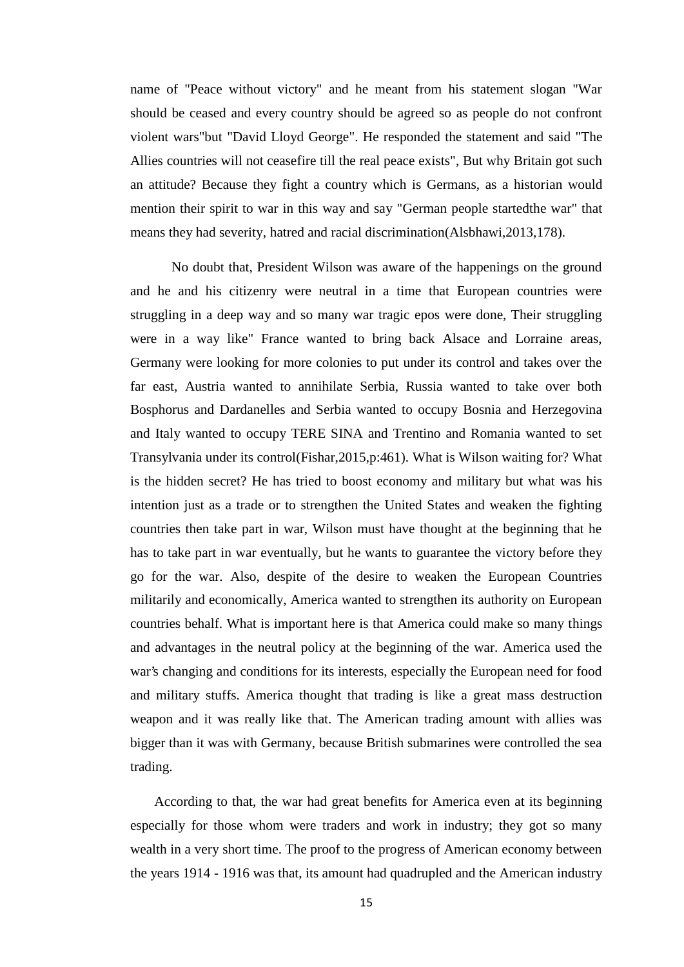name of "Peace without victory" and he meant from his statement slogan "War should be ceased and every country should be agreed so as people do not confront violent wars"but "David Lloyd George". He responded the statement and said "The Allies countries will not ceasefire till the real peace exists", But why Britain got such an attitude? Because they fight a country which is Germans, as a historian would mention their spirit to war in this way and say "German people startedthe war" that means they had severity, hatred and racial discrimination(Alsbhawi,2013,178).

No doubt that, President Wilson was aware of the happenings on the ground and he and his citizenry were neutral in a time that European countries were struggling in a deep way and so many war tragic epos were done, Their struggling were in a way like" France wanted to bring back Alsace and Lorraine areas, Germany were looking for more colonies to put under its control and takes over the far east, Austria wanted to annihilate Serbia, Russia wanted to take over both Bosphorus and Dardanelles and Serbia wanted to occupy Bosnia and Herzegovina and Italy wanted to occupy TERE SINA and Trentino and Romania wanted to set Transylvania under its control(Fishar,2015,p:461). What is Wilson waiting for? What is the hidden secret? He has tried to boost economy and military but what was his intention just as a trade or to strengthen the United States and weaken the fighting countries then take part in war, Wilson must have thought at the beginning that he has to take part in war eventually, but he wants to guarantee the victory before they go for the war. Also, despite of the desire to weaken the European Countries militarily and economically, America wanted to strengthen its authority on European countries behalf. What is important here is that America could make so many things and advantages in the neutral policy at the beginning of the war. America used the war's changing and conditions for its interests, especially the European need for food and military stuffs. America thought that trading is like a great mass destruction weapon and it was really like that. The American trading amount with allies was bigger than it was with Germany, because British submarines were controlled the sea trading.

According to that, the war had great benefits for America even at its beginning especially for those whom were traders and work in industry; they got so many wealth in a very short time. The proof to the progress of American economy between the years 1914 - 1916 was that, its amount had quadrupled and the American industry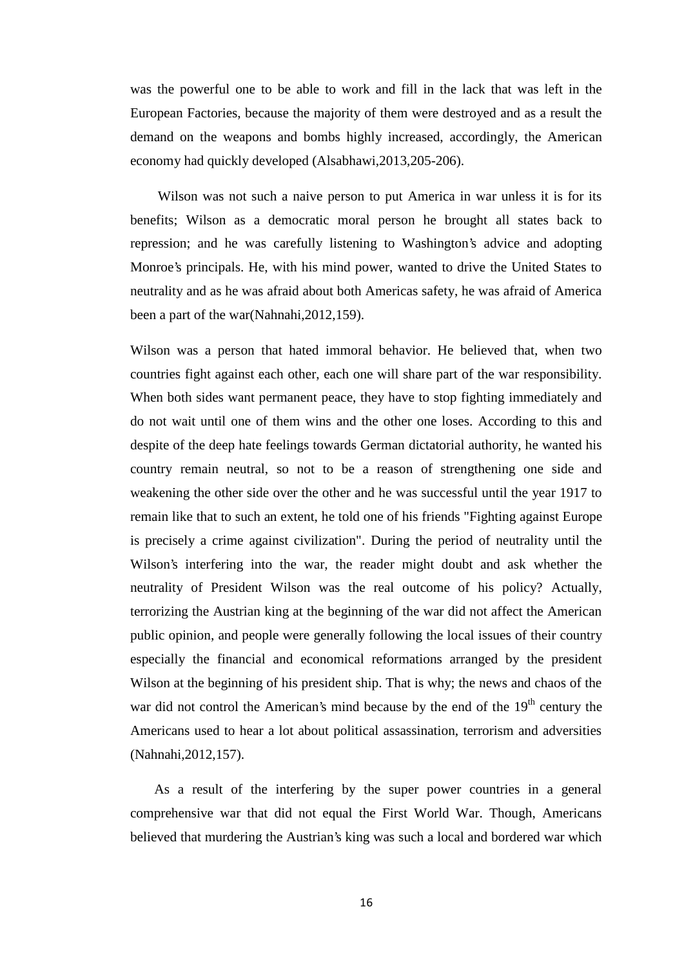was the powerful one to be able to work and fill in the lack that was left in the European Factories, because the majority of them were destroyed and as a result the demand on the weapons and bombs highly increased, accordingly, the American economy had quickly developed (Alsabhawi,2013,205-206).

Wilson was not such a naive person to put America in war unless it is for its benefits; Wilson as a democratic moral person he brought all states back to repression; and he was carefully listening to Washington's advice and adopting Monroe's principals. He, with his mind power, wanted to drive the United States to neutrality and as he was afraid about both Americas safety, he was afraid of America been a part of the war(Nahnahi,2012,159).

Wilson was a person that hated immoral behavior. He believed that, when two countries fight against each other, each one will share part of the war responsibility. When both sides want permanent peace, they have to stop fighting immediately and do not wait until one of them wins and the other one loses. According to this and despite of the deep hate feelings towards German dictatorial authority, he wanted his country remain neutral, so not to be a reason of strengthening one side and weakening the other side over the other and he was successful until the year 1917 to remain like that to such an extent, he told one of his friends "Fighting against Europe is precisely a crime against civilization". During the period of neutrality until the Wilson's interfering into the war, the reader might doubt and ask whether the neutrality of President Wilson was the real outcome of his policy? Actually, terrorizing the Austrian king at the beginning of the war did not affect the American public opinion, and people were generally following the local issues of their country especially the financial and economical reformations arranged by the president Wilson at the beginning of his president ship. That is why; the news and chaos of the war did not control the American's mind because by the end of the  $19<sup>th</sup>$  century the Americans used to hear a lot about political assassination, terrorism and adversities (Nahnahi,2012,157).

As a result of the interfering by the super power countries in a general comprehensive war that did not equal the First World War. Though, Americans believed that murdering the Austrian's king was such a local and bordered war which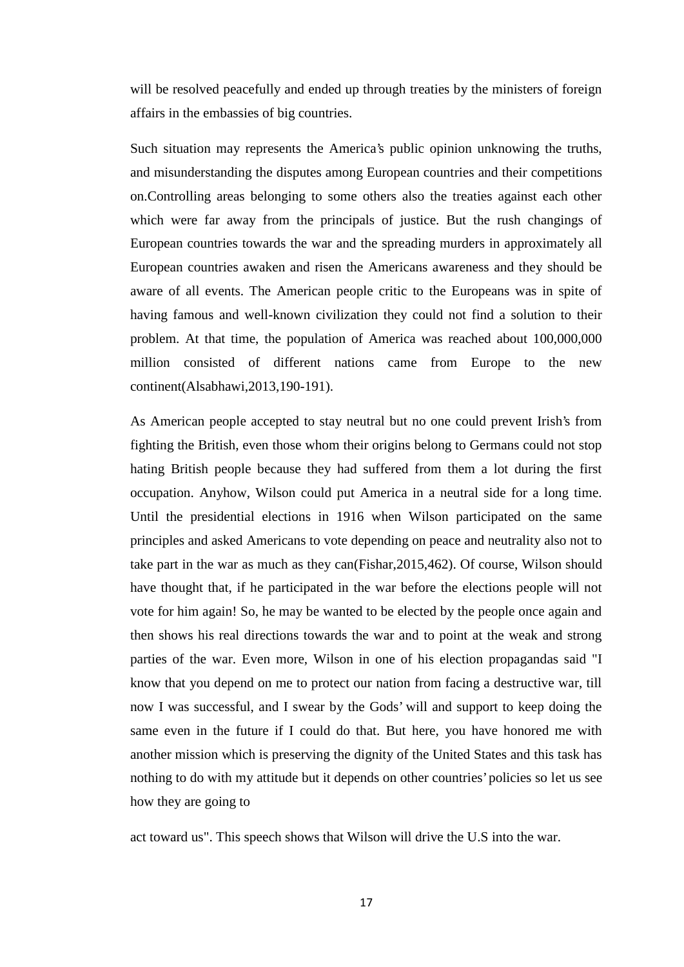will be resolved peacefully and ended up through treaties by the ministers of foreign affairs in the embassies of big countries.

Such situation may represents the America's public opinion unknowing the truths, and misunderstanding the disputes among European countries and their competitions on.Controlling areas belonging to some others also the treaties against each other which were far away from the principals of justice. But the rush changings of European countries towards the war and the spreading murders in approximately all European countries awaken and risen the Americans awareness and they should be aware of all events. The American people critic to the Europeans was in spite of having famous and well-known civilization they could not find a solution to their problem. At that time, the population of America was reached about 100,000,000 million consisted of different nations came from Europe to the new continent(Alsabhawi,2013,190-191).

As American people accepted to stay neutral but no one could prevent Irish's from fighting the British, even those whom their origins belong to Germans could not stop hating British people because they had suffered from them a lot during the first occupation. Anyhow, Wilson could put America in a neutral side for a long time. Until the presidential elections in 1916 when Wilson participated on the same principles and asked Americans to vote depending on peace and neutrality also not to take part in the war as much as they can(Fishar,2015,462). Of course, Wilson should have thought that, if he participated in the war before the elections people will not vote for him again! So, he may be wanted to be elected by the people once again and then shows his real directions towards the war and to point at the weak and strong parties of the war. Even more, Wilson in one of his election propagandas said "I know that you depend on me to protect our nation from facing a destructive war, till now I was successful, and I swear by the Gods' will and support to keep doing the same even in the future if I could do that. But here, you have honored me with another mission which is preserving the dignity of the United States and this task has nothing to do with my attitude but it depends on other countries' policies so let us see how they are going to

act toward us". This speech shows that Wilson will drive the U.S into the war.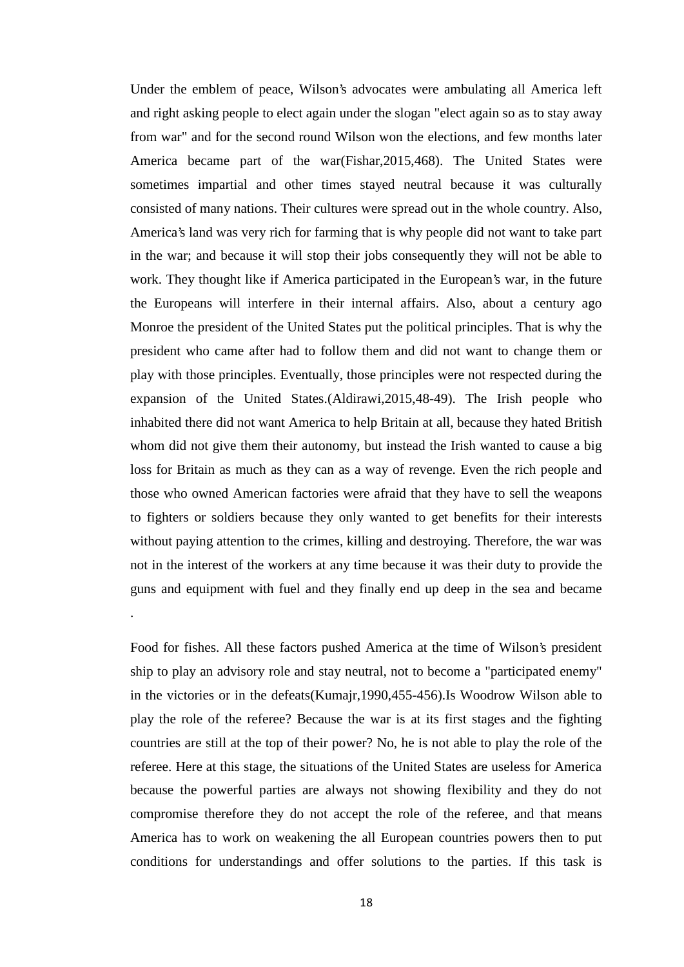Under the emblem of peace, Wilson's advocates were ambulating all America left and right asking people to elect again under the slogan "elect again so as to stay away from war" and for the second round Wilson won the elections, and few months later America became part of the war(Fishar,2015,468). The United States were sometimes impartial and other times stayed neutral because it was culturally consisted of many nations. Their cultures were spread out in the whole country. Also, America's land was very rich for farming that is why people did not want to take part in the war; and because it will stop their jobs consequently they will not be able to work. They thought like if America participated in the European's war, in the future the Europeans will interfere in their internal affairs. Also, about a century ago Monroe the president of the United States put the political principles. That is why the president who came after had to follow them and did not want to change them or play with those principles. Eventually, those principles were not respected during the expansion of the United States.(Aldirawi,2015,48-49). The Irish people who inhabited there did not want America to help Britain at all, because they hated British whom did not give them their autonomy, but instead the Irish wanted to cause a big loss for Britain as much as they can as a way of revenge. Even the rich people and those who owned American factories were afraid that they have to sell the weapons to fighters or soldiers because they only wanted to get benefits for their interests without paying attention to the crimes, killing and destroying. Therefore, the war was not in the interest of the workers at any time because it was their duty to provide the guns and equipment with fuel and they finally end up deep in the sea and became

.Food for fishes. All these factors pushed America at the time of Wilson's president ship to play an advisory role and stay neutral, not to become a "participated enemy" in the victories or in the defeats(Kumajr,1990,455-456).Is Woodrow Wilson able to play the role of the referee? Because the war is at its first stages and the fighting countries are still at the top of their power? No, he is not able to play the role of the referee. Here at this stage, the situations of the United States are useless for America because the powerful parties are always not showing flexibility and they do not compromise therefore they do not accept the role of the referee, and that means America has to work on weakening the all European countries powers then to put conditions for understandings and offer solutions to the parties. If this task is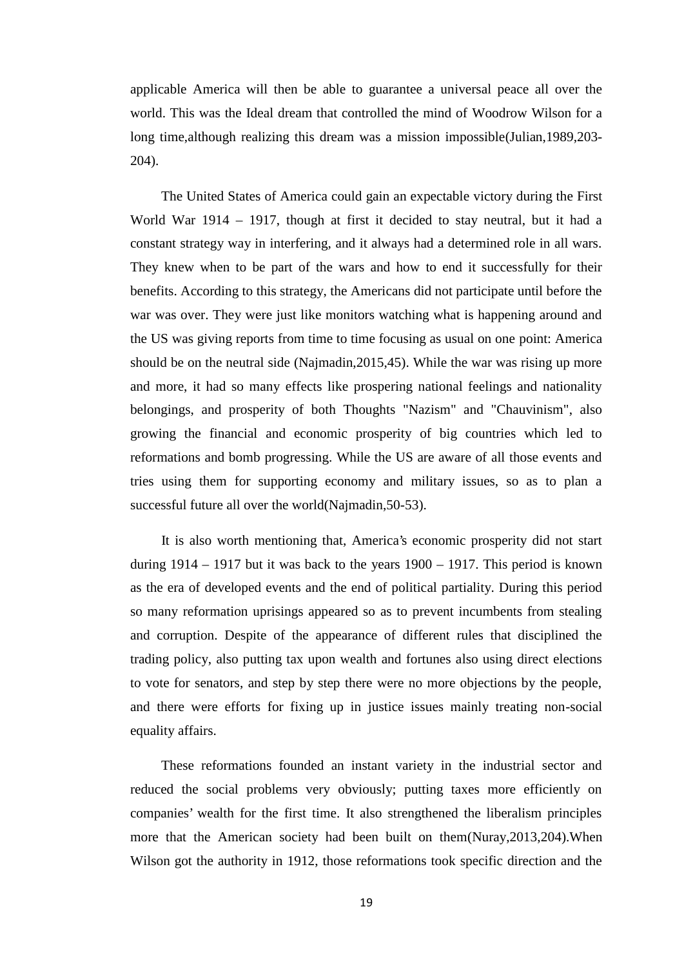applicable America will then be able to guarantee a universal peace all over the world. This was the Ideal dream that controlled the mind of Woodrow Wilson for a long time,although realizing this dream was a mission impossible(Julian,1989,203- 204).

The United States of America could gain an expectable victory during the First World War 1914 – 1917, though at first it decided to stay neutral, but it had a constant strategy way in interfering, and it always had a determined role in all wars. They knew when to be part of the wars and how to end it successfully for their benefits. According to this strategy, the Americans did not participate until before the war was over. They were just like monitors watching what is happening around and the US was giving reports from time to time focusing as usual on one point: America should be on the neutral side (Najmadin,2015,45). While the war was rising up more and more, it had so many effects like prospering national feelings and nationality belongings, and prosperity of both Thoughts "Nazism" and "Chauvinism", also growing the financial and economic prosperity of big countries which led to reformations and bomb progressing. While the US are aware of all those events and tries using them for supporting economy and military issues, so as to plan a successful future all over the world(Najmadin,50-53).

It is also worth mentioning that, America's economic prosperity did not start during  $1914 - 1917$  but it was back to the years  $1900 - 1917$ . This period is known as the era of developed events and the end of political partiality. During this period so many reformation uprisings appeared so as to prevent incumbents from stealing and corruption. Despite of the appearance of different rules that disciplined the trading policy, also putting tax upon wealth and fortunes also using direct elections to vote for senators, and step by step there were no more objections by the people, and there were efforts for fixing up in justice issues mainly treating non-social equality affairs.

These reformations founded an instant variety in the industrial sector and reduced the social problems very obviously; putting taxes more efficiently on companies' wealth for the first time. It also strengthened the liberalism principles more that the American society had been built on them(Nuray,2013,204).When Wilson got the authority in 1912, those reformations took specific direction and the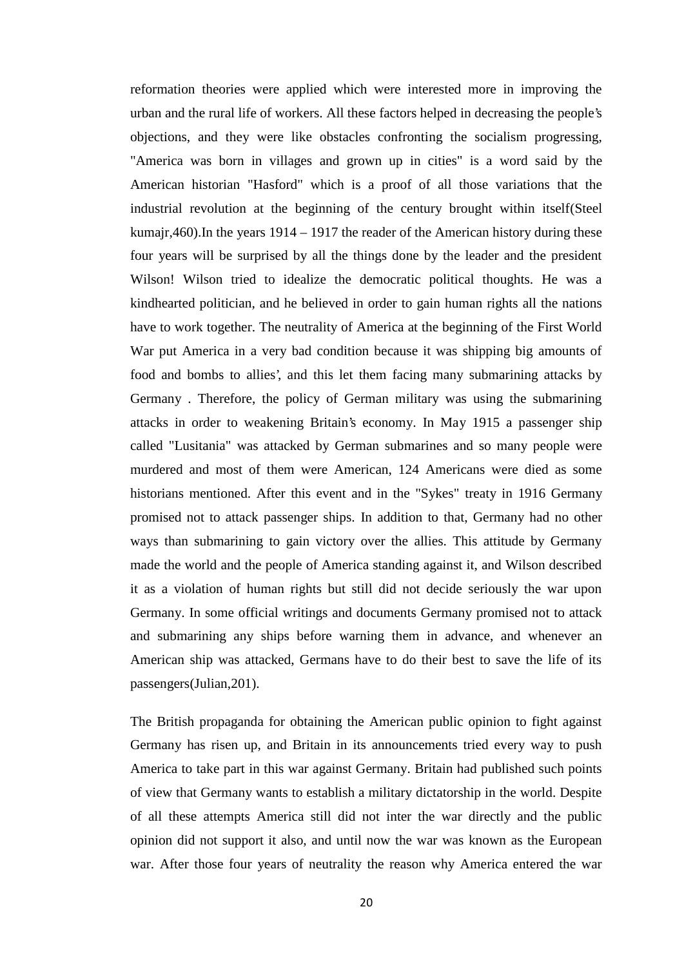reformation theories were applied which were interested more in improving the urban and the rural life of workers. All these factors helped in decreasing the people's objections, and they were like obstacles confronting the socialism progressing, "America was born in villages and grown up in cities" is a word said by the American historian "Hasford" which is a proof of all those variations that the industrial revolution at the beginning of the century brought within itself(Steel kumajr,460).In the years 1914 – 1917 the reader of the American history during these four years will be surprised by all the things done by the leader and the president Wilson! Wilson tried to idealize the democratic political thoughts. He was a kindhearted politician, and he believed in order to gain human rights all the nations have to work together. The neutrality of America at the beginning of the First World War put America in a very bad condition because it was shipping big amounts of food and bombs to allies', and this let them facing many submarining attacks by Germany . Therefore, the policy of German military was using the submarining attacks in order to weakening Britain's economy. In May 1915 a passenger ship called "Lusitania" was attacked by German submarines and so many people were murdered and most of them were American, 124 Americans were died as some historians mentioned. After this event and in the "Sykes" treaty in 1916 Germany promised not to attack passenger ships. In addition to that, Germany had no other ways than submarining to gain victory over the allies. This attitude by Germany made the world and the people of America standing against it, and Wilson described it as a violation of human rights but still did not decide seriously the war upon Germany. In some official writings and documents Germany promised not to attack and submarining any ships before warning them in advance, and whenever an American ship was attacked, Germans have to do their best to save the life of its passengers(Julian,201).

The British propaganda for obtaining the American public opinion to fight against Germany has risen up, and Britain in its announcements tried every way to push America to take part in this war against Germany. Britain had published such points of view that Germany wants to establish a military dictatorship in the world. Despite of all these attempts America still did not inter the war directly and the public opinion did not support it also, and until now the war was known as the European war. After those four years of neutrality the reason why America entered the war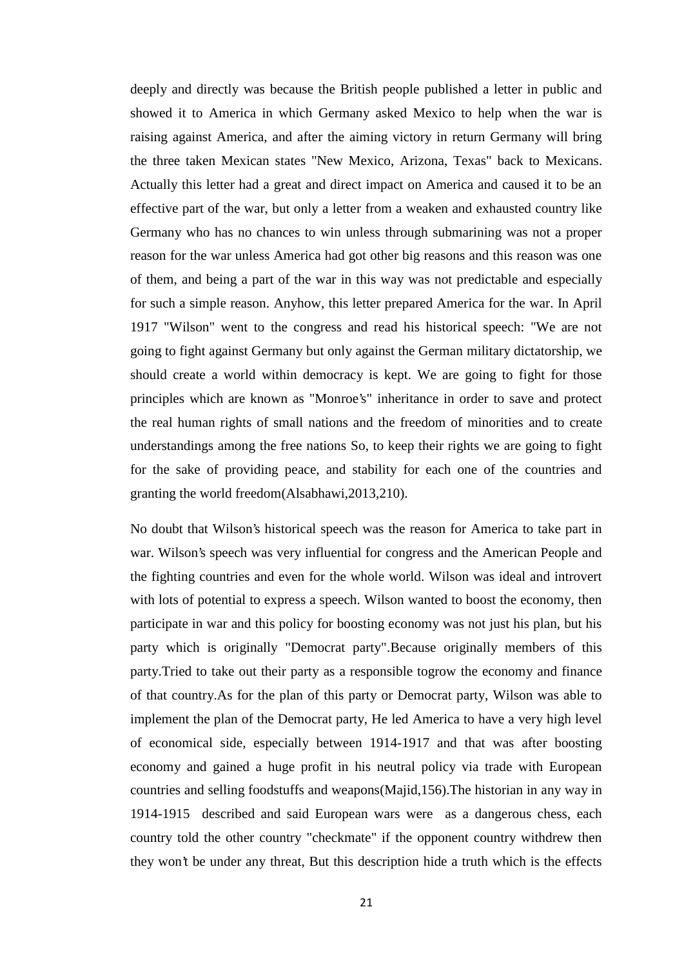deeply and directly was because the British people published a letter in public and showed it to America in which Germany asked Mexico to help when the war is raising against America, and after the aiming victory in return Germany will bring the three taken Mexican states "New Mexico, Arizona, Texas" back to Mexicans. Actually this letter had a great and direct impact on America and caused it to be an effective part of the war, but only a letter from a weaken and exhausted country like Germany who has no chances to win unless through submarining was not a proper reason for the war unless America had got other big reasons and this reason was one of them, and being a part of the war in this way was not predictable and especially for such a simple reason. Anyhow, this letter prepared America for the war. In April 1917 "Wilson" went to the congress and read his historical speech: "We are not going to fight against Germany but only against the German military dictatorship, we should create a world within democracy is kept. We are going to fight for those principles which are known as "Monroe's" inheritance in order to save and protect the real human rights of small nations and the freedom of minorities and to create understandings among the free nations So, to keep their rights we are going to fight for the sake of providing peace, and stability for each one of the countries and granting the world freedom(Alsabhawi,2013,210).

No doubt that Wilson's historical speech was the reason for America to take part in war. Wilson's speech was very influential for congress and the American People and the fighting countries and even for the whole world. Wilson was ideal and introvert with lots of potential to express a speech. Wilson wanted to boost the economy, then participate in war and this policy for boosting economy was not just his plan, but his party which is originally "Democrat party".Because originally members of this party.Tried to take out their party as a responsible togrow the economy and finance of that country.As for the plan of this party or Democrat party, Wilson was able to implement the plan of the Democrat party, He led America to have a very high level of economical side, especially between 1914-1917 and that was after boosting economy and gained a huge profit in his neutral policy via trade with European countries and selling foodstuffs and weapons(Majid,156).The historian in any way in 1914-1915 described and said European wars were as a dangerous chess, each country told the other country "checkmate" if the opponent country withdrew then they won't be under any threat, But this description hide a truth which is the effects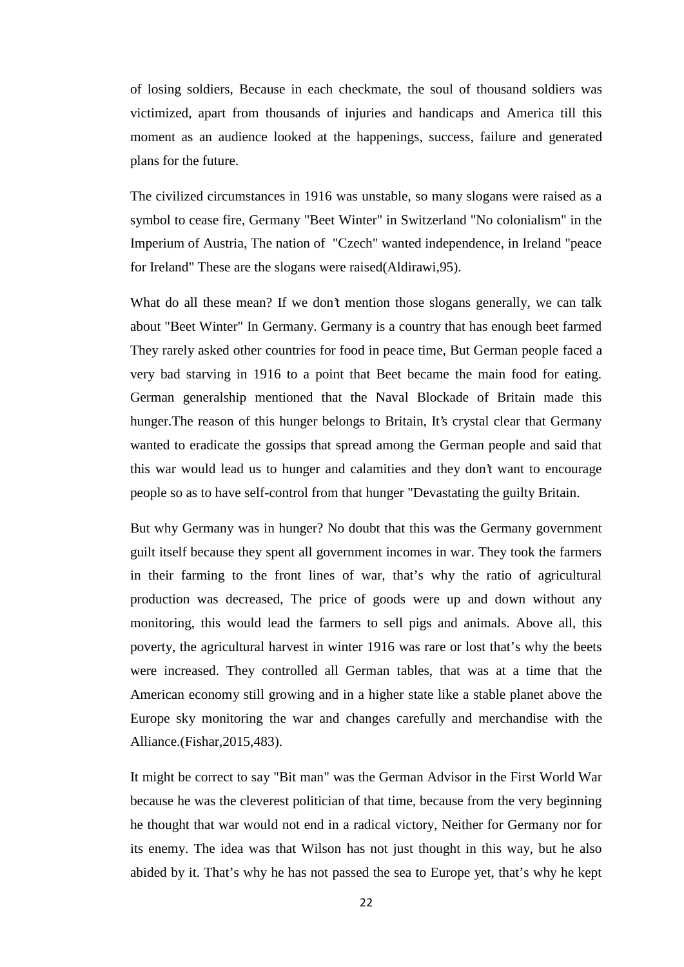of losing soldiers, Because in each checkmate, the soul of thousand soldiers was victimized, apart from thousands of injuries and handicaps and America till this moment as an audience looked at the happenings, success, failure and generated plans for the future.

The civilized circumstances in 1916 was unstable, so many slogans were raised as a symbol to cease fire, Germany "Beet Winter" in Switzerland "No colonialism" in the Imperium of Austria, The nation of "Czech" wanted independence, in Ireland "peace for Ireland" These are the slogans were raised(Aldirawi,95).

What do all these mean? If we don't mention those slogans generally, we can talk about "Beet Winter" In Germany. Germany is a country that has enough beet farmed They rarely asked other countries for food in peace time, But German people faced a very bad starving in 1916 to a point that Beet became the main food for eating. German generalship mentioned that the Naval Blockade of Britain made this hunger.The reason of this hunger belongs to Britain, It's crystal clear that Germany wanted to eradicate the gossips that spread among the German people and said that this war would lead us to hunger and calamities and they don't want to encourage people so as to have self-control from that hunger "Devastating the guilty Britain.

But why Germany was in hunger? No doubt that this was the Germany government guilt itself because they spent all government incomes in war. They took the farmers in their farming to the front lines of war, that's why the ratio of agricultural production was decreased, The price of goods were up and down without any monitoring, this would lead the farmers to sell pigs and animals. Above all, this poverty, the agricultural harvest in winter 1916 was rare or lost that's why the beets were increased. They controlled all German tables, that was at a time that the American economy still growing and in a higher state like a stable planet above the Europe sky monitoring the war and changes carefully and merchandise with the Alliance.(Fishar,2015,483).

It might be correct to say "Bit man" was the German Advisor in the First World War because he was the cleverest politician of that time, because from the very beginning he thought that war would not end in a radical victory, Neither for Germany nor for its enemy. The idea was that Wilson has not just thought in this way, but he also abided by it. That's why he has not passed the sea to Europe yet, that's why he kept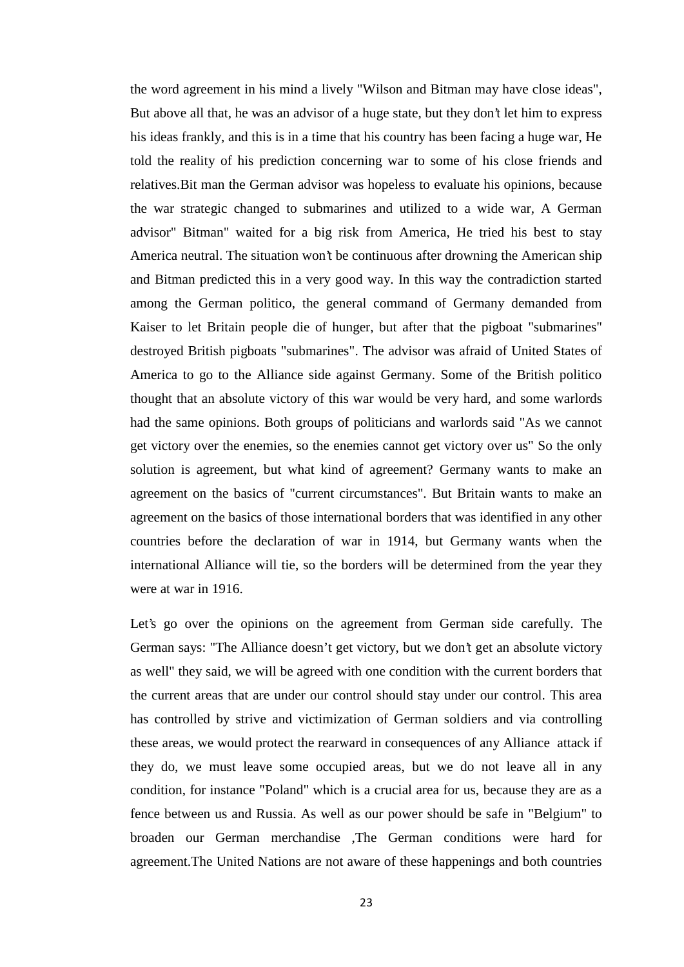the word agreement in his mind a lively "Wilson and Bitman may have close ideas", But above all that, he was an advisor of a huge state, but they don't let him to express his ideas frankly, and this is in a time that his country has been facing a huge war, He told the reality of his prediction concerning war to some of his close friends and relatives.Bit man the German advisor was hopeless to evaluate his opinions, because the war strategic changed to submarines and utilized to a wide war, A German advisor" Bitman" waited for a big risk from America, He tried his best to stay America neutral. The situation won't be continuous after drowning the American ship and Bitman predicted this in a very good way. In this way the contradiction started among the German politico, the general command of Germany demanded from Kaiser to let Britain people die of hunger, but after that the pigboat "submarines" destroyed British pigboats "submarines". The advisor was afraid of United States of America to go to the Alliance side against Germany. Some of the British politico thought that an absolute victory of this war would be very hard, and some warlords had the same opinions. Both groups of politicians and warlords said "As we cannot get victory over the enemies, so the enemies cannot get victory over us" So the only solution is agreement, but what kind of agreement? Germany wants to make an agreement on the basics of "current circumstances". But Britain wants to make an agreement on the basics of those international borders that was identified in any other countries before the declaration of war in 1914, but Germany wants when the international Alliance will tie, so the borders will be determined from the year they were at war in 1916.

Let's go over the opinions on the agreement from German side carefully. The German says: "The Alliance doesn't get victory, but we don't get an absolute victory as well" they said, we will be agreed with one condition with the current borders that the current areas that are under our control should stay under our control. This area has controlled by strive and victimization of German soldiers and via controlling these areas, we would protect the rearward in consequences of any Alliance attack if they do, we must leave some occupied areas, but we do not leave all in any condition, for instance "Poland" which is a crucial area for us, because they are as a fence between us and Russia. As well as our power should be safe in "Belgium" to broaden our German merchandise ,The German conditions were hard for agreement.The United Nations are not aware of these happenings and both countries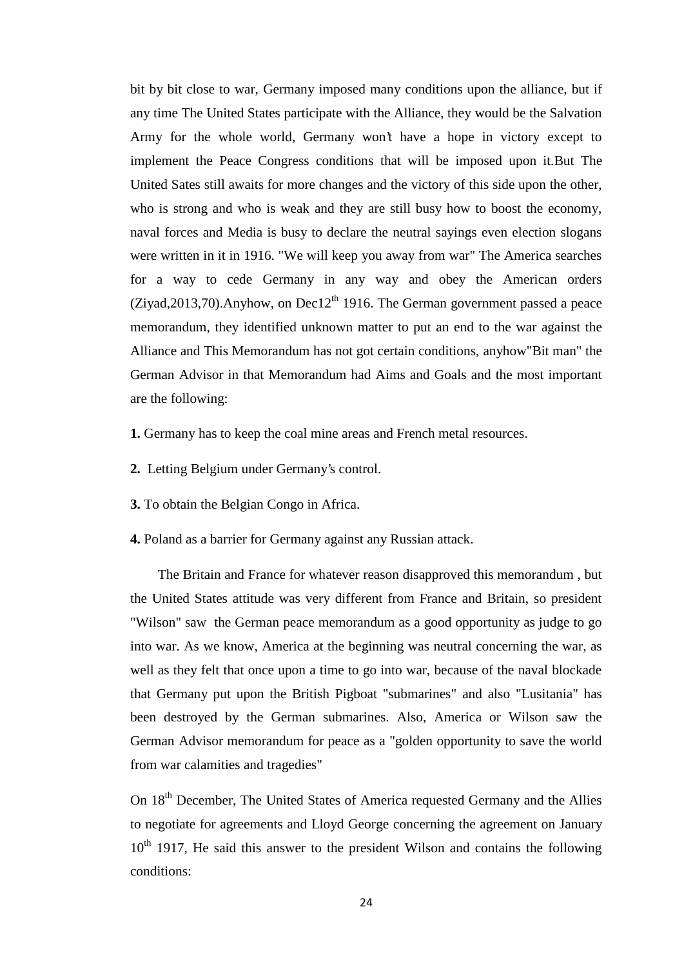bit by bit close to war, Germany imposed many conditions upon the alliance, but if any time The United States participate with the Alliance, they would be the Salvation Army for the whole world, Germany won't have a hope in victory except to implement the Peace Congress conditions that will be imposed upon it.But The United Sates still awaits for more changes and the victory of this side upon the other, who is strong and who is weak and they are still busy how to boost the economy, naval forces and Media is busy to declare the neutral sayings even election slogans were written in it in 1916. "We will keep you away from war" The America searches for a way to cede Germany in any way and obey the American orders  $(Ziyad,2013,70)$ .Anyhow, on Dec12<sup>th</sup> 1916. The German government passed a peace memorandum, they identified unknown matter to put an end to the war against the Alliance and This Memorandum has not got certain conditions, anyhow"Bit man" the German Advisor in that Memorandum had Aims and Goals and the most important are the following:

- **1.** Germany has to keep the coal mine areas and French metal resources.
- **2.** Letting Belgium under Germany's control.
- **3.** To obtain the Belgian Congo in Africa.
- **4.** Poland as a barrier for Germany against any Russian attack.

The Britain and France for whatever reason disapproved this memorandum , but the United States attitude was very different from France and Britain, so president "Wilson" saw the German peace memorandum as a good opportunity as judge to go into war. As we know, America at the beginning was neutral concerning the war, as well as they felt that once upon a time to go into war, because of the naval blockade that Germany put upon the British Pigboat "submarines" and also "Lusitania" has been destroyed by the German submarines. Also, America or Wilson saw the German Advisor memorandum for peace as a "golden opportunity to save the world from war calamities and tragedies"

On 18<sup>th</sup> December, The United States of America requested Germany and the Allies to negotiate for agreements and Lloyd George concerning the agreement on January  $10<sup>th</sup>$  1917, He said this answer to the president Wilson and contains the following conditions: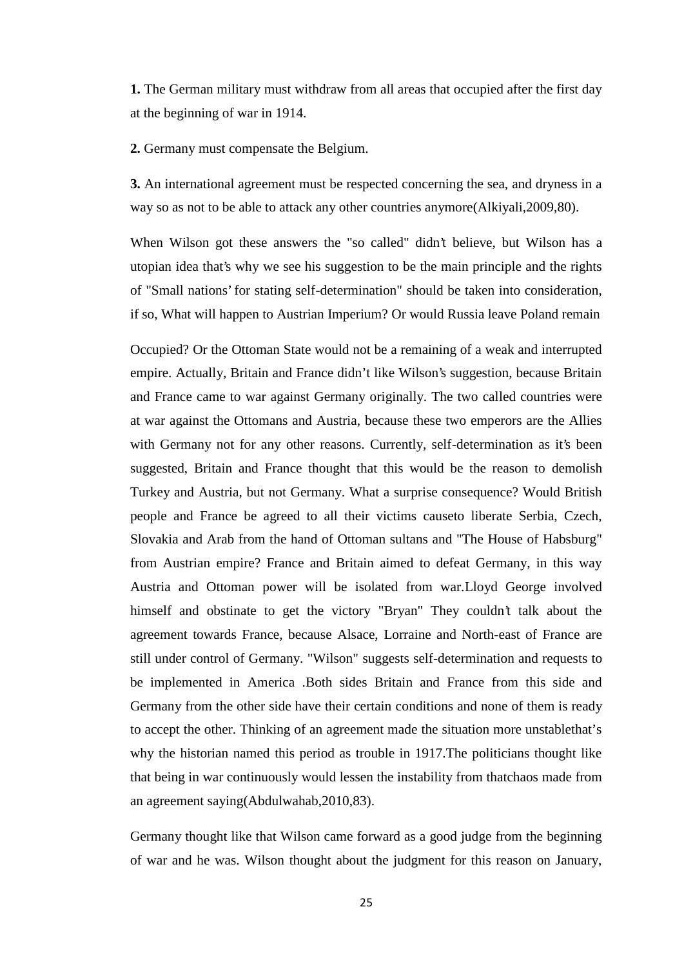**1.** The German military must withdraw from all areas that occupied after the first day at the beginning of war in 1914.

**2.** Germany must compensate the Belgium.

**3.** An international agreement must be respected concerning the sea, and dryness in a way so as not to be able to attack any other countries anymore(Alkiyali,2009,80).

When Wilson got these answers the "so called" didn't believe, but Wilson has a utopian idea that's why we see his suggestion to be the main principle and the rights of "Small nations' for stating self-determination" should be taken into consideration, if so, What will happen to Austrian Imperium? Or would Russia leave Poland remain

Occupied? Or the Ottoman State would not be a remaining of a weak and interrupted empire. Actually, Britain and France didn't like Wilson's suggestion, because Britain and France came to war against Germany originally. The two called countries were at war against the Ottomans and Austria, because these two emperors are the Allies with Germany not for any other reasons. Currently, self-determination as it's been suggested, Britain and France thought that this would be the reason to demolish Turkey and Austria, but not Germany. What a surprise consequence? Would British people and France be agreed to all their victims causeto liberate Serbia, Czech, Slovakia and Arab from the hand of Ottoman sultans and "The House of Habsburg" from Austrian empire? France and Britain aimed to defeat Germany, in this way Austria and Ottoman power will be isolated from war.Lloyd George involved himself and obstinate to get the victory "Bryan" They couldn't talk about the agreement towards France, because Alsace, Lorraine and North-east of France are still under control of Germany. "Wilson" suggests self-determination and requests to be implemented in America .Both sides Britain and France from this side and Germany from the other side have their certain conditions and none of them is ready to accept the other. Thinking of an agreement made the situation more unstablethat's why the historian named this period as trouble in 1917.The politicians thought like that being in war continuously would lessen the instability from thatchaos made from an agreement saying(Abdulwahab,2010,83).

Germany thought like that Wilson came forward as a good judge from the beginning of war and he was. Wilson thought about the judgment for this reason on January,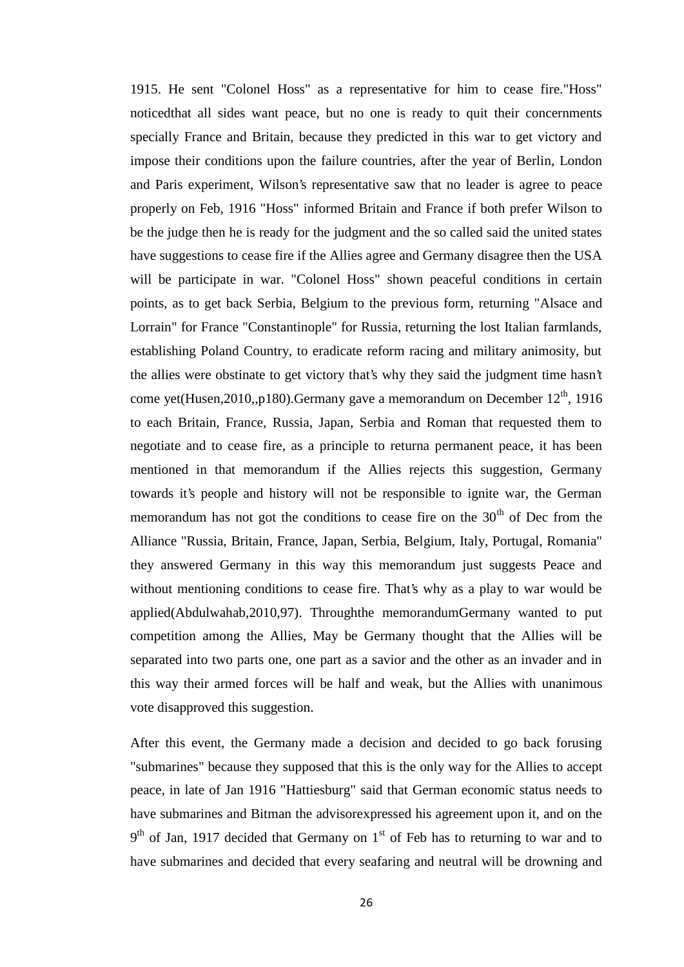1915. He sent "Colonel Hoss" as a representative for him to cease fire."Hoss" noticedthat all sides want peace, but no one is ready to quit their concernments specially France and Britain, because they predicted in this war to get victory and impose their conditions upon the failure countries, after the year of Berlin, London and Paris experiment, Wilson's representative saw that no leader is agree to peace properly on Feb, 1916 "Hoss" informed Britain and France if both prefer Wilson to be the judge then he is ready for the judgment and the so called said the united states have suggestions to cease fire if the Allies agree and Germany disagree then the USA will be participate in war. "Colonel Hoss" shown peaceful conditions in certain points, as to get back Serbia, Belgium to the previous form, returning "Alsace and Lorrain" for France "Constantinople" for Russia, returning the lost Italian farmlands, establishing Poland Country, to eradicate reform racing and military animosity, but the allies were obstinate to get victory that's why they said the judgment time hasn't come yet(Husen, 2010,, p180). Germany gave a memorandum on December  $12<sup>th</sup>$ , 1916 to each Britain, France, Russia, Japan, Serbia and Roman that requested them to negotiate and to cease fire, as a principle to returna permanent peace, it has been mentioned in that memorandum if the Allies rejects this suggestion, Germany towards it's people and history will not be responsible to ignite war, the German memorandum has not got the conditions to cease fire on the  $30<sup>th</sup>$  of Dec from the Alliance "Russia, Britain, France, Japan, Serbia, Belgium, Italy, Portugal, Romania" they answered Germany in this way this memorandum just suggests Peace and without mentioning conditions to cease fire. That's why as a play to war would be applied(Abdulwahab,2010,97). Throughthe memorandumGermany wanted to put competition among the Allies, May be Germany thought that the Allies will be separated into two parts one, one part as a savior and the other as an invader and in this way their armed forces will be half and weak, but the Allies with unanimous vote disapproved this suggestion.

After this event, the Germany made a decision and decided to go back forusing "submarines" because they supposed that this is the only way for the Allies to accept peace, in late of Jan 1916 "Hattiesburg" said that German economic status needs to have submarines and Bitman the advisorexpressed his agreement upon it, and on the 9<sup>th</sup> of Jan, 1917 decided that Germany on 1<sup>st</sup> of Feb has to returning to war and to have submarines and decided that every seafaring and neutral will be drowning and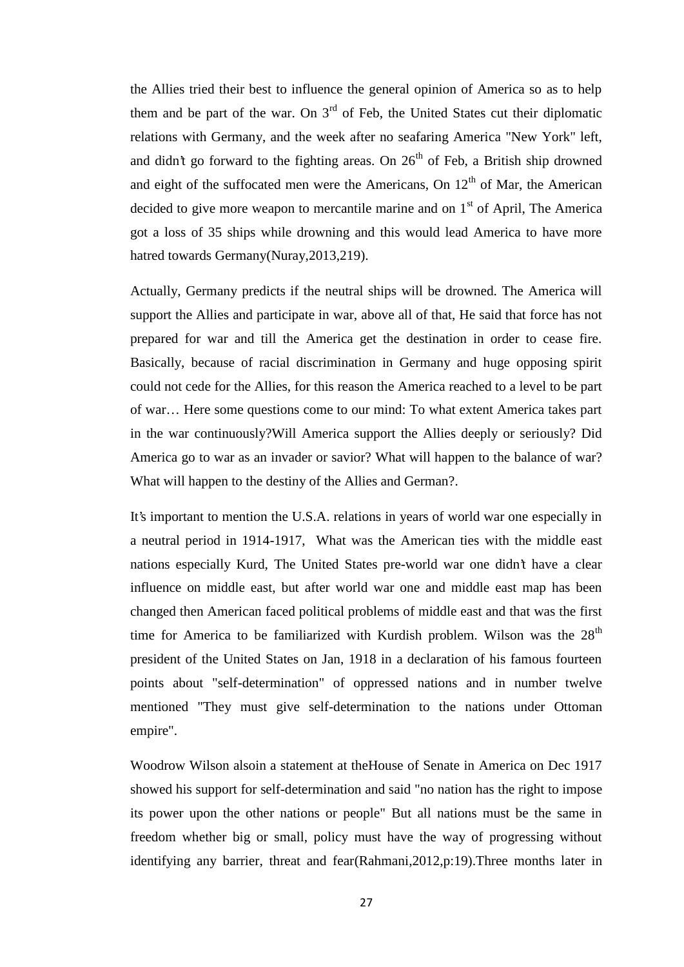the Allies tried their best to influence the general opinion of America so as to help them and be part of the war. On  $3<sup>rd</sup>$  of Feb, the United States cut their diplomatic relations with Germany, and the week after no seafaring America "New York" left, and didn't go forward to the fighting areas. On  $26<sup>th</sup>$  of Feb, a British ship drowned and eight of the suffocated men were the Americans, On  $12<sup>th</sup>$  of Mar, the American decided to give more weapon to mercantile marine and on  $1<sup>st</sup>$  of April, The America got a loss of 35 ships while drowning and this would lead America to have more hatred towards Germany(Nuray,2013,219).

Actually, Germany predicts if the neutral ships will be drowned. The America will support the Allies and participate in war, above all of that, He said that force has not prepared for war and till the America get the destination in order to cease fire. Basically, because of racial discrimination in Germany and huge opposing spirit could not cede for the Allies, for this reason the America reached to a level to be part of war… Here some questions come to our mind: To what extent America takes part in the war continuously?Will America support the Allies deeply or seriously? Did America go to war as an invader or savior? What will happen to the balance of war? What will happen to the destiny of the Allies and German?.

It's important to mention the U.S.A. relations in years of world war one especially in a neutral period in 1914-1917, What was the American ties with the middle east nations especially Kurd, The United States pre-world war one didn't have a clear influence on middle east, but after world war one and middle east map has been changed then American faced political problems of middle east and that was the first time for America to be familiarized with Kurdish problem. Wilson was the  $28<sup>th</sup>$ president of the United States on Jan, 1918 in a declaration of his famous fourteen points about "self-determination" of oppressed nations and in number twelve mentioned "They must give self-determination to the nations under Ottoman empire".

Woodrow Wilson alsoin a statement at theHouse of Senate in America on Dec 1917 showed his support for self-determination and said "no nation has the right to impose its power upon the other nations or people" But all nations must be the same in freedom whether big or small, policy must have the way of progressing without identifying any barrier, threat and fear(Rahmani,2012,p:19).Three months later in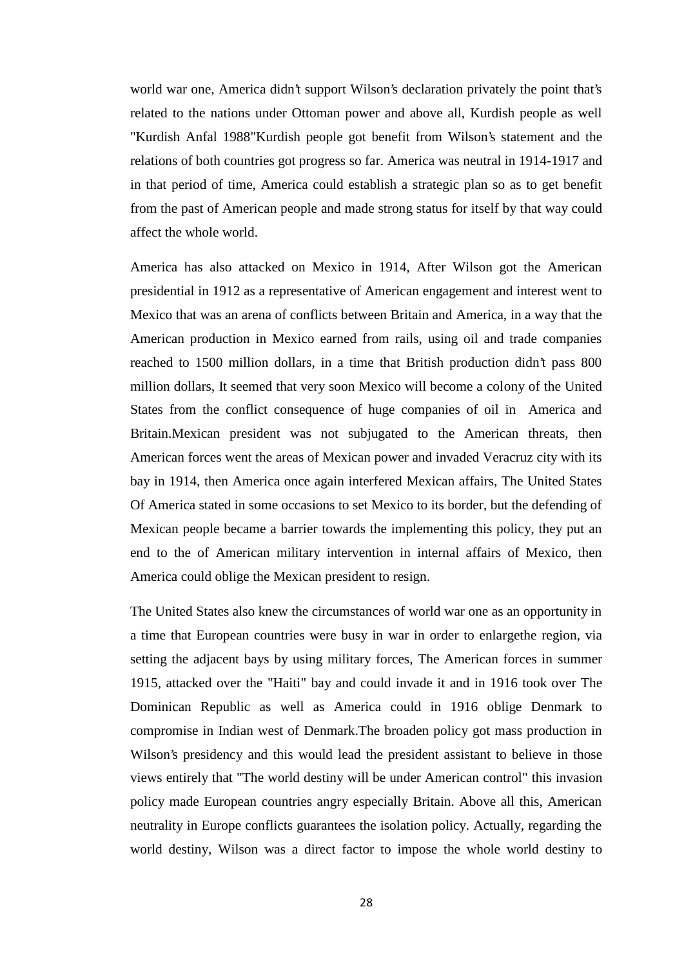world war one, America didn't support Wilson's declaration privately the point that's related to the nations under Ottoman power and above all, Kurdish people as well "Kurdish Anfal 1988"Kurdish people got benefit from Wilson's statement and the relations of both countries got progress so far. America was neutral in 1914-1917 and in that period of time, America could establish a strategic plan so as to get benefit from the past of American people and made strong status for itself by that way could affect the whole world.

America has also attacked on Mexico in 1914, After Wilson got the American presidential in 1912 as a representative of American engagement and interest went to Mexico that was an arena of conflicts between Britain and America, in a way that the American production in Mexico earned from rails, using oil and trade companies reached to 1500 million dollars, in a time that British production didn't pass 800 million dollars, It seemed that very soon Mexico will become a colony of the United States from the conflict consequence of huge companies of oil in America and Britain.Mexican president was not subjugated to the American threats, then American forces went the areas of Mexican power and invaded Veracruz city with its bay in 1914, then America once again interfered Mexican affairs, The United States Of America stated in some occasions to set Mexico to its border, but the defending of Mexican people became a barrier towards the implementing this policy, they put an end to the of American military intervention in internal affairs of Mexico, then America could oblige the Mexican president to resign.

The United States also knew the circumstances of world war one as an opportunity in a time that European countries were busy in war in order to enlargethe region, via setting the adjacent bays by using military forces, The American forces in summer 1915, attacked over the "Haiti" bay and could invade it and in 1916 took over The Dominican Republic as well as America could in 1916 oblige Denmark to compromise in Indian west of Denmark.The broaden policy got mass production in Wilson's presidency and this would lead the president assistant to believe in those views entirely that "The world destiny will be under American control" this invasion policy made European countries angry especially Britain. Above all this, American neutrality in Europe conflicts guarantees the isolation policy. Actually, regarding the world destiny, Wilson was a direct factor to impose the whole world destiny to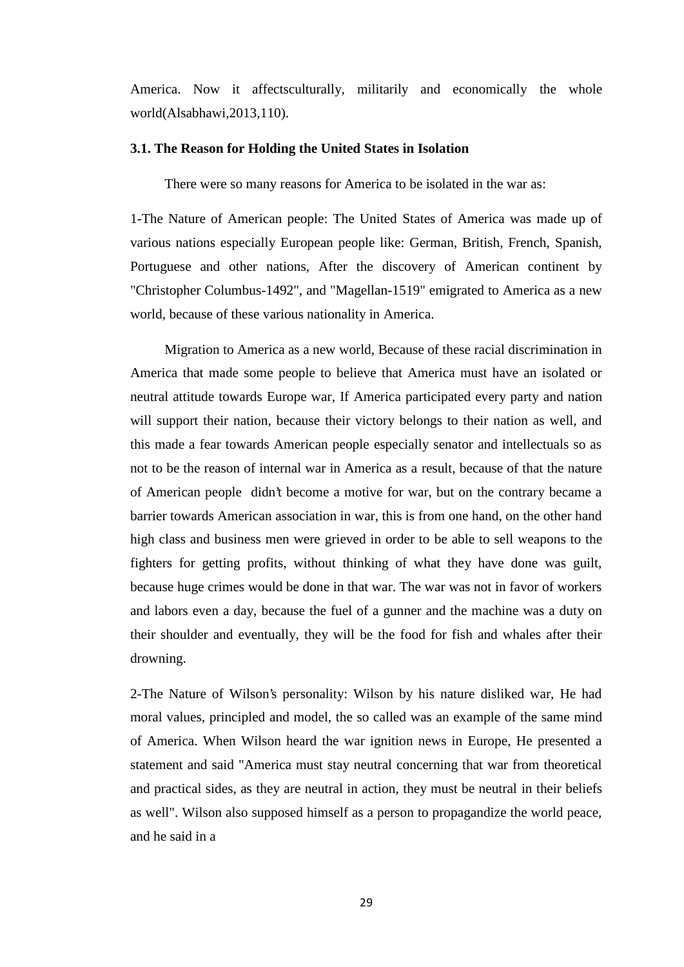America. Now it affectsculturally, militarily and economically the whole world(Alsabhawi,2013,110).

### **3.1. The Reason for Holding the United States in Isolation**

There were so many reasons for America to be isolated in the war as:

1-The Nature of American people: The United States of America was made up of various nations especially European people like: German, British, French, Spanish, Portuguese and other nations, After the discovery of American continent by "Christopher Columbus-1492", and "Magellan-1519" emigrated to America as a new world, because of these various nationality in America.

Migration to America as a new world, Because of these racial discrimination in America that made some people to believe that America must have an isolated or neutral attitude towards Europe war, If America participated every party and nation will support their nation, because their victory belongs to their nation as well, and this made a fear towards American people especially senator and intellectuals so as not to be the reason of internal war in America as a result, because of that the nature of American people didn't become a motive for war, but on the contrary became a barrier towards American association in war, this is from one hand, on the other hand high class and business men were grieved in order to be able to sell weapons to the fighters for getting profits, without thinking of what they have done was guilt, because huge crimes would be done in that war. The war was not in favor of workers and labors even a day, because the fuel of a gunner and the machine was a duty on their shoulder and eventually, they will be the food for fish and whales after their drowning.

2-The Nature of Wilson's personality: Wilson by his nature disliked war, He had moral values, principled and model, the so called was an example of the same mind of America. When Wilson heard the war ignition news in Europe, He presented a statement and said "America must stay neutral concerning that war from theoretical and practical sides, as they are neutral in action, they must be neutral in their beliefs as well". Wilson also supposed himself as a person to propagandize the world peace, and he said in a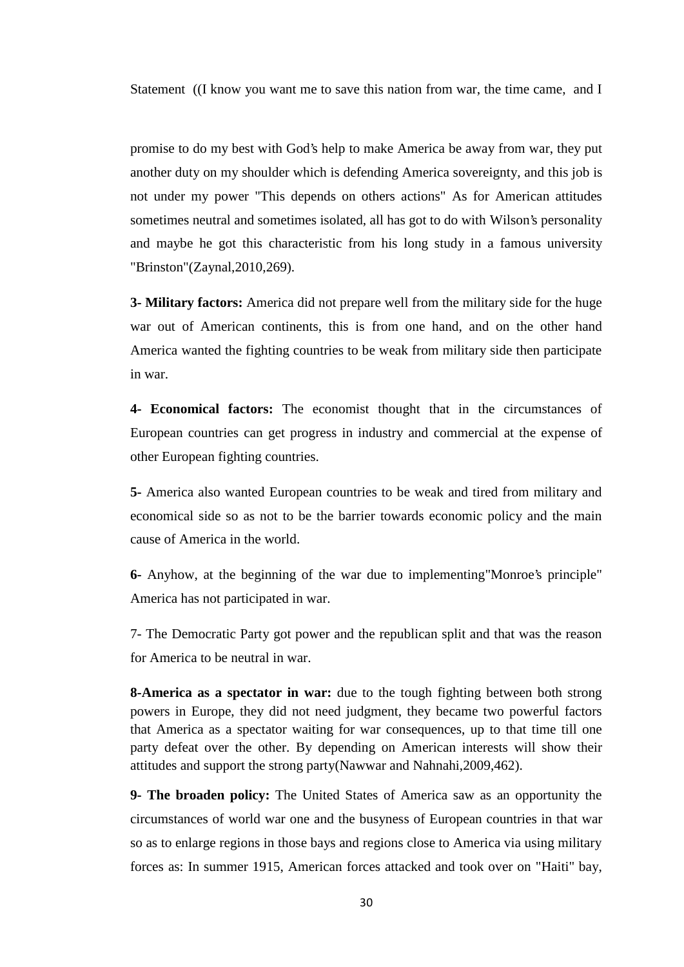Statement ((I know you want me to save this nation from war, the time came, and I

promise to do my best with God's help to make America be away from war, they put another duty on my shoulder which is defending America sovereignty, and this job is not under my power "This depends on others actions" As for American attitudes sometimes neutral and sometimes isolated, all has got to do with Wilson's personality and maybe he got this characteristic from his long study in a famous university "Brinston"(Zaynal,2010,269).

**3- Military factors:** America did not prepare well from the military side for the huge war out of American continents, this is from one hand, and on the other hand America wanted the fighting countries to be weak from military side then participate in war.

**4- Economical factors:** The economist thought that in the circumstances of European countries can get progress in industry and commercial at the expense of other European fighting countries.

**5-** America also wanted European countries to be weak and tired from military and economical side so as not to be the barrier towards economic policy and the main cause of America in the world.

**6-** Anyhow, at the beginning of the war due to implementing"Monroe's principle" America has not participated in war.

7- The Democratic Party got power and the republican split and that was the reason for America to be neutral in war.

**8-America as a spectator in war:** due to the tough fighting between both strong powers in Europe, they did not need judgment, they became two powerful factors that America as a spectator waiting for war consequences, up to that time till one party defeat over the other. By depending on American interests will show their attitudes and support the strong party(Nawwar and Nahnahi,2009,462).

**9- The broaden policy:** The United States of America saw as an opportunity the circumstances of world war one and the busyness of European countries in that war so as to enlarge regions in those bays and regions close to America via using military forces as: In summer 1915, American forces attacked and took over on "Haiti" bay,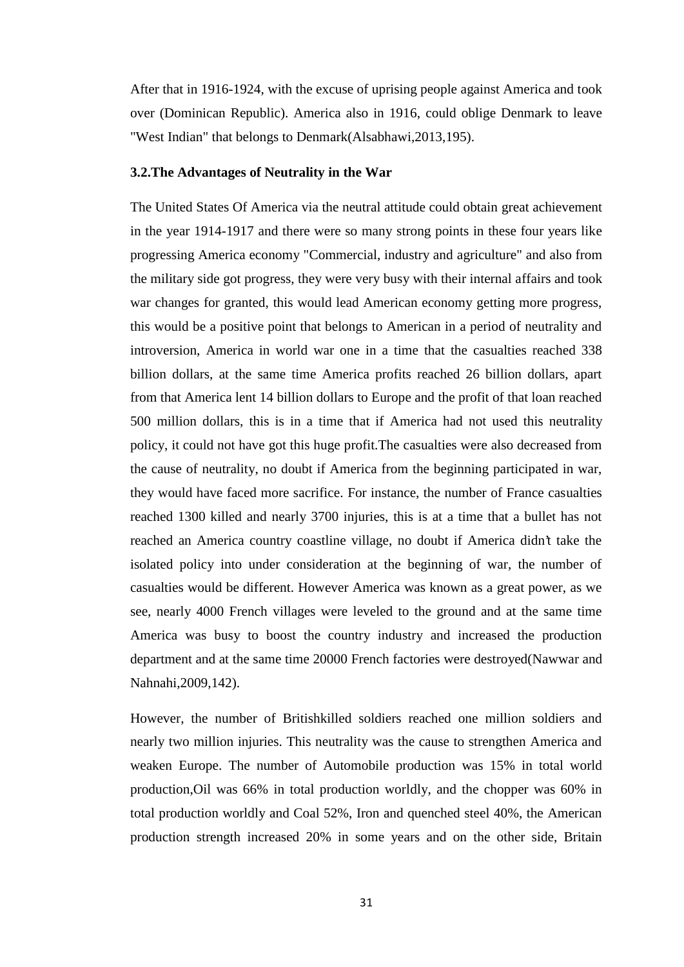After that in 1916-1924, with the excuse of uprising people against America and took over (Dominican Republic). America also in 1916, could oblige Denmark to leave "West Indian" that belongs to Denmark(Alsabhawi,2013,195).

### **3.2.The Advantages of Neutrality in the War**

The United States Of America via the neutral attitude could obtain great achievement in the year 1914-1917 and there were so many strong points in these four years like progressing America economy "Commercial, industry and agriculture" and also from the military side got progress, they were very busy with their internal affairs and took war changes for granted, this would lead American economy getting more progress, this would be a positive point that belongs to American in a period of neutrality and introversion, America in world war one in a time that the casualties reached 338 billion dollars, at the same time America profits reached 26 billion dollars, apart from that America lent 14 billion dollars to Europe and the profit of that loan reached 500 million dollars, this is in a time that if America had not used this neutrality policy, it could not have got this huge profit.The casualties were also decreased from the cause of neutrality, no doubt if America from the beginning participated in war, they would have faced more sacrifice. For instance, the number of France casualties reached 1300 killed and nearly 3700 injuries, this is at a time that a bullet has not reached an America country coastline village, no doubt if America didn't take the isolated policy into under consideration at the beginning of war, the number of casualties would be different. However America was known as a great power, as we see, nearly 4000 French villages were leveled to the ground and at the same time America was busy to boost the country industry and increased the production department and at the same time 20000 French factories were destroyed(Nawwar and Nahnahi,2009,142).

However, the number of Britishkilled soldiers reached one million soldiers and nearly two million injuries. This neutrality was the cause to strengthen America and weaken Europe. The number of Automobile production was 15% in total world production,Oil was 66% in total production worldly, and the chopper was 60% in total production worldly and Coal 52%, Iron and quenched steel 40%, the American production strength increased 20% in some years and on the other side, Britain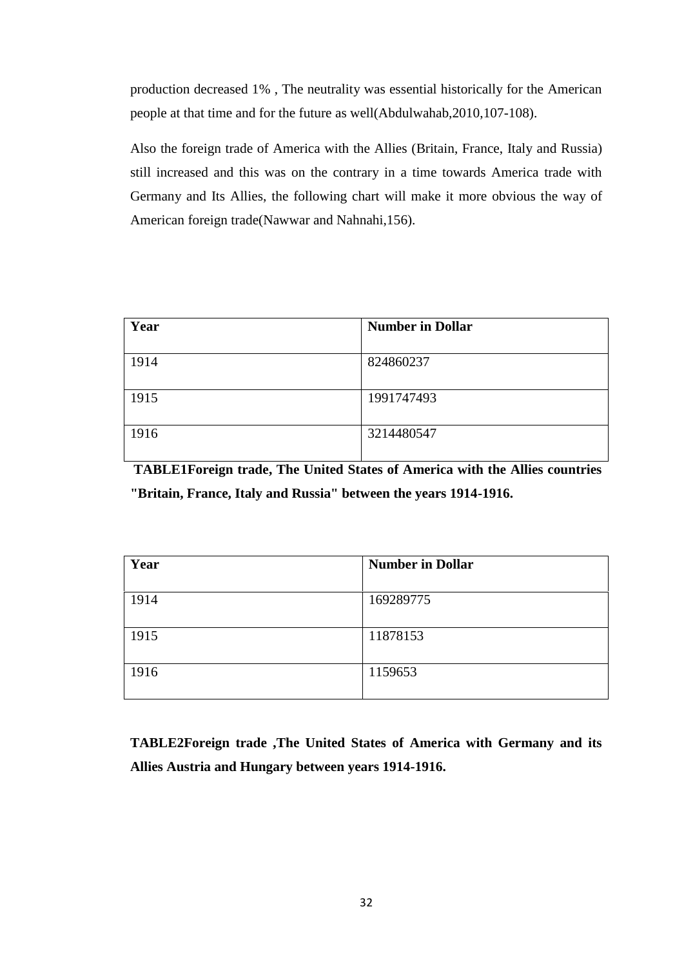production decreased 1% , The neutrality was essential historically for the American people at that time and for the future as well(Abdulwahab,2010,107-108).

Also the foreign trade of America with the Allies (Britain, France, Italy and Russia) still increased and this was on the contrary in a time towards America trade with Germany and Its Allies, the following chart will make it more obvious the way of American foreign trade(Nawwar and Nahnahi,156).

| Year | <b>Number in Dollar</b> |
|------|-------------------------|
| 1914 | 824860237               |
| 1915 | 1991747493              |
| 1916 | 3214480547              |

**TABLE1Foreign trade, The United States of America with the Allies countries "Britain, France, Italy and Russia" between the years 1914-1916.**

| Year | <b>Number in Dollar</b> |
|------|-------------------------|
| 1914 | 169289775               |
| 1915 | 11878153                |
| 1916 | 1159653                 |

**TABLE2Foreign trade ,The United States of America with Germany and its Allies Austria and Hungary between years 1914-1916.**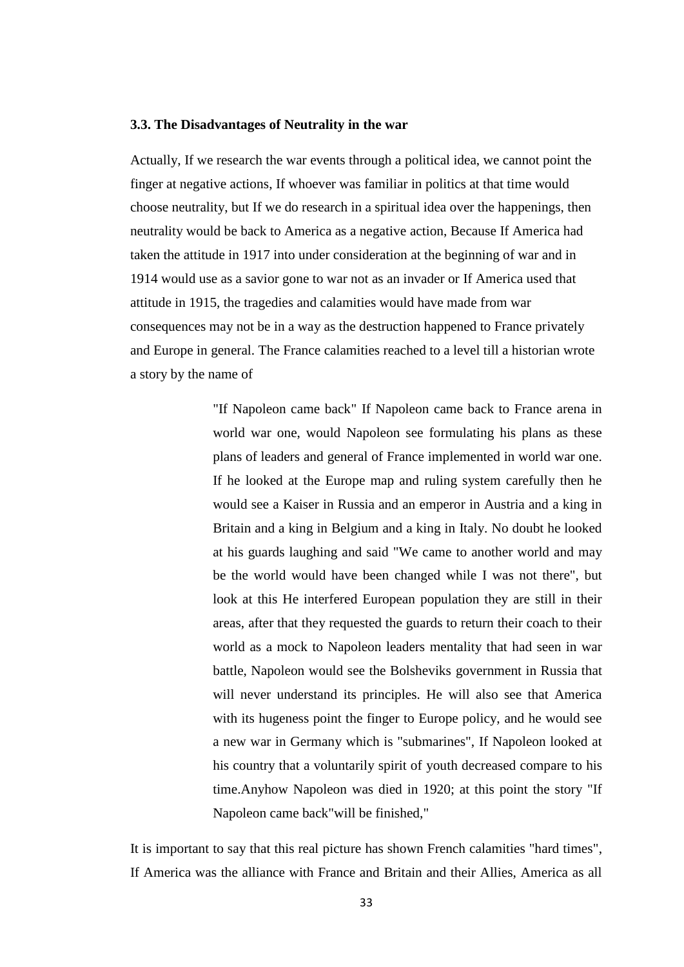#### **3.3. The Disadvantages of Neutrality in the war**

Actually, If we research the war events through a political idea, we cannot point the finger at negative actions, If whoever was familiar in politics at that time would choose neutrality, but If we do research in a spiritual idea over the happenings, then neutrality would be back to America as a negative action, Because If America had taken the attitude in 1917 into under consideration at the beginning of war and in 1914 would use as a savior gone to war not as an invader or If America used that attitude in 1915, the tragedies and calamities would have made from war consequences may not be in a way as the destruction happened to France privately and Europe in general. The France calamities reached to a level till a historian wrote a story by the name of

> "If Napoleon came back" If Napoleon came back to France arena in world war one, would Napoleon see formulating his plans as these plans of leaders and general of France implemented in world war one. If he looked at the Europe map and ruling system carefully then he would see a Kaiser in Russia and an emperor in Austria and a king in Britain and a king in Belgium and a king in Italy. No doubt he looked at his guards laughing and said "We came to another world and may be the world would have been changed while I was not there", but look at this He interfered European population they are still in their areas, after that they requested the guards to return their coach to their world as a mock to Napoleon leaders mentality that had seen in war battle, Napoleon would see the Bolsheviks government in Russia that will never understand its principles. He will also see that America with its hugeness point the finger to Europe policy, and he would see a new war in Germany which is "submarines", If Napoleon looked at his country that a voluntarily spirit of youth decreased compare to his time.Anyhow Napoleon was died in 1920; at this point the story "If Napoleon came back"will be finished,"

It is important to say that this real picture has shown French calamities "hard times", If America was the alliance with France and Britain and their Allies, America as all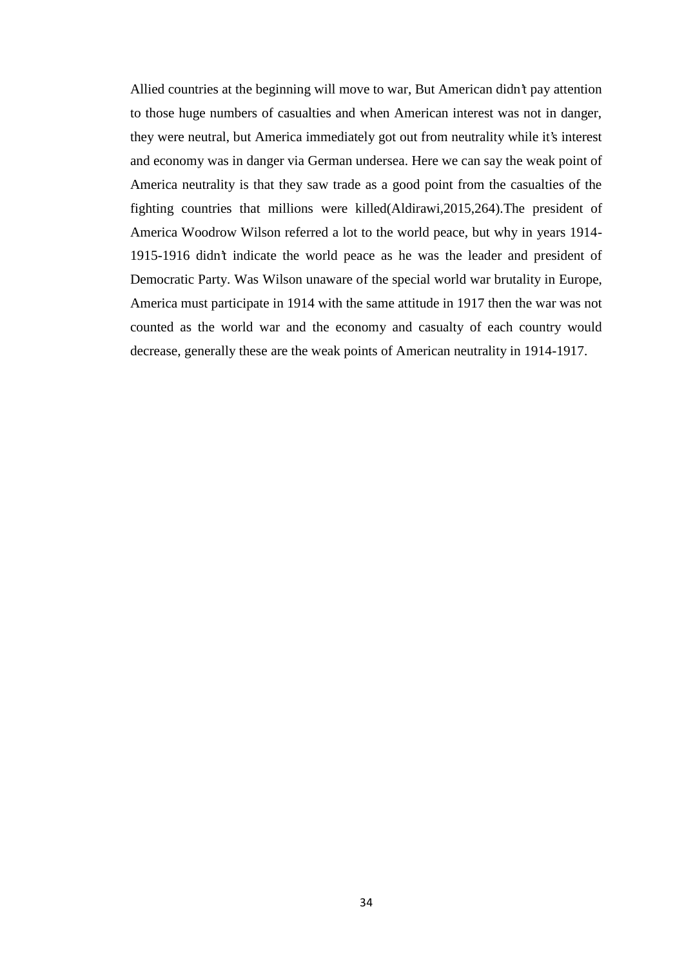Allied countries at the beginning will move to war, But American didn't pay attention to those huge numbers of casualties and when American interest was not in danger, they were neutral, but America immediately got out from neutrality while it's interest and economy was in danger via German undersea. Here we can say the weak point of America neutrality is that they saw trade as a good point from the casualties of the fighting countries that millions were killed(Aldirawi,2015,264).The president of America Woodrow Wilson referred a lot to the world peace, but why in years 1914- 1915-1916 didn't indicate the world peace as he was the leader and president of Democratic Party. Was Wilson unaware of the special world war brutality in Europe, America must participate in 1914 with the same attitude in 1917 then the war was not counted as the world war and the economy and casualty of each country would decrease, generally these are the weak points of American neutrality in 1914-1917.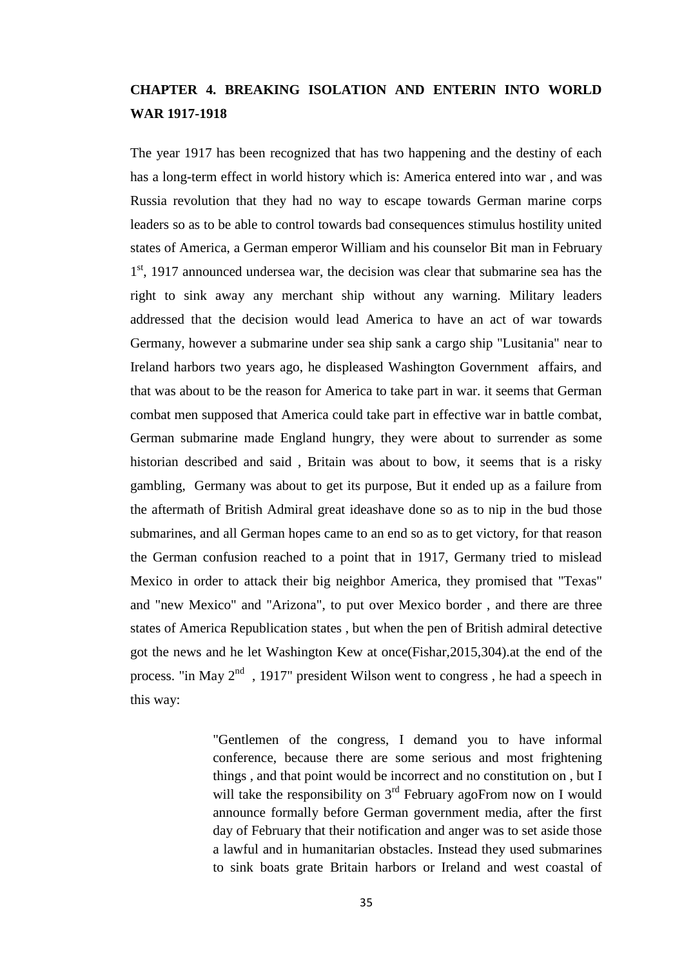# **CHAPTER 4. BREAKING ISOLATION AND ENTERIN INTO WORLD WAR 1917-1918**

The year 1917 has been recognized that has two happening and the destiny of each has a long-term effect in world history which is: America entered into war , and was Russia revolution that they had no way to escape towards German marine corps leaders so as to be able to control towards bad consequences stimulus hostility united states of America, a German emperor William and his counselor Bit man in February 1<sup>st</sup>, 1917 announced undersea war, the decision was clear that submarine sea has the right to sink away any merchant ship without any warning. Military leaders addressed that the decision would lead America to have an act of war towards Germany, however a submarine under sea ship sank a cargo ship "Lusitania" near to Ireland harbors two years ago, he displeased Washington Government affairs, and that was about to be the reason for America to take part in war. it seems that German combat men supposed that America could take part in effective war in battle combat, German submarine made England hungry, they were about to surrender as some historian described and said , Britain was about to bow, it seems that is a risky gambling, Germany was about to get its purpose, But it ended up as a failure from the aftermath of British Admiral great ideashave done so as to nip in the bud those submarines, and all German hopes came to an end so as to get victory, for that reason the German confusion reached to a point that in 1917, Germany tried to mislead Mexico in order to attack their big neighbor America, they promised that "Texas" and "new Mexico" and "Arizona", to put over Mexico border , and there are three states of America Republication states , but when the pen of British admiral detective got the news and he let Washington Kew at once(Fishar,2015,304).at the end of the process. "in May  $2^{nd}$ , 1917" president Wilson went to congress, he had a speech in this way:

> "Gentlemen of the congress, I demand you to have informal conference, because there are some serious and most frightening things , and that point would be incorrect and no constitution on , but I will take the responsibility on 3<sup>rd</sup> February agoFrom now on I would announce formally before German government media, after the first day of February that their notification and anger was to set aside those a lawful and in humanitarian obstacles. Instead they used submarines to sink boats grate Britain harbors or Ireland and west coastal of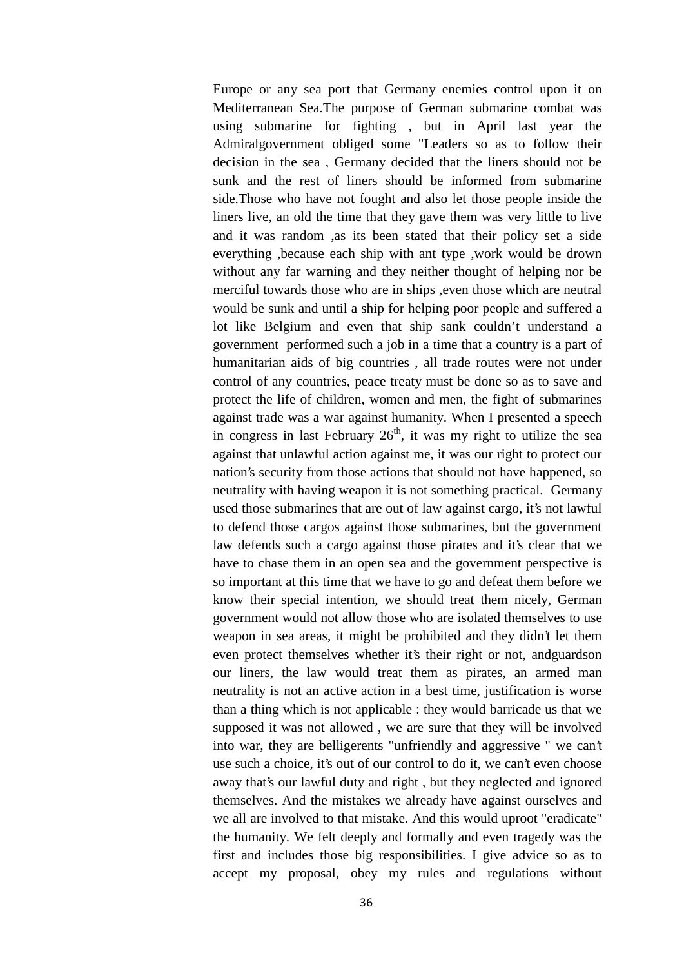Europe or any sea port that Germany enemies control upon it on Mediterranean Sea.The purpose of German submarine combat was using submarine for fighting , but in April last year the Admiralgovernment obliged some "Leaders so as to follow their decision in the sea , Germany decided that the liners should not be sunk and the rest of liners should be informed from submarine side.Those who have not fought and also let those people inside the liners live, an old the time that they gave them was very little to live and it was random ,as its been stated that their policy set a side everything ,because each ship with ant type ,work would be drown without any far warning and they neither thought of helping nor be merciful towards those who are in ships ,even those which are neutral would be sunk and until a ship for helping poor people and suffered a lot like Belgium and even that ship sank couldn't understand a government performed such a job in a time that a country is a part of humanitarian aids of big countries , all trade routes were not under control of any countries, peace treaty must be done so as to save and protect the life of children, women and men, the fight of submarines against trade was a war against humanity. When I presented a speech in congress in last February  $26<sup>th</sup>$ , it was my right to utilize the sea against that unlawful action against me, it was our right to protect our nation's security from those actions that should not have happened, so neutrality with having weapon it is not something practical. Germany used those submarines that are out of law against cargo, it's not lawful to defend those cargos against those submarines, but the government law defends such a cargo against those pirates and it's clear that we have to chase them in an open sea and the government perspective is so important at this time that we have to go and defeat them before we know their special intention, we should treat them nicely, German government would not allow those who are isolated themselves to use weapon in sea areas, it might be prohibited and they didn't let them even protect themselves whether it's their right or not, andguardson our liners, the law would treat them as pirates, an armed man neutrality is not an active action in a best time, justification is worse than a thing which is not applicable : they would barricade us that we supposed it was not allowed , we are sure that they will be involved into war, they are belligerents "unfriendly and aggressive " we can't use such a choice, it's out of our control to do it, we can't even choose away that's our lawful duty and right , but they neglected and ignored themselves. And the mistakes we already have against ourselves and we all are involved to that mistake. And this would uproot "eradicate" the humanity. We felt deeply and formally and even tragedy was the first and includes those big responsibilities. I give advice so as to accept my proposal, obey my rules and regulations without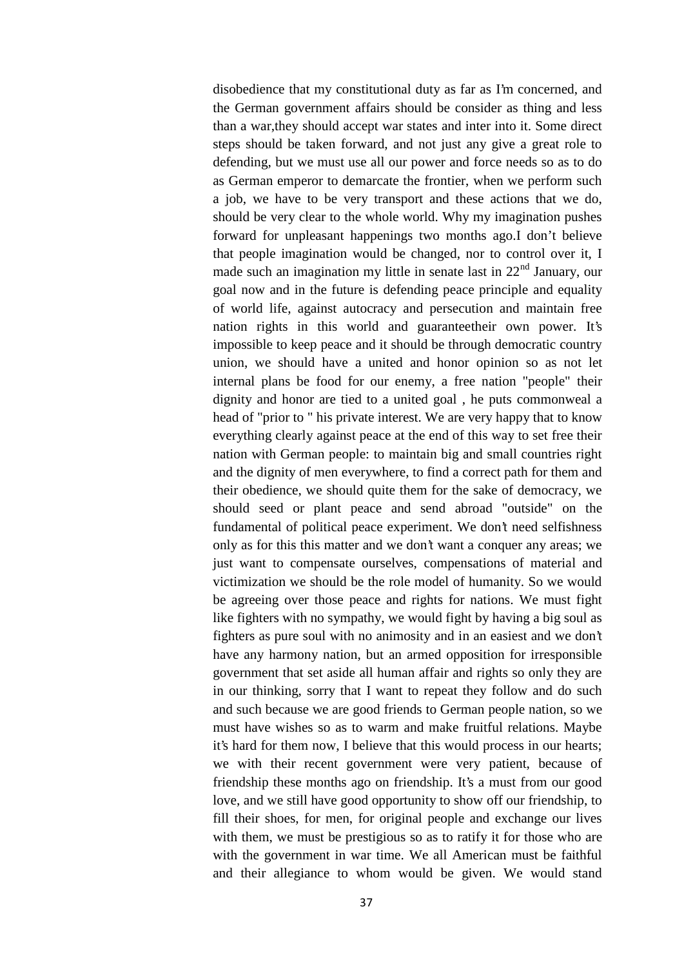disobedience that my constitutional duty as far as I'm concerned, and the German government affairs should be consider as thing and less than a war,they should accept war states and inter into it. Some direct steps should be taken forward, and not just any give a great role to defending, but we must use all our power and force needs so as to do as German emperor to demarcate the frontier, when we perform such a job, we have to be very transport and these actions that we do, should be very clear to the whole world. Why my imagination pushes forward for unpleasant happenings two months ago.I don't believe that people imagination would be changed, nor to control over it, I made such an imagination my little in senate last in  $22<sup>nd</sup>$  January, our goal now and in the future is defending peace principle and equality of world life, against autocracy and persecution and maintain free nation rights in this world and guaranteetheir own power. It's impossible to keep peace and it should be through democratic country union, we should have a united and honor opinion so as not let internal plans be food for our enemy, a free nation "people" their dignity and honor are tied to a united goal , he puts commonweal a head of "prior to " his private interest. We are very happy that to know everything clearly against peace at the end of this way to set free their nation with German people: to maintain big and small countries right and the dignity of men everywhere, to find a correct path for them and their obedience, we should quite them for the sake of democracy, we should seed or plant peace and send abroad "outside" on the fundamental of political peace experiment. We don't need selfishness only as for this this matter and we don't want a conquer any areas; we just want to compensate ourselves, compensations of material and victimization we should be the role model of humanity. So we would be agreeing over those peace and rights for nations. We must fight like fighters with no sympathy, we would fight by having a big soul as fighters as pure soul with no animosity and in an easiest and we don't have any harmony nation, but an armed opposition for irresponsible government that set aside all human affair and rights so only they are in our thinking, sorry that I want to repeat they follow and do such and such because we are good friends to German people nation, so we must have wishes so as to warm and make fruitful relations. Maybe it's hard for them now, I believe that this would process in our hearts; we with their recent government were very patient, because of friendship these months ago on friendship. It's a must from our good love, and we still have good opportunity to show off our friendship, to fill their shoes, for men, for original people and exchange our lives with them, we must be prestigious so as to ratify it for those who are with the government in war time. We all American must be faithful and their allegiance to whom would be given. We would stand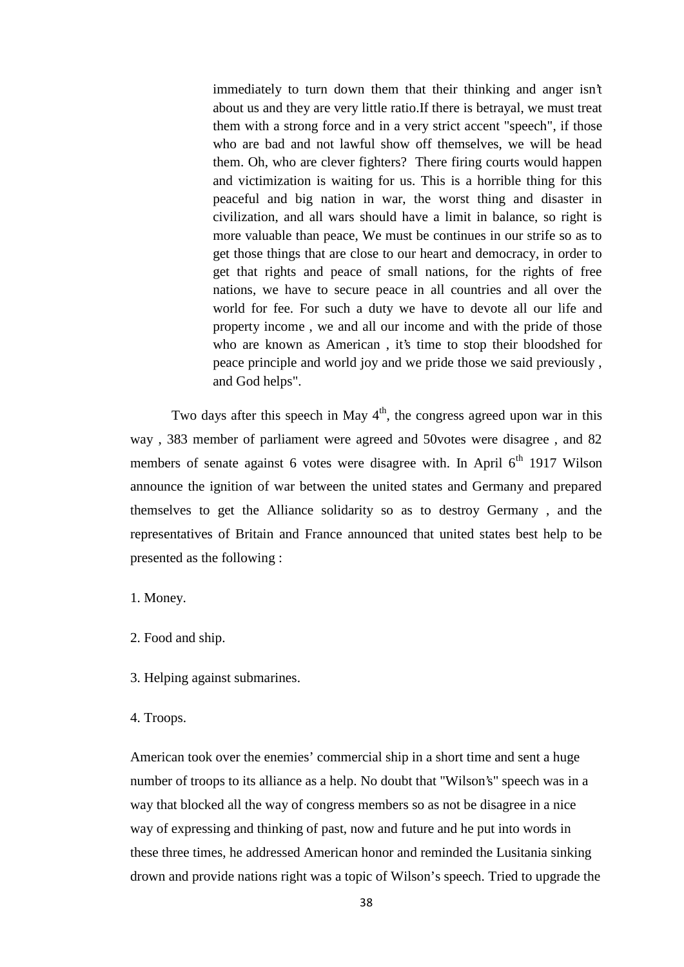immediately to turn down them that their thinking and anger isn't about us and they are very little ratio.If there is betrayal, we must treat them with a strong force and in a very strict accent "speech", if those who are bad and not lawful show off themselves, we will be head them. Oh, who are clever fighters? There firing courts would happen and victimization is waiting for us. This is a horrible thing for this peaceful and big nation in war, the worst thing and disaster in civilization, and all wars should have a limit in balance, so right is more valuable than peace, We must be continues in our strife so as to get those things that are close to our heart and democracy, in order to get that rights and peace of small nations, for the rights of free nations, we have to secure peace in all countries and all over the world for fee. For such a duty we have to devote all our life and property income , we and all our income and with the pride of those who are known as American , it's time to stop their bloodshed for peace principle and world joy and we pride those we said previously , and God helps".

Two days after this speech in May  $4<sup>th</sup>$ , the congress agreed upon war in this way , 383 member of parliament were agreed and 50votes were disagree , and 82 members of senate against 6 votes were disagree with. In April  $6<sup>th</sup>$  1917 Wilson announce the ignition of war between the united states and Germany and prepared themselves to get the Alliance solidarity so as to destroy Germany , and the representatives of Britain and France announced that united states best help to be presented as the following :

1. Money.

- 2. Food and ship.
- 3. Helping against submarines.
- 4. Troops.

American took over the enemies' commercial ship in a short time and sent a huge number of troops to its alliance as a help. No doubt that "Wilson's" speech was in a way that blocked all the way of congress members so as not be disagree in a nice way of expressing and thinking of past, now and future and he put into words in these three times, he addressed American honor and reminded the Lusitania sinking drown and provide nations right was a topic of Wilson's speech. Tried to upgrade the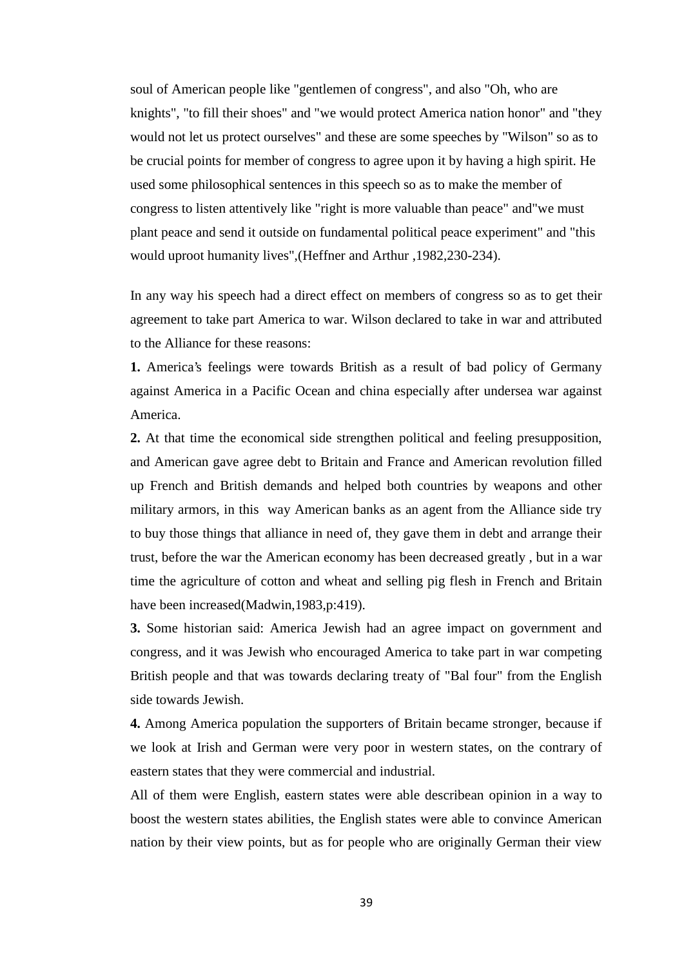soul of American people like "gentlemen of congress", and also "Oh, who are knights", "to fill their shoes" and "we would protect America nation honor" and "they would not let us protect ourselves" and these are some speeches by "Wilson" so as to be crucial points for member of congress to agree upon it by having a high spirit. He used some philosophical sentences in this speech so as to make the member of congress to listen attentively like "right is more valuable than peace" and"we must plant peace and send it outside on fundamental political peace experiment" and "this would uproot humanity lives",(Heffner and Arthur ,1982,230-234).

In any way his speech had a direct effect on members of congress so as to get their agreement to take part America to war. Wilson declared to take in war and attributed to the Alliance for these reasons:

**1.** America's feelings were towards British as a result of bad policy of Germany against America in a Pacific Ocean and china especially after undersea war against America.

**2.** At that time the economical side strengthen political and feeling presupposition, and American gave agree debt to Britain and France and American revolution filled up French and British demands and helped both countries by weapons and other military armors, in this way American banks as an agent from the Alliance side try to buy those things that alliance in need of, they gave them in debt and arrange their trust, before the war the American economy has been decreased greatly , but in a war time the agriculture of cotton and wheat and selling pig flesh in French and Britain have been increased(Madwin,1983,p:419).

**3.** Some historian said: America Jewish had an agree impact on government and congress, and it was Jewish who encouraged America to take part in war competing British people and that was towards declaring treaty of "Bal four" from the English side towards Jewish.

**4.** Among America population the supporters of Britain became stronger, because if we look at Irish and German were very poor in western states, on the contrary of eastern states that they were commercial and industrial.

All of them were English, eastern states were able describean opinion in a way to boost the western states abilities, the English states were able to convince American nation by their view points, but as for people who are originally German their view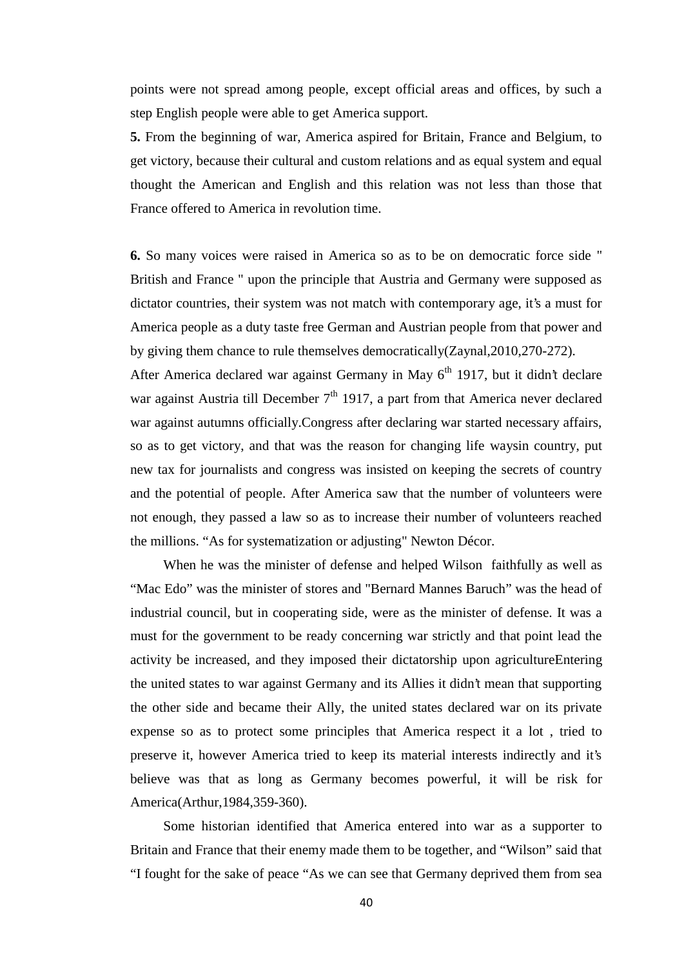points were not spread among people, except official areas and offices, by such a step English people were able to get America support.

**5.** From the beginning of war, America aspired for Britain, France and Belgium, to get victory, because their cultural and custom relations and as equal system and equal thought the American and English and this relation was not less than those that France offered to America in revolution time.

**6.** So many voices were raised in America so as to be on democratic force side " British and France " upon the principle that Austria and Germany were supposed as dictator countries, their system was not match with contemporary age, it's a must for America people as a duty taste free German and Austrian people from that power and by giving them chance to rule themselves democratically(Zaynal,2010,270-272).

After America declared war against Germany in May  $6<sup>th</sup>$  1917, but it didn't declare war against Austria till December  $7<sup>th</sup>$  1917, a part from that America never declared war against autumns officially.Congress after declaring war started necessary affairs, so as to get victory, and that was the reason for changing life waysin country, put new tax for journalists and congress was insisted on keeping the secrets of country and the potential of people. After America saw that the number of volunteers were not enough, they passed a law so as to increase their number of volunteers reached the millions. "As for systematization or adjusting" Newton Décor.

When he was the minister of defense and helped Wilson faithfully as well as "Mac Edo" was the minister of stores and "Bernard Mannes Baruch" was the head of industrial council, but in cooperating side, were as the minister of defense. It was a must for the government to be ready concerning war strictly and that point lead the activity be increased, and they imposed their dictatorship upon agricultureEntering the united states to war against Germany and its Allies it didn't mean that supporting the other side and became their Ally, the united states declared war on its private expense so as to protect some principles that America respect it a lot , tried to preserve it, however America tried to keep its material interests indirectly and it's believe was that as long as Germany becomes powerful, it will be risk for America(Arthur,1984,359-360).

Some historian identified that America entered into war as a supporter to Britain and France that their enemy made them to be together, and "Wilson" said that "I fought for the sake of peace "As we can see that Germany deprived them from sea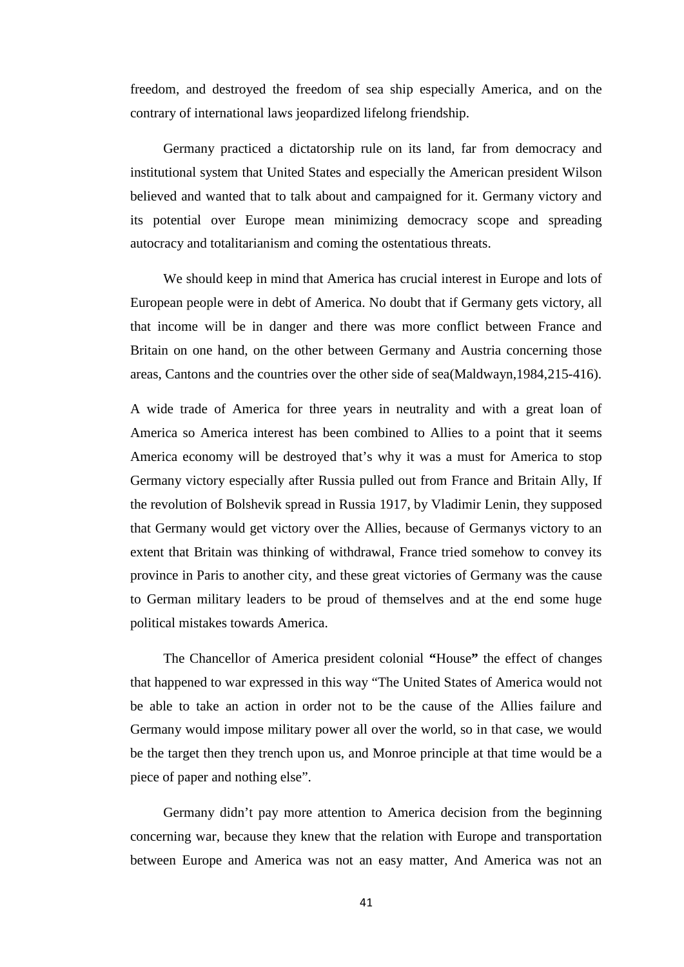freedom, and destroyed the freedom of sea ship especially America, and on the contrary of international laws jeopardized lifelong friendship.

Germany practiced a dictatorship rule on its land, far from democracy and institutional system that United States and especially the American president Wilson believed and wanted that to talk about and campaigned for it. Germany victory and its potential over Europe mean minimizing democracy scope and spreading autocracy and totalitarianism and coming the ostentatious threats.

We should keep in mind that America has crucial interest in Europe and lots of European people were in debt of America. No doubt that if Germany gets victory, all that income will be in danger and there was more conflict between France and Britain on one hand, on the other between Germany and Austria concerning those areas, Cantons and the countries over the other side of sea(Maldwayn,1984,215-416).

A wide trade of America for three years in neutrality and with a great loan of America so America interest has been combined to Allies to a point that it seems America economy will be destroyed that's why it was a must for America to stop Germany victory especially after Russia pulled out from France and Britain Ally, If the revolution of Bolshevik spread in Russia 1917, by Vladimir Lenin, they supposed that Germany would get victory over the Allies, because of Germanys victory to an extent that Britain was thinking of withdrawal, France tried somehow to convey its province in Paris to another city, and these great victories of Germany was the cause to German military leaders to be proud of themselves and at the end some huge political mistakes towards America.

The Chancellor of America president colonial **"**House**"** the effect of changes that happened to war expressed in this way "The United States of America would not be able to take an action in order not to be the cause of the Allies failure and Germany would impose military power all over the world, so in that case, we would be the target then they trench upon us, and Monroe principle at that time would be a piece of paper and nothing else".

Germany didn't pay more attention to America decision from the beginning concerning war, because they knew that the relation with Europe and transportation between Europe and America was not an easy matter, And America was not an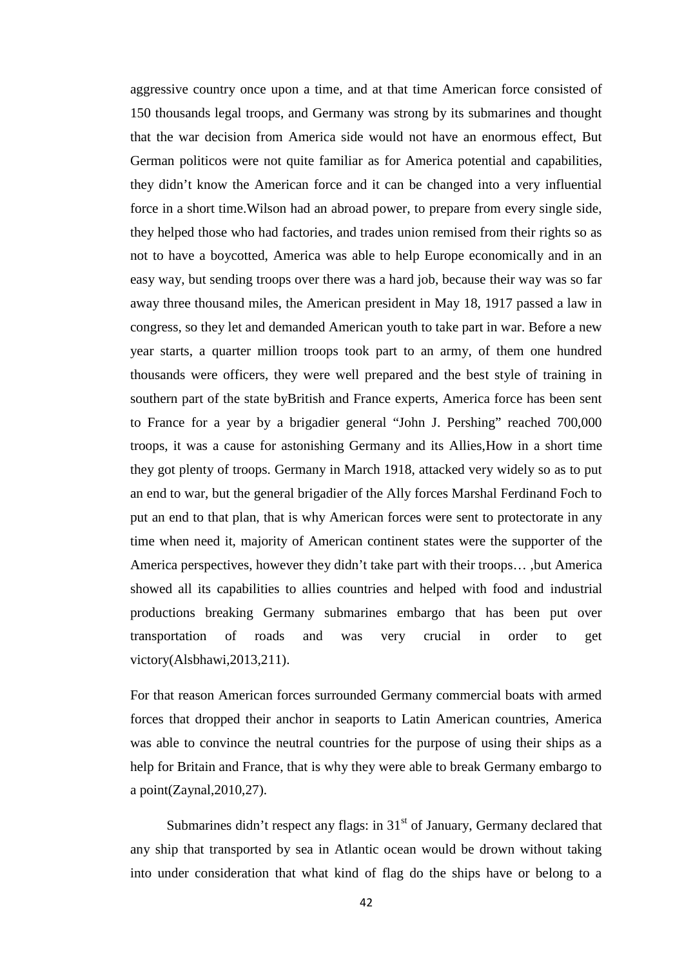aggressive country once upon a time, and at that time American force consisted of 150 thousands legal troops, and Germany was strong by its submarines and thought that the war decision from America side would not have an enormous effect, But German politicos were not quite familiar as for America potential and capabilities, they didn't know the American force and it can be changed into a very influential force in a short time.Wilson had an abroad power, to prepare from every single side, they helped those who had factories, and trades union remised from their rights so as not to have a boycotted, America was able to help Europe economically and in an easy way, but sending troops over there was a hard job, because their way was so far away three thousand miles, the American president in May 18, 1917 passed a law in congress, so they let and demanded American youth to take part in war. Before a new year starts, a quarter million troops took part to an army, of them one hundred thousands were officers, they were well prepared and the best style of training in southern part of the state byBritish and France experts, America force has been sent to France for a year by a brigadier general "John J. Pershing" reached 700,000 troops, it was a cause for astonishing Germany and its Allies,How in a short time they got plenty of troops. Germany in March 1918, attacked very widely so as to put an end to war, but the general brigadier of the Ally forces Marshal Ferdinand Foch to put an end to that plan, that is why American forces were sent to protectorate in any time when need it, majority of American continent states were the supporter of the America perspectives, however they didn't take part with their troops… ,but America showed all its capabilities to allies countries and helped with food and industrial productions breaking Germany submarines embargo that has been put over transportation of roads and was very crucial in order to get victory(Alsbhawi,2013,211).

For that reason American forces surrounded Germany commercial boats with armed forces that dropped their anchor in seaports to Latin American countries, America was able to convince the neutral countries for the purpose of using their ships as a help for Britain and France, that is why they were able to break Germany embargo to a point(Zaynal,2010,27).

Submarines didn't respect any flags: in  $31<sup>st</sup>$  of January, Germany declared that any ship that transported by sea in Atlantic ocean would be drown without taking into under consideration that what kind of flag do the ships have or belong to a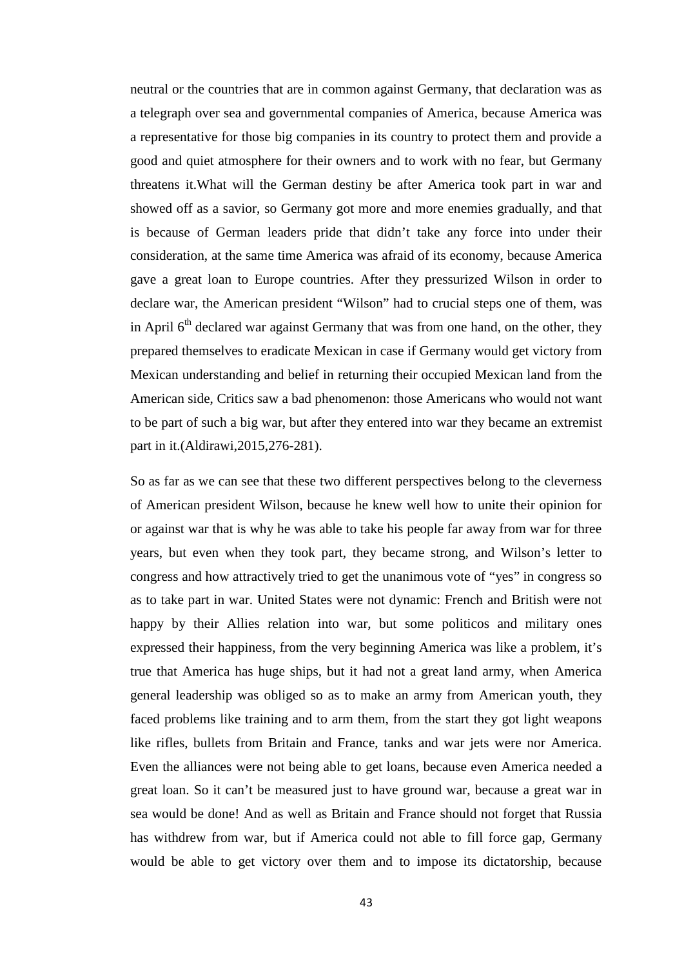neutral or the countries that are in common against Germany, that declaration was as a telegraph over sea and governmental companies of America, because America was a representative for those big companies in its country to protect them and provide a good and quiet atmosphere for their owners and to work with no fear, but Germany threatens it.What will the German destiny be after America took part in war and showed off as a savior, so Germany got more and more enemies gradually, and that is because of German leaders pride that didn't take any force into under their consideration, at the same time America was afraid of its economy, because America gave a great loan to Europe countries. After they pressurized Wilson in order to declare war, the American president "Wilson" had to crucial steps one of them, was in April  $6<sup>th</sup>$  declared war against Germany that was from one hand, on the other, they prepared themselves to eradicate Mexican in case if Germany would get victory from Mexican understanding and belief in returning their occupied Mexican land from the American side, Critics saw a bad phenomenon: those Americans who would not want to be part of such a big war, but after they entered into war they became an extremist part in it.(Aldirawi,2015,276-281).

So as far as we can see that these two different perspectives belong to the cleverness of American president Wilson, because he knew well how to unite their opinion for or against war that is why he was able to take his people far away from war for three years, but even when they took part, they became strong, and Wilson's letter to congress and how attractively tried to get the unanimous vote of "yes" in congress so as to take part in war. United States were not dynamic: French and British were not happy by their Allies relation into war, but some politicos and military ones expressed their happiness, from the very beginning America was like a problem, it's true that America has huge ships, but it had not a great land army, when America general leadership was obliged so as to make an army from American youth, they faced problems like training and to arm them, from the start they got light weapons like rifles, bullets from Britain and France, tanks and war jets were nor America. Even the alliances were not being able to get loans, because even America needed a great loan. So it can't be measured just to have ground war, because a great war in sea would be done! And as well as Britain and France should not forget that Russia has withdrew from war, but if America could not able to fill force gap, Germany would be able to get victory over them and to impose its dictatorship, because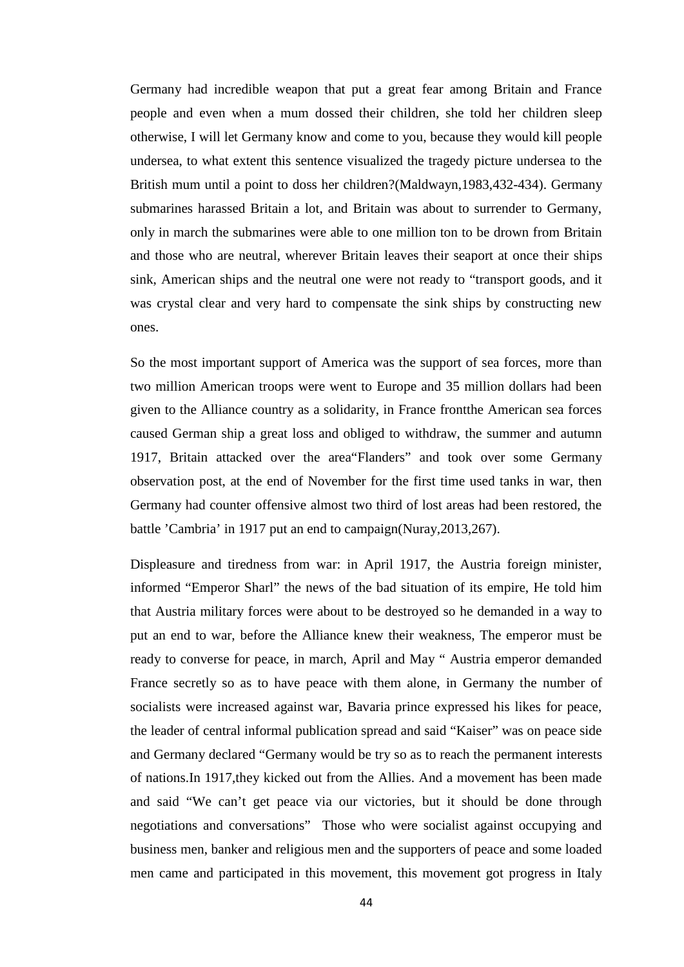Germany had incredible weapon that put a great fear among Britain and France people and even when a mum dossed their children, she told her children sleep otherwise, I will let Germany know and come to you, because they would kill people undersea, to what extent this sentence visualized the tragedy picture undersea to the British mum until a point to doss her children?(Maldwayn,1983,432-434). Germany submarines harassed Britain a lot, and Britain was about to surrender to Germany, only in march the submarines were able to one million ton to be drown from Britain and those who are neutral, wherever Britain leaves their seaport at once their ships sink, American ships and the neutral one were not ready to "transport goods, and it was crystal clear and very hard to compensate the sink ships by constructing new ones.

So the most important support of America was the support of sea forces, more than two million American troops were went to Europe and 35 million dollars had been given to the Alliance country as a solidarity, in France frontthe American sea forces caused German ship a great loss and obliged to withdraw, the summer and autumn 1917, Britain attacked over the area"Flanders" and took over some Germany observation post, at the end of November for the first time used tanks in war, then Germany had counter offensive almost two third of lost areas had been restored, the battle 'Cambria' in 1917 put an end to campaign(Nuray,2013,267).

Displeasure and tiredness from war: in April 1917, the Austria foreign minister, informed "Emperor Sharl" the news of the bad situation of its empire, He told him that Austria military forces were about to be destroyed so he demanded in a way to put an end to war, before the Alliance knew their weakness, The emperor must be ready to converse for peace, in march, April and May " Austria emperor demanded France secretly so as to have peace with them alone, in Germany the number of socialists were increased against war, Bavaria prince expressed his likes for peace, the leader of central informal publication spread and said "Kaiser" was on peace side and Germany declared "Germany would be try so as to reach the permanent interests of nations.In 1917,they kicked out from the Allies. And a movement has been made and said "We can't get peace via our victories, but it should be done through negotiations and conversations" Those who were socialist against occupying and business men, banker and religious men and the supporters of peace and some loaded men came and participated in this movement, this movement got progress in Italy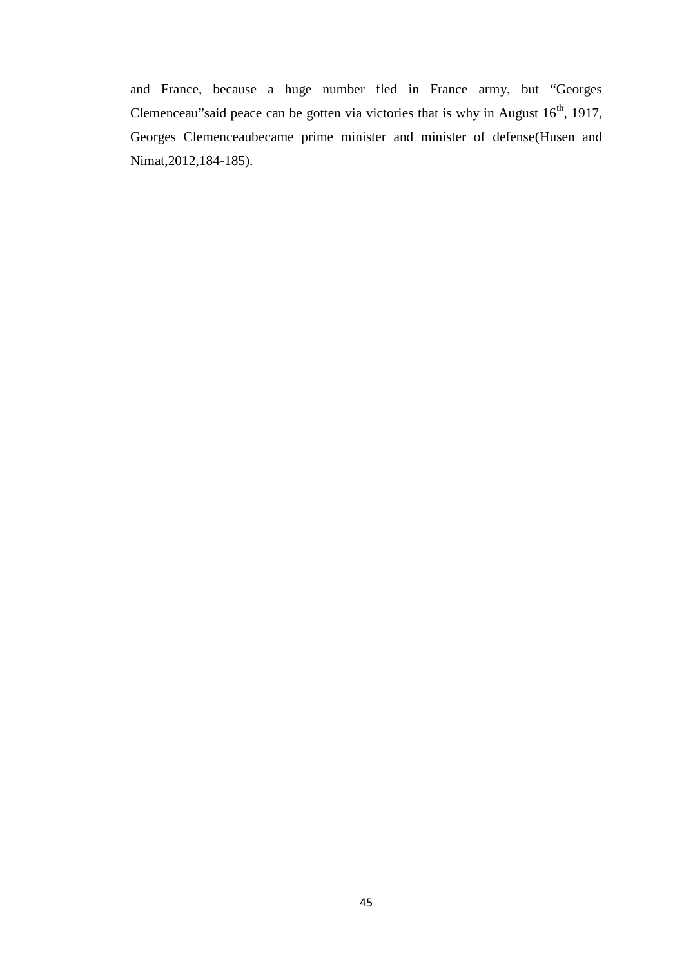and France, because a huge number fled in France army, but "Georges Clemenceau"said peace can be gotten via victories that is why in August  $16<sup>th</sup>$ , 1917, Georges Clemenceaubecame prime minister and minister of defense(Husen and Nimat,2012,184-185).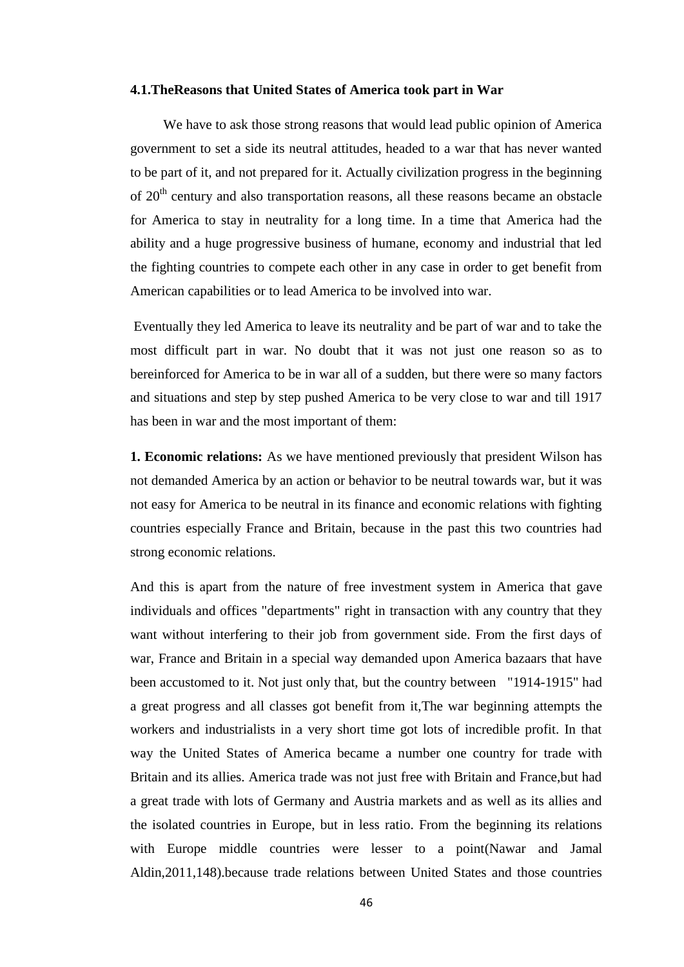### **4.1.TheReasons that United States of America took part in War**

We have to ask those strong reasons that would lead public opinion of America government to set a side its neutral attitudes, headed to a war that has never wanted to be part of it, and not prepared for it. Actually civilization progress in the beginning of 20<sup>th</sup> century and also transportation reasons, all these reasons became an obstacle for America to stay in neutrality for a long time. In a time that America had the ability and a huge progressive business of humane, economy and industrial that led the fighting countries to compete each other in any case in order to get benefit from American capabilities or to lead America to be involved into war.

Eventually they led America to leave its neutrality and be part of war and to take the most difficult part in war. No doubt that it was not just one reason so as to bereinforced for America to be in war all of a sudden, but there were so many factors and situations and step by step pushed America to be very close to war and till 1917 has been in war and the most important of them:

**1. Economic relations:** As we have mentioned previously that president Wilson has not demanded America by an action or behavior to be neutral towards war, but it was not easy for America to be neutral in its finance and economic relations with fighting countries especially France and Britain, because in the past this two countries had strong economic relations.

And this is apart from the nature of free investment system in America that gave individuals and offices "departments" right in transaction with any country that they want without interfering to their job from government side. From the first days of war, France and Britain in a special way demanded upon America bazaars that have been accustomed to it. Not just only that, but the country between "1914-1915" had a great progress and all classes got benefit from it,The war beginning attempts the workers and industrialists in a very short time got lots of incredible profit. In that way the United States of America became a number one country for trade with Britain and its allies. America trade was not just free with Britain and France,but had a great trade with lots of Germany and Austria markets and as well as its allies and the isolated countries in Europe, but in less ratio. From the beginning its relations with Europe middle countries were lesser to a point(Nawar and Jamal Aldin,2011,148).because trade relations between United States and those countries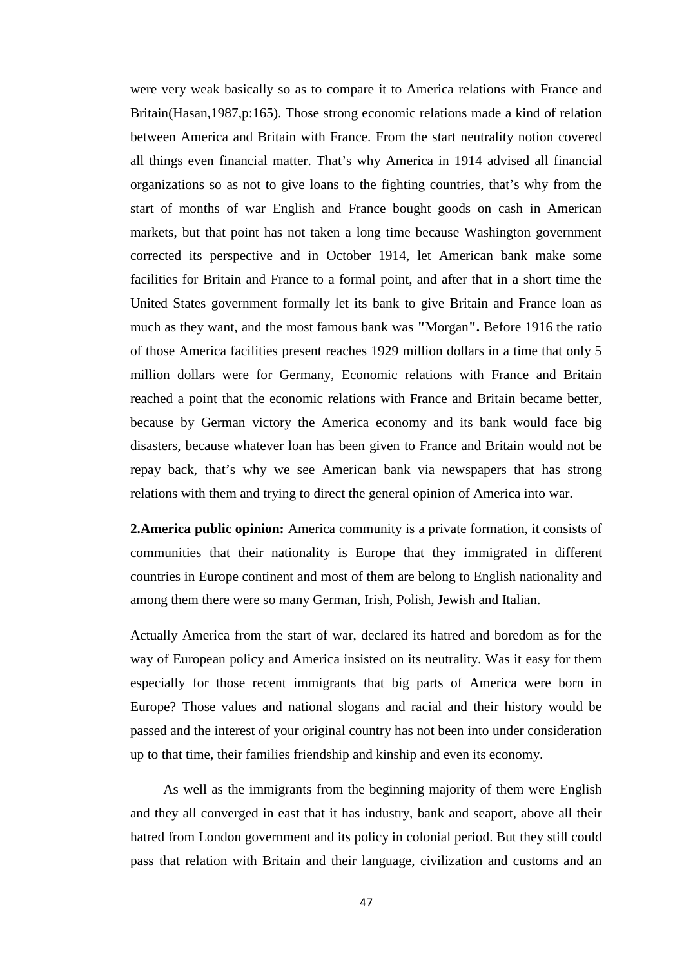were very weak basically so as to compare it to America relations with France and Britain(Hasan,1987,p:165). Those strong economic relations made a kind of relation between America and Britain with France. From the start neutrality notion covered all things even financial matter. That's why America in 1914 advised all financial organizations so as not to give loans to the fighting countries, that's why from the start of months of war English and France bought goods on cash in American markets, but that point has not taken a long time because Washington government corrected its perspective and in October 1914, let American bank make some facilities for Britain and France to a formal point, and after that in a short time the United States government formally let its bank to give Britain and France loan as much as they want, and the most famous bank was **"**Morgan**".** Before 1916 the ratio of those America facilities present reaches 1929 million dollars in a time that only 5 million dollars were for Germany, Economic relations with France and Britain reached a point that the economic relations with France and Britain became better, because by German victory the America economy and its bank would face big disasters, because whatever loan has been given to France and Britain would not be repay back, that's why we see American bank via newspapers that has strong relations with them and trying to direct the general opinion of America into war.

**2.America public opinion:** America community is a private formation, it consists of communities that their nationality is Europe that they immigrated in different countries in Europe continent and most of them are belong to English nationality and among them there were so many German, Irish, Polish, Jewish and Italian.

Actually America from the start of war, declared its hatred and boredom as for the way of European policy and America insisted on its neutrality. Was it easy for them especially for those recent immigrants that big parts of America were born in Europe? Those values and national slogans and racial and their history would be passed and the interest of your original country has not been into under consideration up to that time, their families friendship and kinship and even its economy.

As well as the immigrants from the beginning majority of them were English and they all converged in east that it has industry, bank and seaport, above all their hatred from London government and its policy in colonial period. But they still could pass that relation with Britain and their language, civilization and customs and an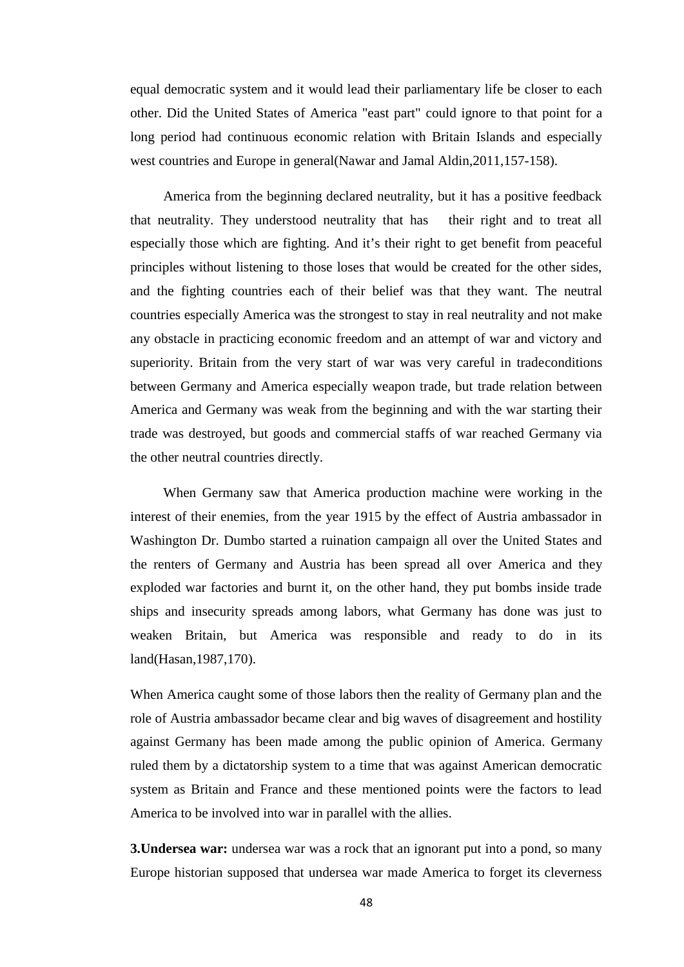equal democratic system and it would lead their parliamentary life be closer to each other. Did the United States of America "east part" could ignore to that point for a long period had continuous economic relation with Britain Islands and especially west countries and Europe in general(Nawar and Jamal Aldin,2011,157-158).

America from the beginning declared neutrality, but it has a positive feedback that neutrality. They understood neutrality that has their right and to treat all especially those which are fighting. And it's their right to get benefit from peaceful principles without listening to those loses that would be created for the other sides, and the fighting countries each of their belief was that they want. The neutral countries especially America was the strongest to stay in real neutrality and not make any obstacle in practicing economic freedom and an attempt of war and victory and superiority. Britain from the very start of war was very careful in tradeconditions between Germany and America especially weapon trade, but trade relation between America and Germany was weak from the beginning and with the war starting their trade was destroyed, but goods and commercial staffs of war reached Germany via the other neutral countries directly.

When Germany saw that America production machine were working in the interest of their enemies, from the year 1915 by the effect of Austria ambassador in Washington Dr. Dumbo started a ruination campaign all over the United States and the renters of Germany and Austria has been spread all over America and they exploded war factories and burnt it, on the other hand, they put bombs inside trade ships and insecurity spreads among labors, what Germany has done was just to weaken Britain, but America was responsible and ready to do in its land(Hasan,1987,170).

When America caught some of those labors then the reality of Germany plan and the role of Austria ambassador became clear and big waves of disagreement and hostility against Germany has been made among the public opinion of America. Germany ruled them by a dictatorship system to a time that was against American democratic system as Britain and France and these mentioned points were the factors to lead America to be involved into war in parallel with the allies.

**3. Undersea war:** undersea war was a rock that an ignorant put into a pond, so many Europe historian supposed that undersea war made America to forget its cleverness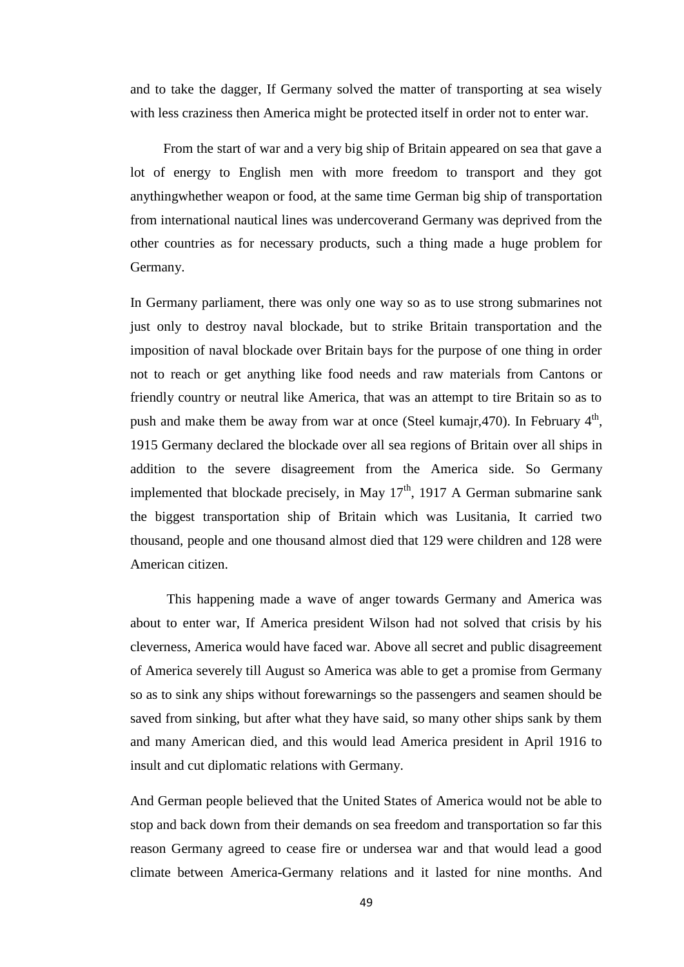and to take the dagger, If Germany solved the matter of transporting at sea wisely with less craziness then America might be protected itself in order not to enter war.

From the start of war and a very big ship of Britain appeared on sea that gave a lot of energy to English men with more freedom to transport and they got anythingwhether weapon or food, at the same time German big ship of transportation from international nautical lines was undercoverand Germany was deprived from the other countries as for necessary products, such a thing made a huge problem for Germany.

In Germany parliament, there was only one way so as to use strong submarines not just only to destroy naval blockade, but to strike Britain transportation and the imposition of naval blockade over Britain bays for the purpose of one thing in order not to reach or get anything like food needs and raw materials from Cantons or friendly country or neutral like America, that was an attempt to tire Britain so as to push and make them be away from war at once (Steel kumajr, 470). In February  $4<sup>th</sup>$ , 1915 Germany declared the blockade over all sea regions of Britain over all ships in addition to the severe disagreement from the America side. So Germany implemented that blockade precisely, in May  $17<sup>th</sup>$ , 1917 A German submarine sank the biggest transportation ship of Britain which was Lusitania, It carried two thousand, people and one thousand almost died that 129 were children and 128 were American citizen.

This happening made a wave of anger towards Germany and America was about to enter war, If America president Wilson had not solved that crisis by his cleverness, America would have faced war. Above all secret and public disagreement of America severely till August so America was able to get a promise from Germany so as to sink any ships without forewarnings so the passengers and seamen should be saved from sinking, but after what they have said, so many other ships sank by them and many American died, and this would lead America president in April 1916 to insult and cut diplomatic relations with Germany.

And German people believed that the United States of America would not be able to stop and back down from their demands on sea freedom and transportation so far this reason Germany agreed to cease fire or undersea war and that would lead a good climate between America-Germany relations and it lasted for nine months. And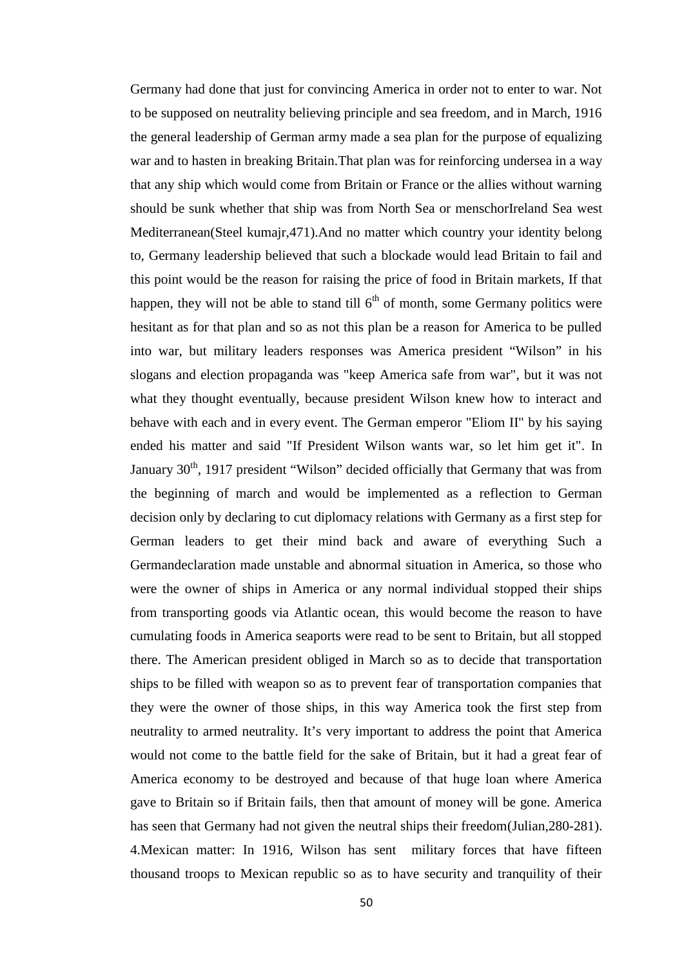Germany had done that just for convincing America in order not to enter to war. Not to be supposed on neutrality believing principle and sea freedom, and in March, 1916 the general leadership of German army made a sea plan for the purpose of equalizing war and to hasten in breaking Britain.That plan was for reinforcing undersea in a way that any ship which would come from Britain or France or the allies without warning should be sunk whether that ship was from North Sea or menschorIreland Sea west Mediterranean(Steel kumajr,471).And no matter which country your identity belong to, Germany leadership believed that such a blockade would lead Britain to fail and this point would be the reason for raising the price of food in Britain markets, If that happen, they will not be able to stand till  $6<sup>th</sup>$  of month, some Germany politics were hesitant as for that plan and so as not this plan be a reason for America to be pulled into war, but military leaders responses was America president "Wilson" in his slogans and election propaganda was "keep America safe from war", but it was not what they thought eventually, because president Wilson knew how to interact and behave with each and in every event. The German emperor "Eliom II" by his saying ended his matter and said "If President Wilson wants war, so let him get it". In January  $30<sup>th</sup>$ , 1917 president "Wilson" decided officially that Germany that was from the beginning of march and would be implemented as a reflection to German decision only by declaring to cut diplomacy relations with Germany as a first step for German leaders to get their mind back and aware of everything Such a Germandeclaration made unstable and abnormal situation in America, so those who were the owner of ships in America or any normal individual stopped their ships from transporting goods via Atlantic ocean, this would become the reason to have cumulating foods in America seaports were read to be sent to Britain, but all stopped there. The American president obliged in March so as to decide that transportation ships to be filled with weapon so as to prevent fear of transportation companies that they were the owner of those ships, in this way America took the first step from neutrality to armed neutrality. It's very important to address the point that America would not come to the battle field for the sake of Britain, but it had a great fear of America economy to be destroyed and because of that huge loan where America gave to Britain so if Britain fails, then that amount of money will be gone. America has seen that Germany had not given the neutral ships their freedom(Julian,280-281). 4.Mexican matter: In 1916, Wilson has sent military forces that have fifteen thousand troops to Mexican republic so as to have security and tranquility of their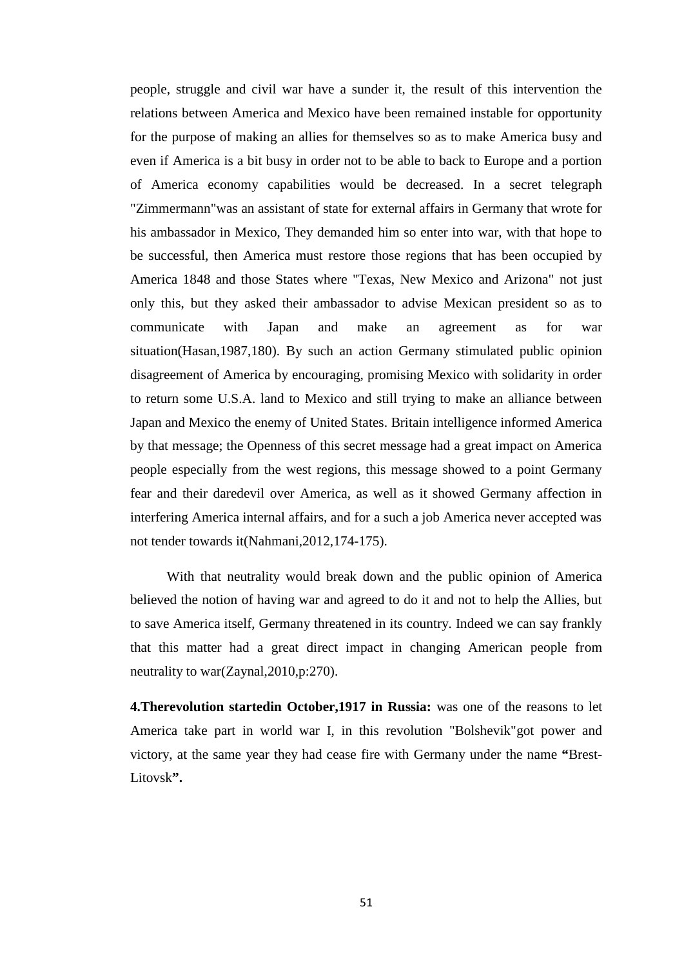people, struggle and civil war have a sunder it, the result of this intervention the relations between America and Mexico have been remained instable for opportunity for the purpose of making an allies for themselves so as to make America busy and even if America is a bit busy in order not to be able to back to Europe and a portion of America economy capabilities would be decreased. In a secret telegraph "Zimmermann"was an assistant of state for external affairs in Germany that wrote for his ambassador in Mexico, They demanded him so enter into war, with that hope to be successful, then America must restore those regions that has been occupied by America 1848 and those States where "Texas, New Mexico and Arizona" not just only this, but they asked their ambassador to advise Mexican president so as to communicate with Japan and make an agreement as for war situation(Hasan,1987,180). By such an action Germany stimulated public opinion disagreement of America by encouraging, promising Mexico with solidarity in order to return some U.S.A. land to Mexico and still trying to make an alliance between Japan and Mexico the enemy of United States. Britain intelligence informed America by that message; the Openness of this secret message had a great impact on America people especially from the west regions, this message showed to a point Germany fear and their daredevil over America, as well as it showed Germany affection in interfering America internal affairs, and for a such a job America never accepted was not tender towards it(Nahmani,2012,174-175).

With that neutrality would break down and the public opinion of America believed the notion of having war and agreed to do it and not to help the Allies, but to save America itself, Germany threatened in its country. Indeed we can say frankly that this matter had a great direct impact in changing American people from neutrality to war(Zaynal,2010,p:270).

**4.Therevolution startedin October,1917 in Russia:** was one of the reasons to let America take part in world war I, in this revolution "Bolshevik"got power and victory, at the same year they had cease fire with Germany under the name **"**Brest- Litovsk**".**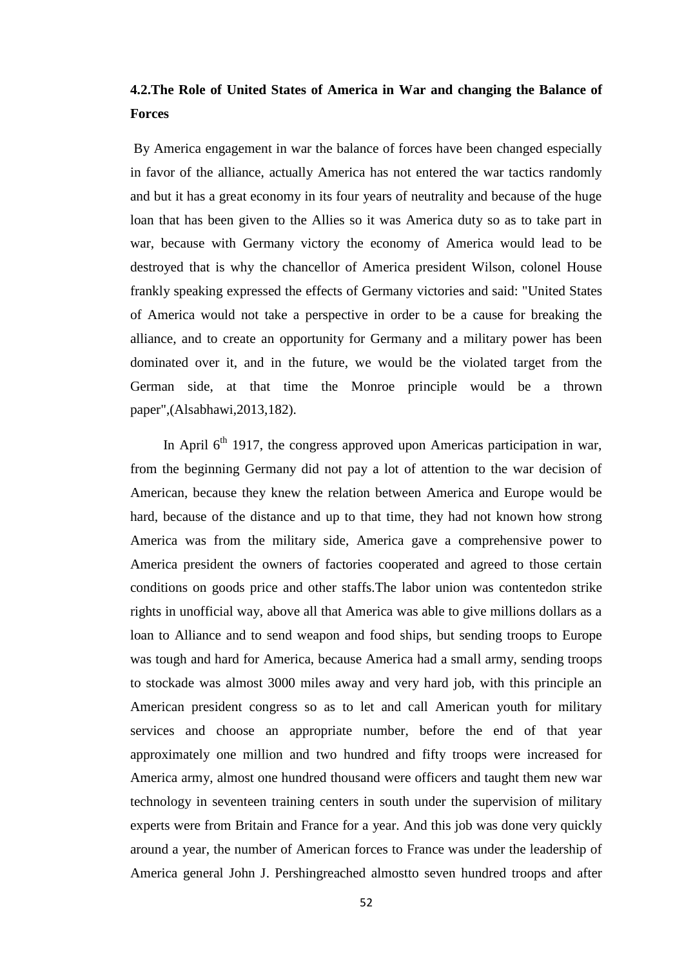# **4.2.The Role of United States of America in War and changing the Balance of Forces**

By America engagement in war the balance of forces have been changed especially in favor of the alliance, actually America has not entered the war tactics randomly and but it has a great economy in its four years of neutrality and because of the huge loan that has been given to the Allies so it was America duty so as to take part in war, because with Germany victory the economy of America would lead to be destroyed that is why the chancellor of America president Wilson, colonel House frankly speaking expressed the effects of Germany victories and said: "United States of America would not take a perspective in order to be a cause for breaking the alliance, and to create an opportunity for Germany and a military power has been dominated over it, and in the future, we would be the violated target from the German side, at that time the Monroe principle would be a thrown paper",(Alsabhawi,2013,182).

In April  $6<sup>th</sup>$  1917, the congress approved upon Americas participation in war, from the beginning Germany did not pay a lot of attention to the war decision of American, because they knew the relation between America and Europe would be hard, because of the distance and up to that time, they had not known how strong America was from the military side, America gave a comprehensive power to America president the owners of factories cooperated and agreed to those certain conditions on goods price and other staffs.The labor union was contentedon strike rights in unofficial way, above all that America was able to give millions dollars as a loan to Alliance and to send weapon and food ships, but sending troops to Europe was tough and hard for America, because America had a small army, sending troops to stockade was almost 3000 miles away and very hard job, with this principle an American president congress so as to let and call American youth for military services and choose an appropriate number, before the end of that year approximately one million and two hundred and fifty troops were increased for America army, almost one hundred thousand were officers and taught them new war technology in seventeen training centers in south under the supervision of military experts were from Britain and France for a year. And this job was done very quickly around a year, the number of American forces to France was under the leadership of America general John J. Pershingreached almostto seven hundred troops and after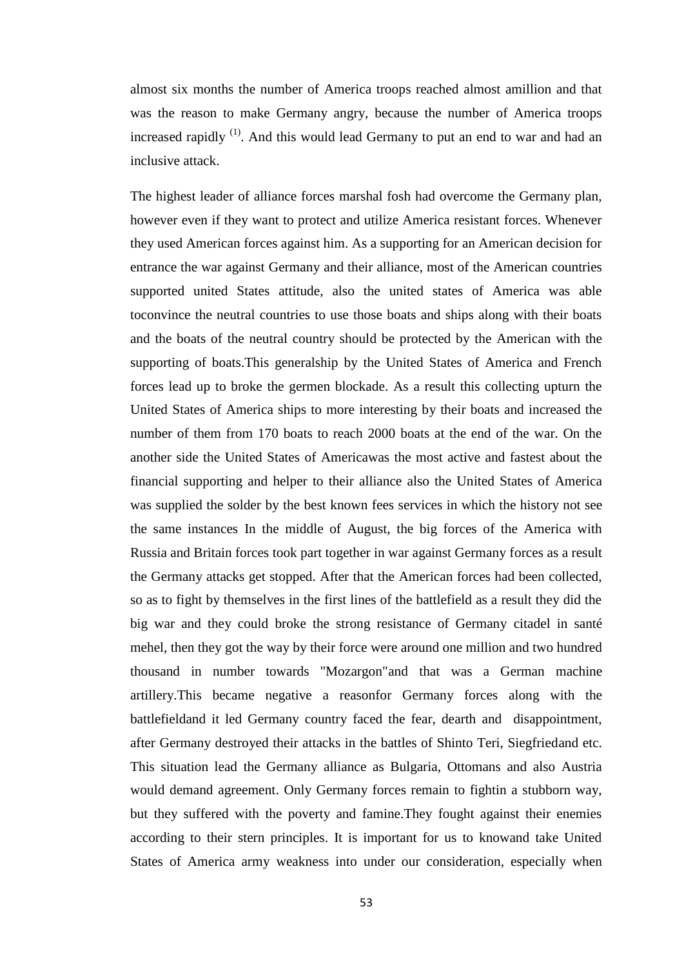almost six months the number of America troops reached almost amillion and that was the reason to make Germany angry, because the number of America troops increased rapidly  $<sup>(1)</sup>$ . And this would lead Germany to put an end to war and had an</sup> inclusive attack.

The highest leader of alliance forces marshal fosh had overcome the Germany plan, however even if they want to protect and utilize America resistant forces. Whenever they used American forces against him. As a supporting for an American decision for entrance the war against Germany and their alliance, most of the American countries supported united States attitude, also the united states of America was able toconvince the neutral countries to use those boats and ships along with their boats and the boats of the neutral country should be protected by the American with the supporting of boats.This generalship by the United States of America and French forces lead up to broke the germen blockade. As a result this collecting upturn the United States of America ships to more interesting by their boats and increased the number of them from 170 boats to reach 2000 boats at the end of the war. On the another side the United States of Americawas the most active and fastest about the financial supporting and helper to their alliance also the United States of America was supplied the solder by the best known fees services in which the history not see the same instances In the middle of August, the big forces of the America with Russia and Britain forces took part together in war against Germany forces as a result the Germany attacks get stopped. After that the American forces had been collected, so as to fight by themselves in the first lines of the battlefield as a result they did the big war and they could broke the strong resistance of Germany citadel in santé mehel, then they got the way by their force were around one million and two hundred thousand in number towards "Mozargon"and that was a German machine artillery.This became negative a reasonfor Germany forces along with the battlefieldand it led Germany country faced the fear, dearth and disappointment, after Germany destroyed their attacks in the battles of Shinto Teri, Siegfriedand etc. This situation lead the Germany alliance as Bulgaria, Ottomans and also Austria would demand agreement. Only Germany forces remain to fightin a stubborn way, but they suffered with the poverty and famine.They fought against their enemies according to their stern principles. It is important for us to knowand take United States of America army weakness into under our consideration, especially when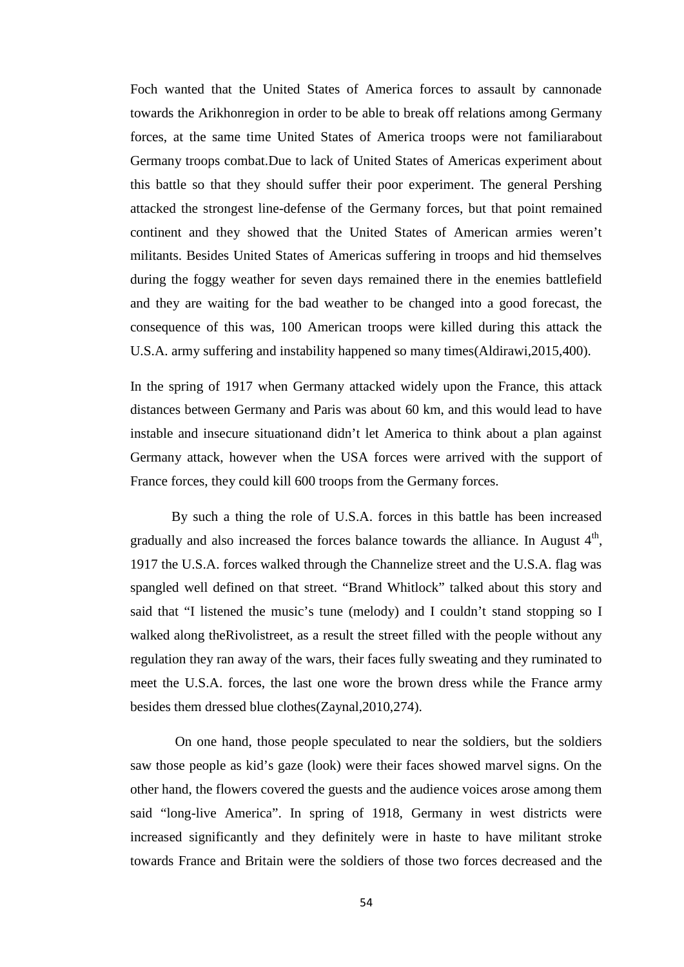Foch wanted that the United States of America forces to assault by cannonade towards the Arikhonregion in order to be able to break off relations among Germany forces, at the same time United States of America troops were not familiarabout Germany troops combat.Due to lack of United States of Americas experiment about this battle so that they should suffer their poor experiment. The general Pershing attacked the strongest line-defense of the Germany forces, but that point remained continent and they showed that the United States of American armies weren't militants. Besides United States of Americas suffering in troops and hid themselves during the foggy weather for seven days remained there in the enemies battlefield and they are waiting for the bad weather to be changed into a good forecast, the consequence of this was, 100 American troops were killed during this attack the U.S.A. army suffering and instability happened so many times(Aldirawi,2015,400).

In the spring of 1917 when Germany attacked widely upon the France, this attack distances between Germany and Paris was about 60 km, and this would lead to have instable and insecure situationand didn't let America to think about a plan against Germany attack, however when the USA forces were arrived with the support of France forces, they could kill 600 troops from the Germany forces.

By such a thing the role of U.S.A. forces in this battle has been increased gradually and also increased the forces balance towards the alliance. In August  $4<sup>th</sup>$ , 1917 the U.S.A. forces walked through the Channelize street and the U.S.A. flag was spangled well defined on that street. "Brand Whitlock" talked about this story and said that "I listened the music's tune (melody) and I couldn't stand stopping so I walked along theRivolistreet, as a result the street filled with the people without any regulation they ran away of the wars, their faces fully sweating and they ruminated to meet the U.S.A. forces, the last one wore the brown dress while the France army besides them dressed blue clothes(Zaynal,2010,274).

On one hand, those people speculated to near the soldiers, but the soldiers saw those people as kid's gaze (look) were their faces showed marvel signs. On the other hand, the flowers covered the guests and the audience voices arose among them said "long-live America". In spring of 1918, Germany in west districts were increased significantly and they definitely were in haste to have militant stroke towards France and Britain were the soldiers of those two forces decreased and the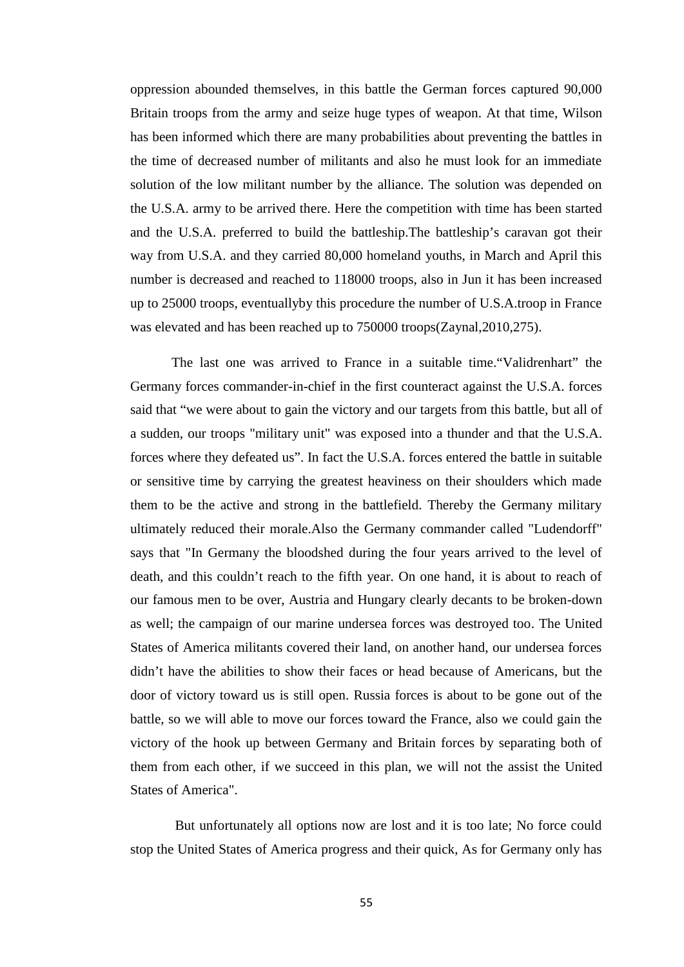oppression abounded themselves, in this battle the German forces captured 90,000 Britain troops from the army and seize huge types of weapon. At that time, Wilson has been informed which there are many probabilities about preventing the battles in the time of decreased number of militants and also he must look for an immediate solution of the low militant number by the alliance. The solution was depended on the U.S.A. army to be arrived there. Here the competition with time has been started and the U.S.A. preferred to build the battleship.The battleship's caravan got their way from U.S.A. and they carried 80,000 homeland youths, in March and April this number is decreased and reached to 118000 troops, also in Jun it has been increased up to 25000 troops, eventuallyby this procedure the number of U.S.A.troop in France was elevated and has been reached up to 750000 troops(Zaynal,2010,275).

The last one was arrived to France in a suitable time."Validrenhart" the Germany forces commander-in-chief in the first counteract against the U.S.A. forces said that "we were about to gain the victory and our targets from this battle, but all of a sudden, our troops "military unit" was exposed into a thunder and that the U.S.A. forces where they defeated us". In fact the U.S.A. forces entered the battle in suitable or sensitive time by carrying the greatest heaviness on their shoulders which made them to be the active and strong in the battlefield. Thereby the Germany military ultimately reduced their morale.Also the Germany commander called "Ludendorff" says that "In Germany the bloodshed during the four years arrived to the level of death, and this couldn't reach to the fifth year. On one hand, it is about to reach of our famous men to be over, Austria and Hungary clearly decants to be broken-down as well; the campaign of our marine undersea forces was destroyed too. The United States of America militants covered their land, on another hand, our undersea forces didn't have the abilities to show their faces or head because of Americans, but the door of victory toward us is still open. Russia forces is about to be gone out of the battle, so we will able to move our forces toward the France, also we could gain the victory of the hook up between Germany and Britain forces by separating both of them from each other, if we succeed in this plan, we will not the assist the United States of America".

But unfortunately all options now are lost and it is too late; No force could stop the United States of America progress and their quick, As for Germany only has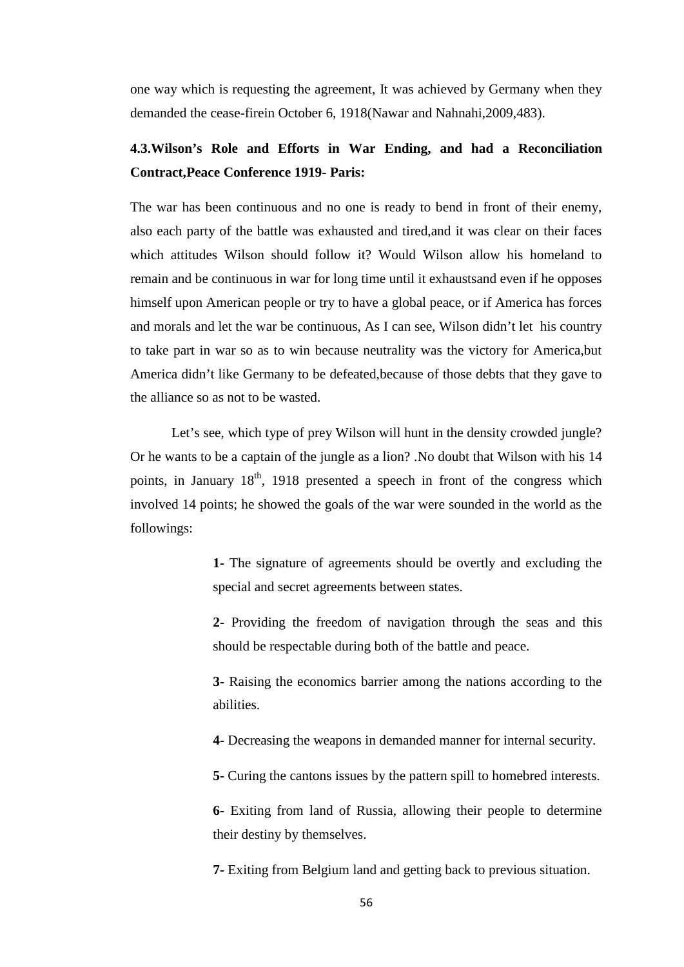one way which is requesting the agreement, It was achieved by Germany when they demanded the cease-firein October 6, 1918(Nawar and Nahnahi,2009,483).

### **4.3.Wilson's Role and Efforts in War Ending, and had a Reconciliation Contract,Peace Conference 1919- Paris:**

The war has been continuous and no one is ready to bend in front of their enemy, also each party of the battle was exhausted and tired,and it was clear on their faces which attitudes Wilson should follow it? Would Wilson allow his homeland to remain and be continuous in war for long time until it exhaustsand even if he opposes himself upon American people or try to have a global peace, or if America has forces and morals and let the war be continuous, As I can see, Wilson didn't let his country to take part in war so as to win because neutrality was the victory for America,but America didn't like Germany to be defeated,because of those debts that they gave to the alliance so as not to be wasted.

Let's see, which type of prey Wilson will hunt in the density crowded jungle? Or he wants to be a captain of the jungle as a lion? .No doubt that Wilson with his 14 points, in January  $18<sup>th</sup>$ , 1918 presented a speech in front of the congress which involved 14 points; he showed the goals of the war were sounded in the world as the followings:

> **1-** The signature of agreements should be overtly and excluding the special and secret agreements between states.

> **2-** Providing the freedom of navigation through the seas and this should be respectable during both of the battle and peace.

> **3-** Raising the economics barrier among the nations according to the abilities.

**4-** Decreasing the weapons in demanded manner for internal security.

**5-** Curing the cantons issues by the pattern spill to homebred interests.

**6-** Exiting from land of Russia, allowing their people to determine their destiny by themselves.

**7-** Exiting from Belgium land and getting back to previous situation.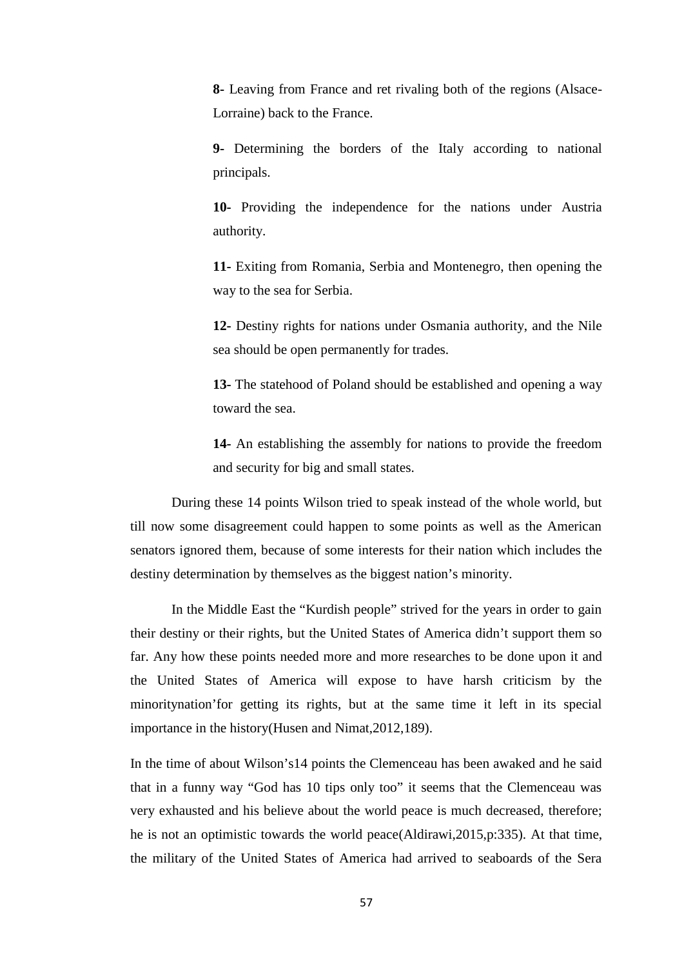**8-** Leaving from France and ret rivaling both of the regions (Alsace- Lorraine) back to the France.

**9-** Determining the borders of the Italy according to national principals.

**10-** Providing the independence for the nations under Austria authority.

**11-** Exiting from Romania, Serbia and Montenegro, then opening the way to the sea for Serbia.

**12-** Destiny rights for nations under Osmania authority, and the Nile sea should be open permanently for trades.

**13-** The statehood of Poland should be established and opening a way toward the sea.

**14-** An establishing the assembly for nations to provide the freedom and security for big and small states.

During these 14 points Wilson tried to speak instead of the whole world, but till now some disagreement could happen to some points as well as the American senators ignored them, because of some interests for their nation which includes the destiny determination by themselves as the biggest nation's minority.

In the Middle East the "Kurdish people" strived for the years in order to gain their destiny or their rights, but the United States of America didn't support them so far. Any how these points needed more and more researches to be done upon it and the United States of America will expose to have harsh criticism by the minoritynation'for getting its rights, but at the same time it left in its special importance in the history(Husen and Nimat,2012,189).

In the time of about Wilson's14 points the Clemenceau has been awaked and he said that in a funny way "God has 10 tips only too" it seems that the Clemenceau was very exhausted and his believe about the world peace is much decreased, therefore; he is not an optimistic towards the world peace(Aldirawi,2015,p:335). At that time, the military of the United States of America had arrived to seaboards of the Sera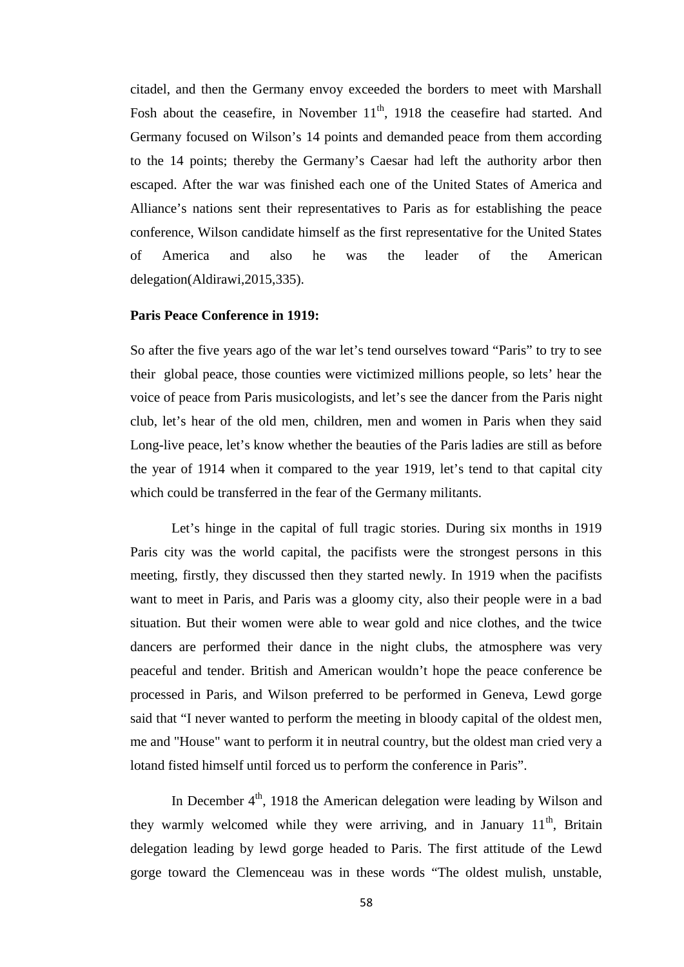citadel, and then the Germany envoy exceeded the borders to meet with Marshall Fosh about the ceasefire, in November  $11<sup>th</sup>$ , 1918 the ceasefire had started. And Germany focused on Wilson's 14 points and demanded peace from them according to the 14 points; thereby the Germany's Caesar had left the authority arbor then escaped. After the war was finished each one of the United States of America and Alliance's nations sent their representatives to Paris as for establishing the peace conference, Wilson candidate himself as the first representative for the United States of America and also he was the leader of the American delegation(Aldirawi,2015,335).

### **Paris Peace Conference in 1919:**

So after the five years ago of the war let's tend ourselves toward "Paris" to try to see their global peace, those counties were victimized millions people, so lets' hear the voice of peace from Paris musicologists, and let's see the dancer from the Paris night club, let's hear of the old men, children, men and women in Paris when they said Long-live peace, let's know whether the beauties of the Paris ladies are still as before the year of 1914 when it compared to the year 1919, let's tend to that capital city which could be transferred in the fear of the Germany militants.

Let's hinge in the capital of full tragic stories. During six months in 1919 Paris city was the world capital, the pacifists were the strongest persons in this meeting, firstly, they discussed then they started newly. In 1919 when the pacifists want to meet in Paris, and Paris was a gloomy city, also their people were in a bad situation. But their women were able to wear gold and nice clothes, and the twice dancers are performed their dance in the night clubs, the atmosphere was very peaceful and tender. British and American wouldn't hope the peace conference be processed in Paris, and Wilson preferred to be performed in Geneva, Lewd gorge said that "I never wanted to perform the meeting in bloody capital of the oldest men, me and "House" want to perform it in neutral country, but the oldest man cried very a lotand fisted himself until forced us to perform the conference in Paris".

In December  $4<sup>th</sup>$ , 1918 the American delegation were leading by Wilson and they warmly welcomed while they were arriving, and in January  $11<sup>th</sup>$ , Britain delegation leading by lewd gorge headed to Paris. The first attitude of the Lewd gorge toward the Clemenceau was in these words "The oldest mulish, unstable,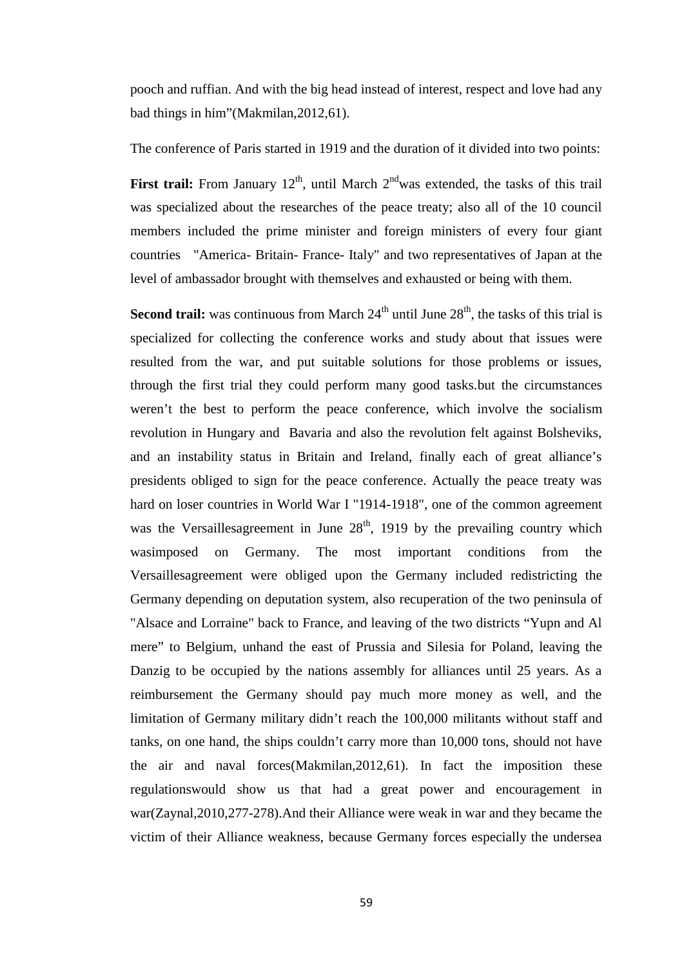pooch and ruffian. And with the big head instead of interest, respect and love had any bad things in him"(Makmilan,2012,61).

The conference of Paris started in 1919 and the duration of it divided into two points:

**First trail:** From January  $12<sup>th</sup>$ , until March  $2<sup>nd</sup>$  was extended, the tasks of this trail was specialized about the researches of the peace treaty; also all of the 10 council members included the prime minister and foreign ministers of every four giant countries "America- Britain- France- Italy" and two representatives of Japan at the level of ambassador brought with themselves and exhausted or being with them.

**Second trail:** was continuous from March  $24<sup>th</sup>$  until June  $28<sup>th</sup>$ , the tasks of this trial is specialized for collecting the conference works and study about that issues were resulted from the war, and put suitable solutions for those problems or issues, through the first trial they could perform many good tasks.but the circumstances weren't the best to perform the peace conference, which involve the socialism revolution in Hungary and Bavaria and also the revolution felt against Bolsheviks, and an instability status in Britain and Ireland, finally each of great alliance's presidents obliged to sign for the peace conference. Actually the peace treaty was hard on loser countries in World War I "1914-1918", one of the common agreement was the Versaillesagreement in June  $28<sup>th</sup>$ , 1919 by the prevailing country which wasimposed on Germany. The most important conditions from the Versaillesagreement were obliged upon the Germany included redistricting the Germany depending on deputation system, also recuperation of the two peninsula of "Alsace and Lorraine" back to France, and leaving of the two districts "Yupn and Al mere" to Belgium, unhand the east of Prussia and Silesia for Poland, leaving the Danzig to be occupied by the nations assembly for alliances until 25 years. As a reimbursement the Germany should pay much more money as well, and the limitation of Germany military didn't reach the 100,000 militants without staff and tanks, on one hand, the ships couldn't carry more than 10,000 tons, should not have the air and naval forces(Makmilan,2012,61). In fact the imposition these regulationswould show us that had a great power and encouragement in war(Zaynal,2010,277-278).And their Alliance were weak in war and they became the victim of their Alliance weakness, because Germany forces especially the undersea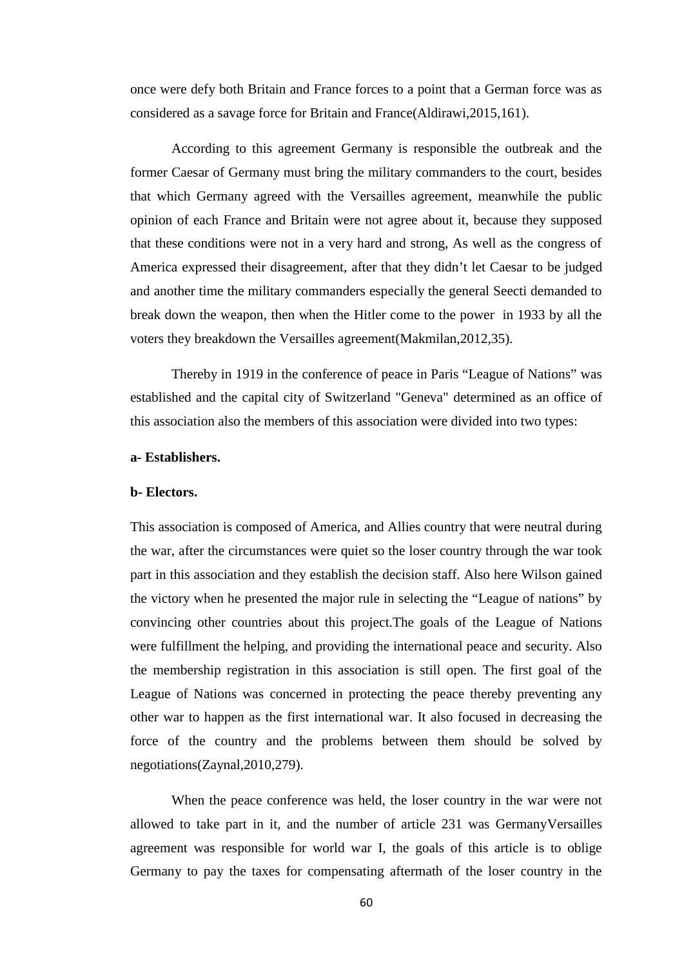once were defy both Britain and France forces to a point that a German force was as considered as a savage force for Britain and France(Aldirawi,2015,161).

According to this agreement Germany is responsible the outbreak and the former Caesar of Germany must bring the military commanders to the court, besides that which Germany agreed with the Versailles agreement, meanwhile the public opinion of each France and Britain were not agree about it, because they supposed that these conditions were not in a very hard and strong, As well as the congress of America expressed their disagreement, after that they didn't let Caesar to be judged and another time the military commanders especially the general Seecti demanded to break down the weapon, then when the Hitler come to the power in 1933 by all the voters they breakdown the Versailles agreement(Makmilan,2012,35).

Thereby in 1919 in the conference of peace in Paris "League of Nations" was established and the capital city of Switzerland "Geneva" determined as an office of this association also the members of this association were divided into two types:

#### **a- Establishers.**

### **b- Electors.**

This association is composed of America, and Allies country that were neutral during the war, after the circumstances were quiet so the loser country through the war took part in this association and they establish the decision staff. Also here Wilson gained the victory when he presented the major rule in selecting the "League of nations" by convincing other countries about this project.The goals of the League of Nations were fulfillment the helping, and providing the international peace and security. Also the membership registration in this association is still open. The first goal of the League of Nations was concerned in protecting the peace thereby preventing any other war to happen as the first international war. It also focused in decreasing the force of the country and the problems between them should be solved by negotiations(Zaynal,2010,279).

When the peace conference was held, the loser country in the war were not allowed to take part in it, and the number of article 231 was GermanyVersailles agreement was responsible for world war I, the goals of this article is to oblige Germany to pay the taxes for compensating aftermath of the loser country in the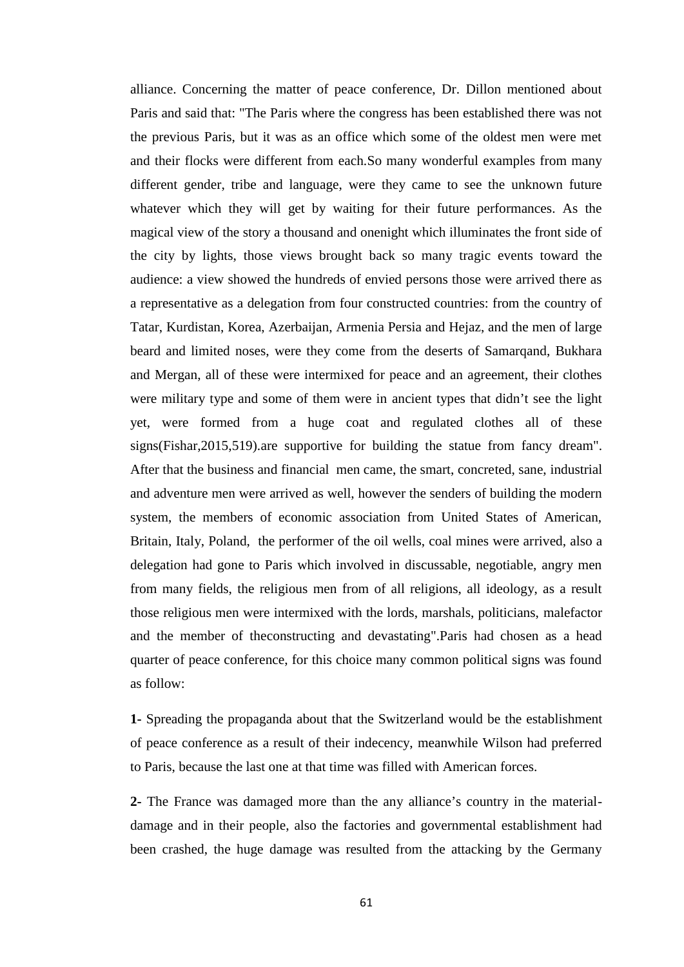alliance. Concerning the matter of peace conference, Dr. Dillon mentioned about Paris and said that: "The Paris where the congress has been established there was not the previous Paris, but it was as an office which some of the oldest men were met and their flocks were different from each.So many wonderful examples from many different gender, tribe and language, were they came to see the unknown future whatever which they will get by waiting for their future performances. As the magical view of the story a thousand and onenight which illuminates the front side of the city by lights, those views brought back so many tragic events toward the audience: a view showed the hundreds of envied persons those were arrived there as a representative as a delegation from four constructed countries: from the country of Tatar, Kurdistan, Korea, Azerbaijan, Armenia Persia and Hejaz, and the men of large beard and limited noses, were they come from the deserts of Samarqand, Bukhara and Mergan, all of these were intermixed for peace and an agreement, their clothes were military type and some of them were in ancient types that didn't see the light yet, were formed from a huge coat and regulated clothes all of these signs(Fishar,2015,519).are supportive for building the statue from fancy dream". After that the business and financial men came, the smart, concreted, sane, industrial and adventure men were arrived as well, however the senders of building the modern system, the members of economic association from United States of American, Britain, Italy, Poland, the performer of the oil wells, coal mines were arrived, also a delegation had gone to Paris which involved in discussable, negotiable, angry men from many fields, the religious men from of all religions, all ideology, as a result those religious men were intermixed with the lords, marshals, politicians, malefactor and the member of theconstructing and devastating".Paris had chosen as a head quarter of peace conference, for this choice many common political signs was found as follow:

**1-** Spreading the propaganda about that the Switzerland would be the establishment of peace conference as a result of their indecency, meanwhile Wilson had preferred to Paris, because the last one at that time was filled with American forces.

**2-** The France was damaged more than the any alliance's country in the material damage and in their people, also the factories and governmental establishment had been crashed, the huge damage was resulted from the attacking by the Germany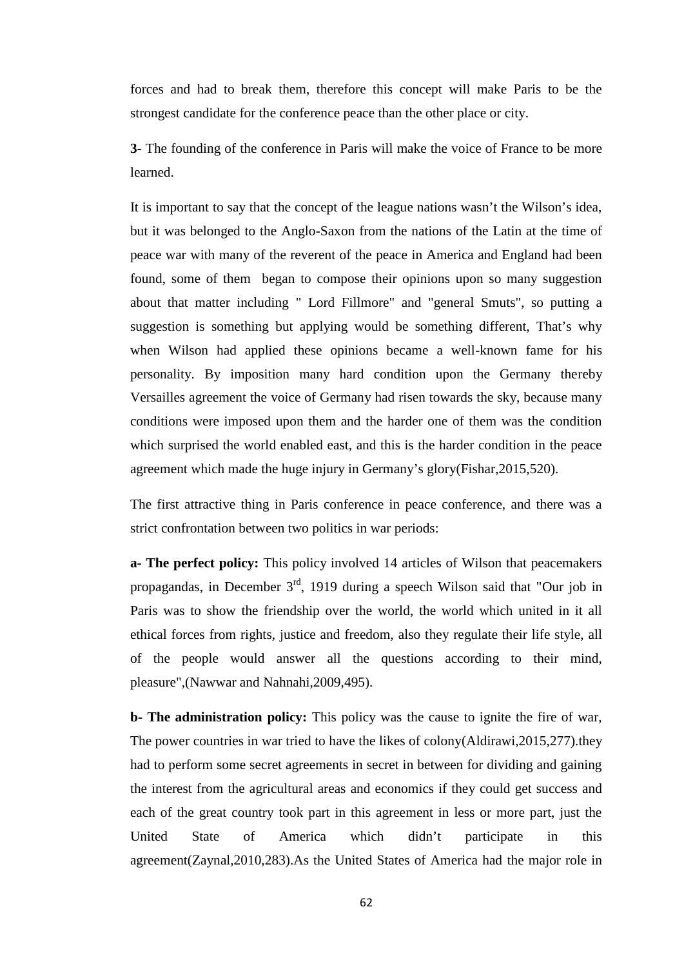forces and had to break them, therefore this concept will make Paris to be the strongest candidate for the conference peace than the other place or city.

**3-** The founding of the conference in Paris will make the voice of France to be more learned.

It is important to say that the concept of the league nations wasn't the Wilson's idea, but it was belonged to the Anglo-Saxon from the nations of the Latin at the time of peace war with many of the reverent of the peace in America and England had been found, some of them began to compose their opinions upon so many suggestion about that matter including " Lord Fillmore" and "general Smuts", so putting a suggestion is something but applying would be something different, That's why when Wilson had applied these opinions became a well-known fame for his personality. By imposition many hard condition upon the Germany thereby Versailles agreement the voice of Germany had risen towards the sky, because many conditions were imposed upon them and the harder one of them was the condition which surprised the world enabled east, and this is the harder condition in the peace agreement which made the huge injury in Germany's glory(Fishar,2015,520).

The first attractive thing in Paris conference in peace conference, and there was a strict confrontation between two politics in war periods:

**a- The perfect policy:** This policy involved 14 articles of Wilson that peacemakers propagandas, in December  $3<sup>rd</sup>$ , 1919 during a speech Wilson said that "Our job in Paris was to show the friendship over the world, the world which united in it all ethical forces from rights, justice and freedom, also they regulate their life style, all of the people would answer all the questions according to their mind, pleasure",(Nawwar and Nahnahi,2009,495).

**b- The administration policy:** This policy was the cause to ignite the fire of war, The power countries in war tried to have the likes of colony(Aldirawi,2015,277).they had to perform some secret agreements in secret in between for dividing and gaining the interest from the agricultural areas and economics if they could get success and each of the great country took part in this agreement in less or more part, just the United State of America which didn't participate in this agreement(Zaynal,2010,283).As the United States of America had the major role in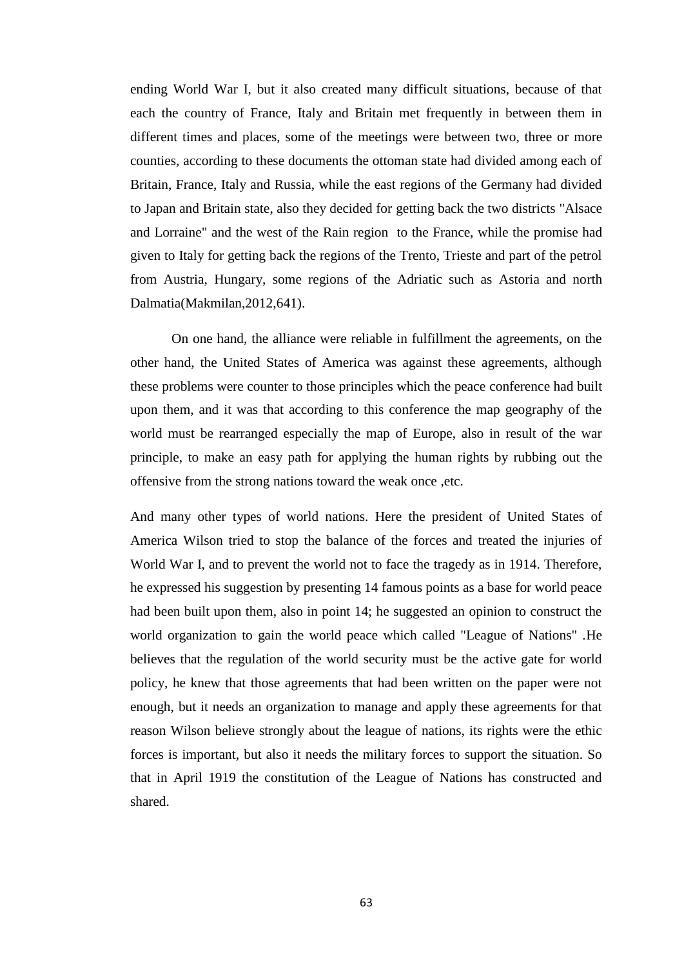ending World War I, but it also created many difficult situations, because of that each the country of France, Italy and Britain met frequently in between them in different times and places, some of the meetings were between two, three or more counties, according to these documents the ottoman state had divided among each of Britain, France, Italy and Russia, while the east regions of the Germany had divided to Japan and Britain state, also they decided for getting back the two districts "Alsace and Lorraine" and the west of the Rain region to the France, while the promise had given to Italy for getting back the regions of the Trento, Trieste and part of the petrol from Austria, Hungary, some regions of the Adriatic such as Astoria and north Dalmatia(Makmilan,2012,641).

On one hand, the alliance were reliable in fulfillment the agreements, on the other hand, the United States of America was against these agreements, although these problems were counter to those principles which the peace conference had built upon them, and it was that according to this conference the map geography of the world must be rearranged especially the map of Europe, also in result of the war principle, to make an easy path for applying the human rights by rubbing out the offensive from the strong nations toward the weak once ,etc.

And many other types of world nations. Here the president of United States of America Wilson tried to stop the balance of the forces and treated the injuries of World War I, and to prevent the world not to face the tragedy as in 1914. Therefore, he expressed his suggestion by presenting 14 famous points as a base for world peace had been built upon them, also in point 14; he suggested an opinion to construct the world organization to gain the world peace which called "League of Nations" .He believes that the regulation of the world security must be the active gate for world policy, he knew that those agreements that had been written on the paper were not enough, but it needs an organization to manage and apply these agreements for that reason Wilson believe strongly about the league of nations, its rights were the ethic forces is important, but also it needs the military forces to support the situation. So that in April 1919 the constitution of the League of Nations has constructed and shared.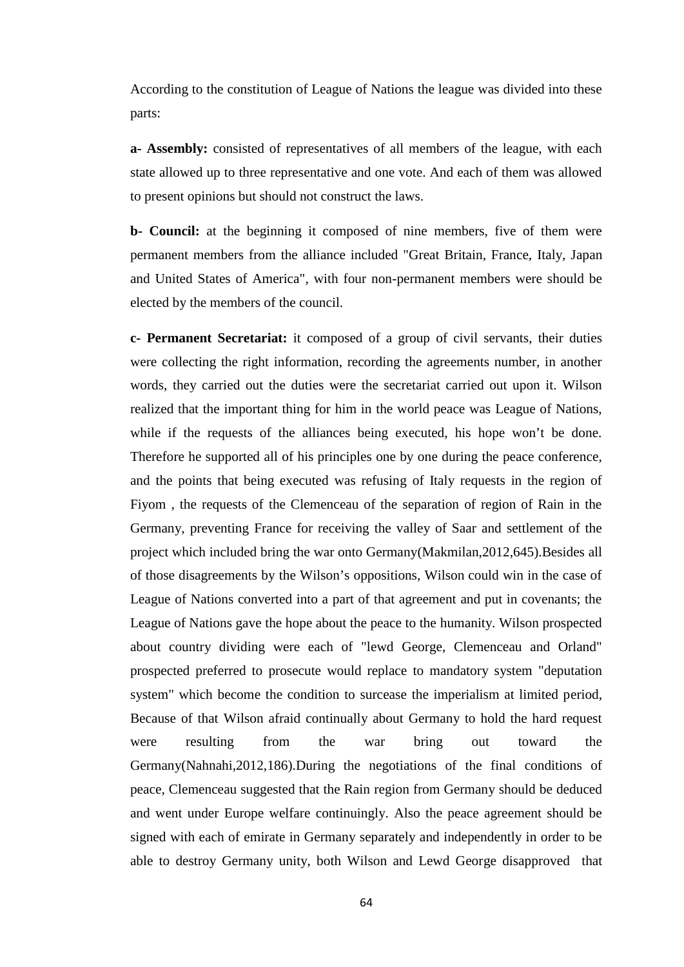According to the constitution of League of Nations the league was divided into these parts:

**a- Assembly:** consisted of representatives of all members of the league, with each state allowed up to three representative and one vote. And each of them was allowed to present opinions but should not construct the laws.

**b- Council:** at the beginning it composed of nine members, five of them were permanent members from the alliance included "Great Britain, France, Italy, Japan and United States of America", with four non-permanent members were should be elected by the members of the council.

**c- Permanent Secretariat:** it composed of a group of civil servants, their duties were collecting the right information, recording the agreements number, in another words, they carried out the duties were the secretariat carried out upon it. Wilson realized that the important thing for him in the world peace was League of Nations, while if the requests of the alliances being executed, his hope won't be done. Therefore he supported all of his principles one by one during the peace conference, and the points that being executed was refusing of Italy requests in the region of Fiyom , the requests of the Clemenceau of the separation of region of Rain in the Germany, preventing France for receiving the valley of Saar and settlement of the project which included bring the war onto Germany(Makmilan,2012,645).Besides all of those disagreements by the Wilson's oppositions, Wilson could win in the case of League of Nations converted into a part of that agreement and put in covenants; the League of Nations gave the hope about the peace to the humanity. Wilson prospected about country dividing were each of "lewd George, Clemenceau and Orland" prospected preferred to prosecute would replace to mandatory system "deputation system" which become the condition to surcease the imperialism at limited period, Because of that Wilson afraid continually about Germany to hold the hard request were resulting from the war bring out toward the Germany(Nahnahi,2012,186).During the negotiations of the final conditions of peace, Clemenceau suggested that the Rain region from Germany should be deduced and went under Europe welfare continuingly. Also the peace agreement should be signed with each of emirate in Germany separately and independently in order to be able to destroy Germany unity, both Wilson and Lewd George disapproved that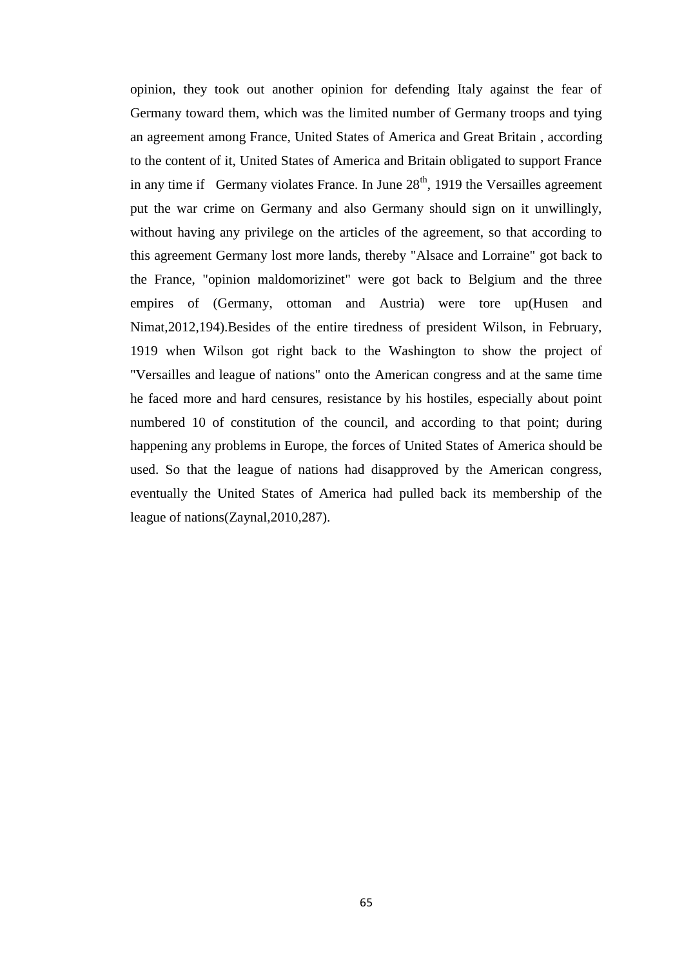opinion, they took out another opinion for defending Italy against the fear of Germany toward them, which was the limited number of Germany troops and tying an agreement among France, United States of America and Great Britain , according to the content of it, United States of America and Britain obligated to support France in any time if Germany violates France. In June  $28<sup>th</sup>$ , 1919 the Versailles agreement put the war crime on Germany and also Germany should sign on it unwillingly, without having any privilege on the articles of the agreement, so that according to this agreement Germany lost more lands, thereby "Alsace and Lorraine" got back to the France, "opinion maldomorizinet" were got back to Belgium and the three empires of (Germany, ottoman and Austria) were tore up(Husen and Nimat,2012,194).Besides of the entire tiredness of president Wilson, in February, 1919 when Wilson got right back to the Washington to show the project of "Versailles and league of nations" onto the American congress and at the same time he faced more and hard censures, resistance by his hostiles, especially about point numbered 10 of constitution of the council, and according to that point; during happening any problems in Europe, the forces of United States of America should be used. So that the league of nations had disapproved by the American congress, eventually the United States of America had pulled back its membership of the league of nations(Zaynal,2010,287).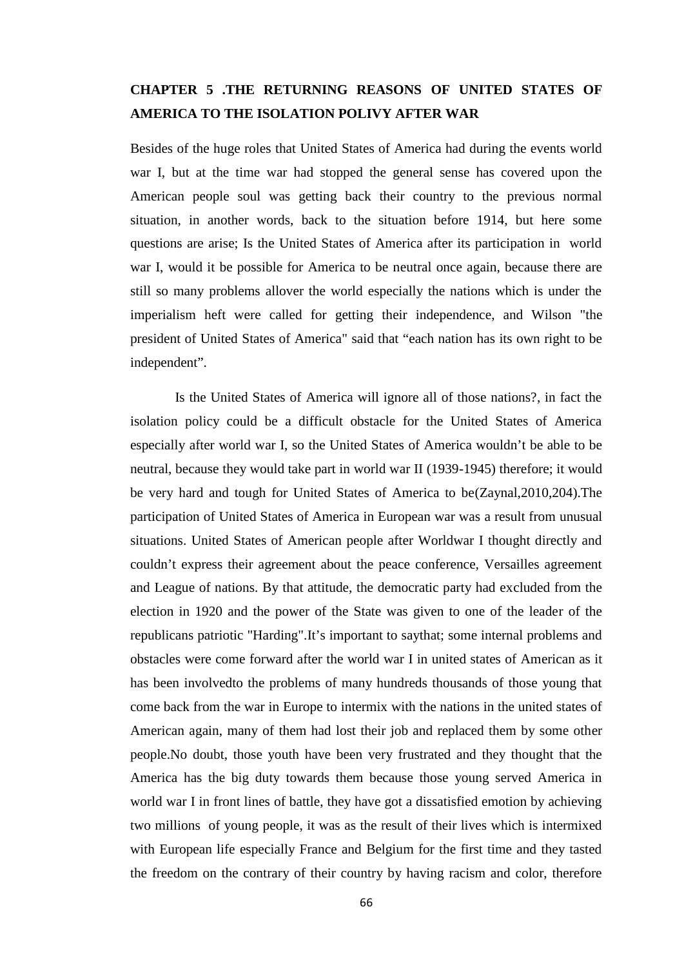# **CHAPTER 5 .THE RETURNING REASONS OF UNITED STATES OF AMERICA TO THE ISOLATION POLIVY AFTER WAR**

Besides of the huge roles that United States of America had during the events world war I, but at the time war had stopped the general sense has covered upon the American people soul was getting back their country to the previous normal situation, in another words, back to the situation before 1914, but here some questions are arise; Is the United States of America after its participation in world war I, would it be possible for America to be neutral once again, because there are still so many problems allover the world especially the nations which is under the imperialism heft were called for getting their independence, and Wilson "the president of United States of America" said that "each nation has its own right to be independent".

Is the United States of America will ignore all of those nations?, in fact the isolation policy could be a difficult obstacle for the United States of America especially after world war I, so the United States of America wouldn't be able to be neutral, because they would take part in world war II (1939-1945) therefore; it would be very hard and tough for United States of America to be(Zaynal,2010,204).The participation of United States of America in European war was a result from unusual situations. United States of American people after Worldwar I thought directly and couldn't express their agreement about the peace conference, Versailles agreement and League of nations. By that attitude, the democratic party had excluded from the election in 1920 and the power of the State was given to one of the leader of the republicans patriotic "Harding".It's important to saythat; some internal problems and obstacles were come forward after the world war I in united states of American as it has been involvedto the problems of many hundreds thousands of those young that come back from the war in Europe to intermix with the nations in the united states of American again, many of them had lost their job and replaced them by some other people.No doubt, those youth have been very frustrated and they thought that the America has the big duty towards them because those young served America in world war I in front lines of battle, they have got a dissatisfied emotion by achieving two millions of young people, it was as the result of their lives which is intermixed with European life especially France and Belgium for the first time and they tasted the freedom on the contrary of their country by having racism and color, therefore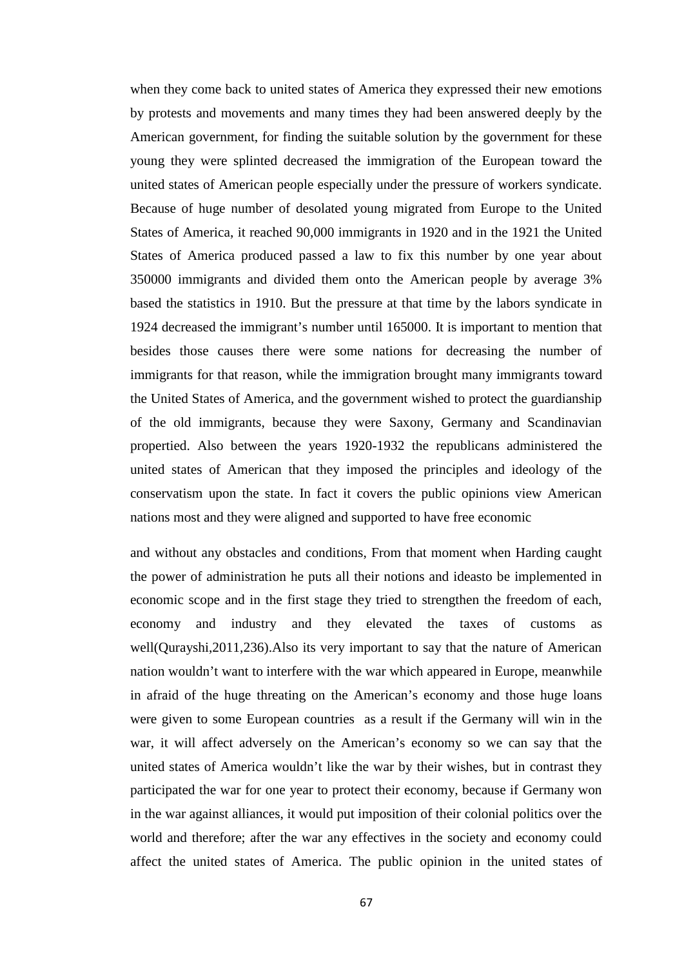when they come back to united states of America they expressed their new emotions by protests and movements and many times they had been answered deeply by the American government, for finding the suitable solution by the government for these young they were splinted decreased the immigration of the European toward the united states of American people especially under the pressure of workers syndicate. Because of huge number of desolated young migrated from Europe to the United States of America, it reached 90,000 immigrants in 1920 and in the 1921 the United States of America produced passed a law to fix this number by one year about 350000 immigrants and divided them onto the American people by average 3% based the statistics in 1910. But the pressure at that time by the labors syndicate in 1924 decreased the immigrant's number until 165000. It is important to mention that besides those causes there were some nations for decreasing the number of immigrants for that reason, while the immigration brought many immigrants toward the United States of America, and the government wished to protect the guardianship of the old immigrants, because they were Saxony, Germany and Scandinavian propertied. Also between the years 1920-1932 the republicans administered the united states of American that they imposed the principles and ideology of the conservatism upon the state. In fact it covers the public opinions view American nations most and they were aligned and supported to have free economic

and without any obstacles and conditions, From that moment when Harding caught the power of administration he puts all their notions and ideasto be implemented in economic scope and in the first stage they tried to strengthen the freedom of each, economy and industry and they elevated the taxes of customs as well(Qurayshi,2011,236).Also its very important to say that the nature of American nation wouldn't want to interfere with the war which appeared in Europe, meanwhile in afraid of the huge threating on the American's economy and those huge loans were given to some European countries as a result if the Germany will win in the war, it will affect adversely on the American's economy so we can say that the united states of America wouldn't like the war by their wishes, but in contrast they participated the war for one year to protect their economy, because if Germany won in the war against alliances, it would put imposition of their colonial politics over the world and therefore; after the war any effectives in the society and economy could affect the united states of America. The public opinion in the united states of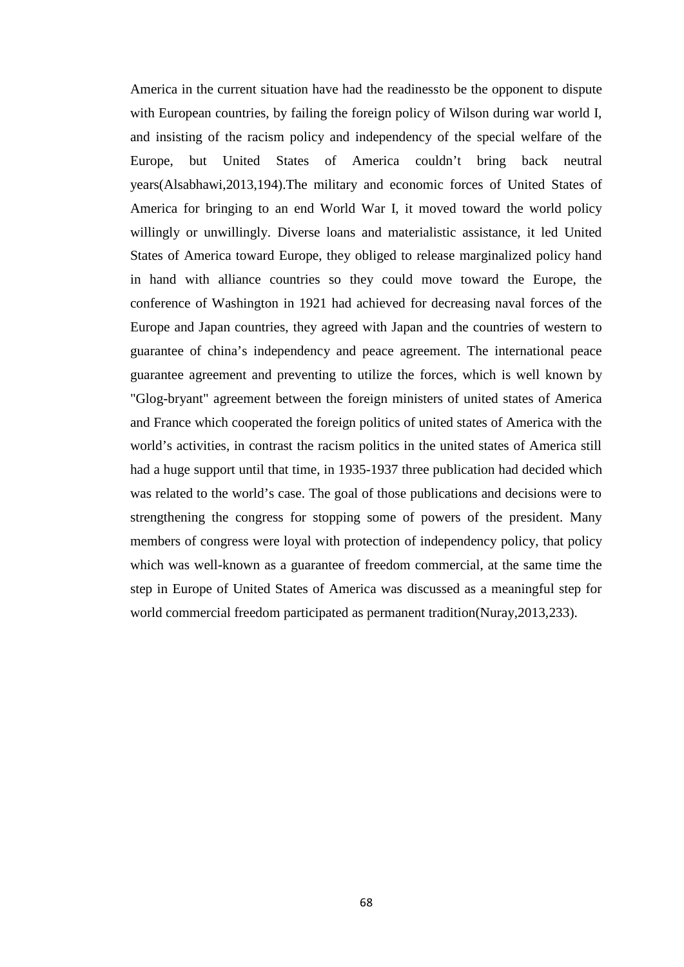America in the current situation have had the readinessto be the opponent to dispute with European countries, by failing the foreign policy of Wilson during war world I, and insisting of the racism policy and independency of the special welfare of the Europe, but United States of America couldn't bring back neutral years(Alsabhawi,2013,194).The military and economic forces of United States of America for bringing to an end World War I, it moved toward the world policy willingly or unwillingly. Diverse loans and materialistic assistance, it led United States of America toward Europe, they obliged to release marginalized policy hand in hand with alliance countries so they could move toward the Europe, the conference of Washington in 1921 had achieved for decreasing naval forces of the Europe and Japan countries, they agreed with Japan and the countries of western to guarantee of china's independency and peace agreement. The international peace guarantee agreement and preventing to utilize the forces, which is well known by "Glog-bryant" agreement between the foreign ministers of united states of America and France which cooperated the foreign politics of united states of America with the world's activities, in contrast the racism politics in the united states of America still had a huge support until that time, in 1935-1937 three publication had decided which was related to the world's case. The goal of those publications and decisions were to strengthening the congress for stopping some of powers of the president. Many members of congress were loyal with protection of independency policy, that policy which was well-known as a guarantee of freedom commercial, at the same time the step in Europe of United States of America was discussed as a meaningful step for world commercial freedom participated as permanent tradition(Nuray,2013,233).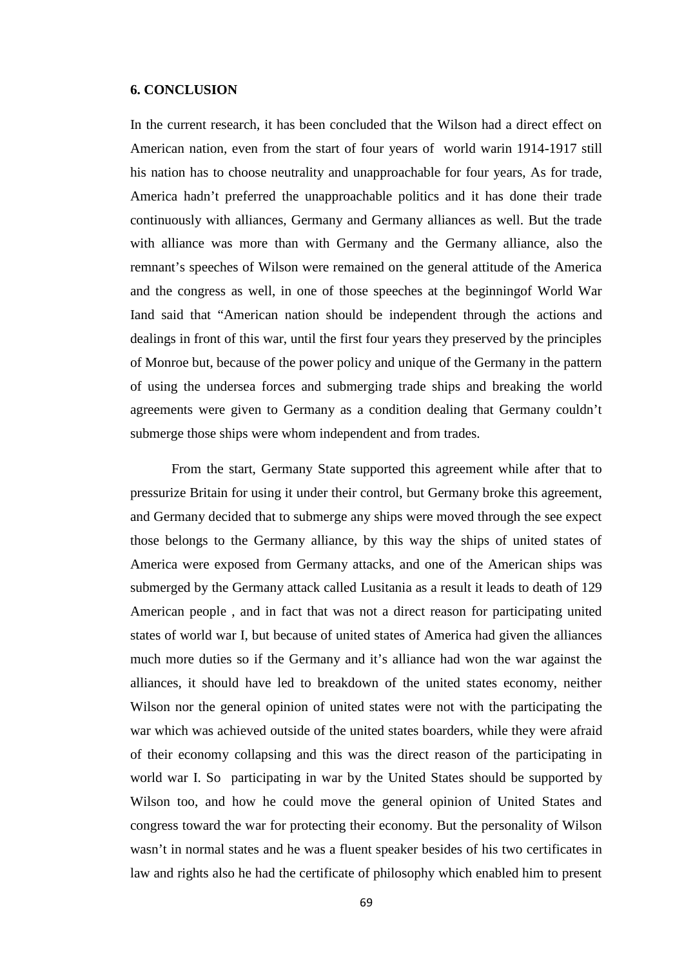#### **6. CONCLUSION**

In the current research, it has been concluded that the Wilson had a direct effect on American nation, even from the start of four years of world warin 1914-1917 still his nation has to choose neutrality and unapproachable for four years, As for trade, America hadn't preferred the unapproachable politics and it has done their trade continuously with alliances, Germany and Germany alliances as well. But the trade with alliance was more than with Germany and the Germany alliance, also the remnant's speeches of Wilson were remained on the general attitude of the America and the congress as well, in one of those speeches at the beginningof World War Iand said that "American nation should be independent through the actions and dealings in front of this war, until the first four years they preserved by the principles of Monroe but, because of the power policy and unique of the Germany in the pattern of using the undersea forces and submerging trade ships and breaking the world agreements were given to Germany as a condition dealing that Germany couldn't submerge those ships were whom independent and from trades.

From the start, Germany State supported this agreement while after that to pressurize Britain for using it under their control, but Germany broke this agreement, and Germany decided that to submerge any ships were moved through the see expect those belongs to the Germany alliance, by this way the ships of united states of America were exposed from Germany attacks, and one of the American ships was submerged by the Germany attack called Lusitania as a result it leads to death of 129 American people , and in fact that was not a direct reason for participating united states of world war I, but because of united states of America had given the alliances much more duties so if the Germany and it's alliance had won the war against the alliances, it should have led to breakdown of the united states economy, neither Wilson nor the general opinion of united states were not with the participating the war which was achieved outside of the united states boarders, while they were afraid of their economy collapsing and this was the direct reason of the participating in world war I. So participating in war by the United States should be supported by Wilson too, and how he could move the general opinion of United States and congress toward the war for protecting their economy. But the personality of Wilson wasn't in normal states and he was a fluent speaker besides of his two certificates in law and rights also he had the certificate of philosophy which enabled him to present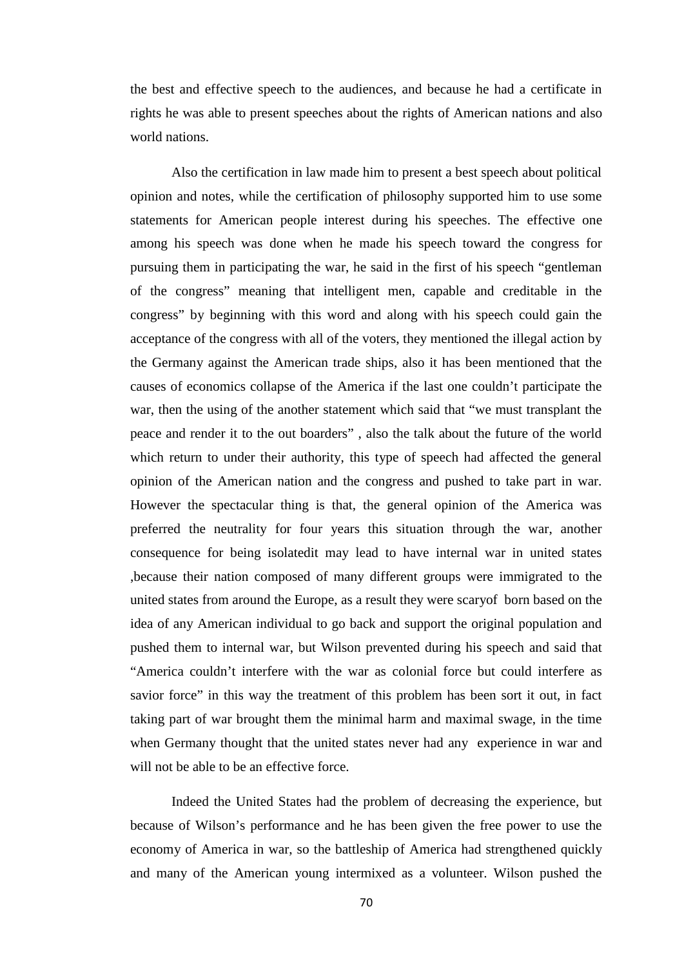the best and effective speech to the audiences, and because he had a certificate in rights he was able to present speeches about the rights of American nations and also world nations.

Also the certification in law made him to present a best speech about political opinion and notes, while the certification of philosophy supported him to use some statements for American people interest during his speeches. The effective one among his speech was done when he made his speech toward the congress for pursuing them in participating the war, he said in the first of his speech "gentleman of the congress" meaning that intelligent men, capable and creditable in the congress" by beginning with this word and along with his speech could gain the acceptance of the congress with all of the voters, they mentioned the illegal action by the Germany against the American trade ships, also it has been mentioned that the causes of economics collapse of the America if the last one couldn't participate the war, then the using of the another statement which said that "we must transplant the peace and render it to the out boarders" , also the talk about the future of the world which return to under their authority, this type of speech had affected the general opinion of the American nation and the congress and pushed to take part in war. However the spectacular thing is that, the general opinion of the America was preferred the neutrality for four years this situation through the war, another consequence for being isolatedit may lead to have internal war in united states ,because their nation composed of many different groups were immigrated to the united states from around the Europe, as a result they were scaryof born based on the idea of any American individual to go back and support the original population and pushed them to internal war, but Wilson prevented during his speech and said that "America couldn't interfere with the war as colonial force but could interfere as savior force" in this way the treatment of this problem has been sort it out, in fact taking part of war brought them the minimal harm and maximal swage, in the time when Germany thought that the united states never had any experience in war and will not be able to be an effective force.

Indeed the United States had the problem of decreasing the experience, but because of Wilson's performance and he has been given the free power to use the economy of America in war, so the battleship of America had strengthened quickly and many of the American young intermixed as a volunteer. Wilson pushed the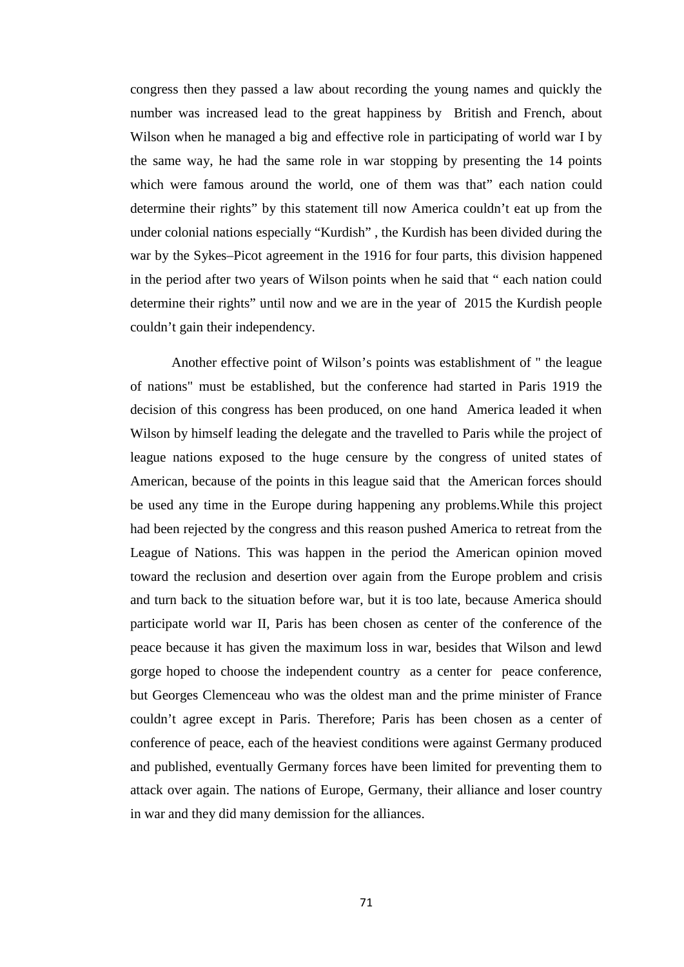congress then they passed a law about recording the young names and quickly the number was increased lead to the great happiness by British and French, about Wilson when he managed a big and effective role in participating of world war I by the same way, he had the same role in war stopping by presenting the 14 points which were famous around the world, one of them was that" each nation could determine their rights" by this statement till now America couldn't eat up from the under colonial nations especially "Kurdish" , the Kurdish has been divided during the war by the Sykes–Picot agreement in the 1916 for four parts, this division happened in the period after two years of Wilson points when he said that " each nation could determine their rights" until now and we are in the year of 2015 the Kurdish people couldn't gain their independency.

Another effective point of Wilson's points was establishment of " the league of nations" must be established, but the conference had started in Paris 1919 the decision of this congress has been produced, on one hand America leaded it when Wilson by himself leading the delegate and the travelled to Paris while the project of league nations exposed to the huge censure by the congress of united states of American, because of the points in this league said that the American forces should be used any time in the Europe during happening any problems.While this project had been rejected by the congress and this reason pushed America to retreat from the League of Nations. This was happen in the period the American opinion moved toward the reclusion and desertion over again from the Europe problem and crisis and turn back to the situation before war, but it is too late, because America should participate world war II, Paris has been chosen as center of the conference of the peace because it has given the maximum loss in war, besides that Wilson and lewd gorge hoped to choose the independent country as a center for peace conference, but Georges Clemenceau who was the oldest man and the prime minister of France couldn't agree except in Paris. Therefore; Paris has been chosen as a center of conference of peace, each of the heaviest conditions were against Germany produced and published, eventually Germany forces have been limited for preventing them to attack over again. The nations of Europe, Germany, their alliance and loser country in war and they did many demission for the alliances.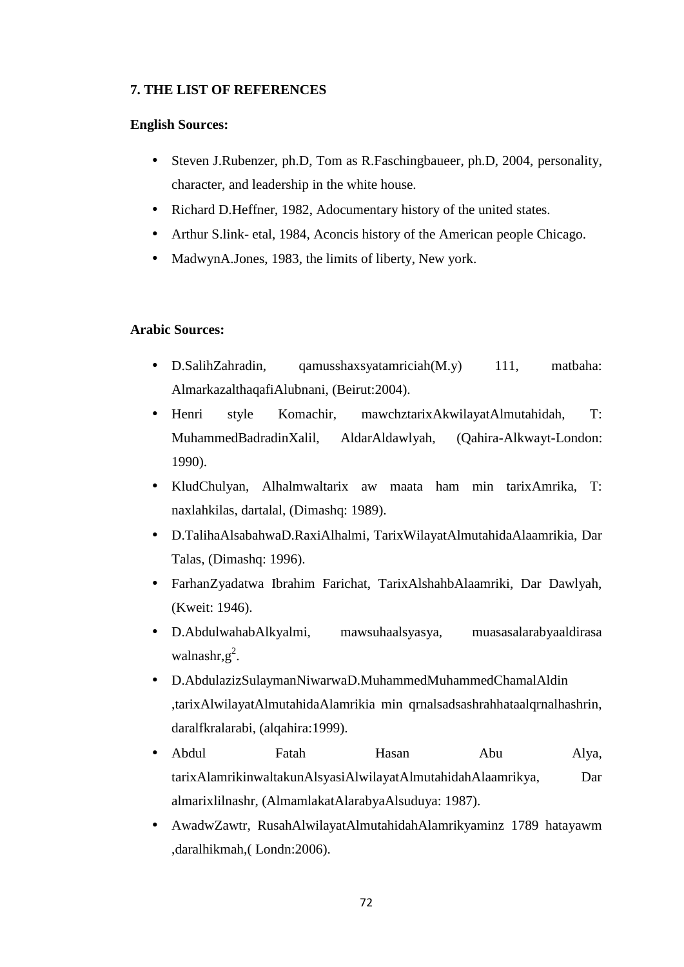## **7. THE LIST OF REFERENCES**

### **English Sources:**

- Steven J.Rubenzer, ph.D, Tom as R.Faschingbaueer, ph.D, 2004, personality, character, and leadership in the white house.
- Richard D.Heffner, 1982, Adocumentary history of the united states.
- Arthur S.link- etal, 1984, Aconcis history of the American people Chicago.
- MadwynA.Jones, 1983, the limits of liberty, New york.

### **Arabic Sources:**

- D.SalihZahradin, qamusshaxsyatamriciah(M.y) 111, matbaha: AlmarkazalthaqafiAlubnani, (Beirut:2004).
- Henri style Komachir, mawchztarixAkwilayatAlmutahidah, T: MuhammedBadradinXalil, AldarAldawlyah, (Qahira-Alkwayt-London: 1990).
- KludChulyan, Alhalmwaltarix aw maata ham min tarixAmrika, T: naxlahkilas, dartalal, (Dimashq: 1989).
- D.TalihaAlsabahwaD.RaxiAlhalmi, TarixWilayatAlmutahidaAlaamrikia, Dar Talas, (Dimashq: 1996).
- FarhanZyadatwa Ibrahim Farichat, TarixAlshahbAlaamriki, Dar Dawlyah, (Kweit: 1946).
- D.AbdulwahabAlkyalmi, mawsuhaalsyasya, muasasalarabyaaldirasa walnashr, $g^2$ .
- D.AbdulazizSulaymanNiwarwaD.MuhammedMuhammedChamalAldin ,tarixAlwilayatAlmutahidaAlamrikia min qrnalsadsashrahhataalqrnalhashrin, daralfkralarabi, (alqahira:1999).
- Abdul Fatah Hasan Abu Alya, tarixAlamrikinwaltakunAlsyasiAlwilayatAlmutahidahAlaamrikya, Dar almarixlilnashr, (AlmamlakatAlarabyaAlsuduya: 1987).
- AwadwZawtr, RusahAlwilayatAlmutahidahAlamrikyaminz 1789 hatayawm ,daralhikmah,( Londn:2006).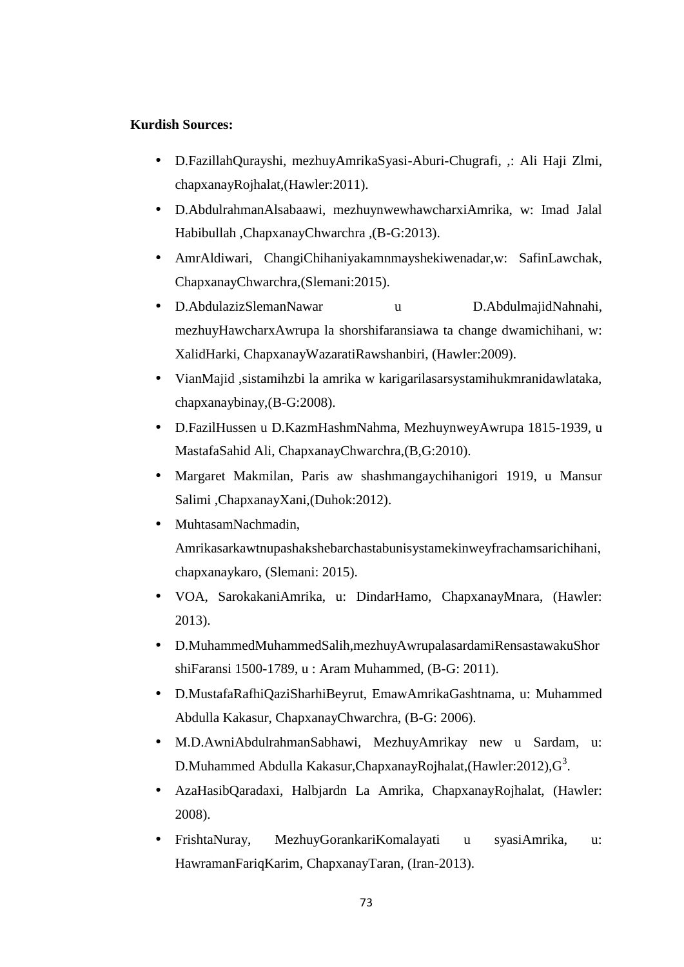### **Kurdish Sources:**

- D.FazillahQurayshi, mezhuyAmrikaSyasi-Aburi-Chugrafi, ,: Ali Haji Zlmi, chapxanayRojhalat,(Hawler:2011).
- D.AbdulrahmanAlsabaawi, mezhuynwewhawcharxiAmrika, w: Imad Jalal Habibullah ,ChapxanayChwarchra ,(B-G:2013).
- AmrAldiwari, ChangiChihaniyakamnmayshekiwenadar,w: SafinLawchak, ChapxanayChwarchra,(Slemani:2015).
- D.AbdulazizSlemanNawar u D.AbdulmajidNahnahi, mezhuyHawcharxAwrupa la shorshifaransiawa ta change dwamichihani, w: XalidHarki, ChapxanayWazaratiRawshanbiri, (Hawler:2009).
- VianMajid ,sistamihzbi la amrika w karigarilasarsystamihukmranidawlataka, chapxanaybinay,(B-G:2008).
- D.FazilHussen u D.KazmHashmNahma, MezhuynweyAwrupa 1815-1939, u MastafaSahid Ali, ChapxanayChwarchra,(B,G:2010).
- Margaret Makmilan, Paris aw shashmangaychihanigori 1919, u Mansur Salimi ,ChapxanayXani,(Duhok:2012).
- MuhtasamNachmadin, Amrikasarkawtnupashakshebarchastabunisystamekinweyfrachamsarichihani, chapxanaykaro, (Slemani: 2015).
- VOA, SarokakaniAmrika, u: DindarHamo, ChapxanayMnara, (Hawler: 2013).
- D.MuhammedMuhammedSalih,mezhuyAwrupalasardamiRensastawakuShor shiFaransi 1500-1789, u : Aram Muhammed, (B-G: 2011).
- D.MustafaRafhiQaziSharhiBeyrut, EmawAmrikaGashtnama, u: Muhammed Abdulla Kakasur, ChapxanayChwarchra, (B-G: 2006).
- M.D.AwniAbdulrahmanSabhawi, MezhuyAmrikay new u Sardam, u: D.Muhammed Abdulla Kakasur,ChapxanayRojhalat,(Hawler:2012), $\text{G}^3$ .
- AzaHasibQaradaxi, Halbjardn La Amrika, ChapxanayRojhalat, (Hawler: 2008).
- FrishtaNuray, MezhuyGorankariKomalayati u syasiAmrika, u: HawramanFariqKarim, ChapxanayTaran, (Iran-2013).